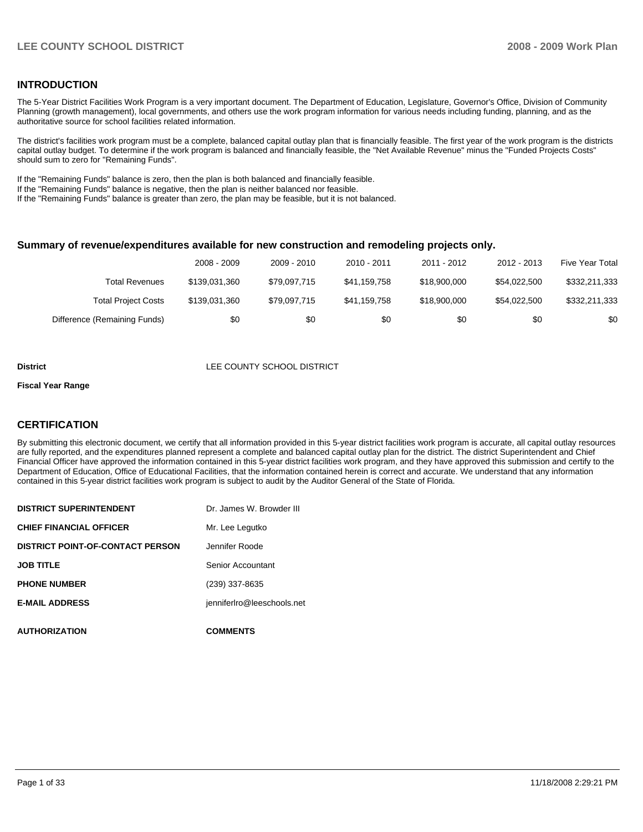#### **INTRODUCTION**

The 5-Year District Facilities Work Program is a very important document. The Department of Education, Legislature, Governor's Office, Division of Community Planning (growth management), local governments, and others use the work program information for various needs including funding, planning, and as the authoritative source for school facilities related information.

The district's facilities work program must be a complete, balanced capital outlay plan that is financially feasible. The first year of the work program is the districts capital outlay budget. To determine if the work program is balanced and financially feasible, the "Net Available Revenue" minus the "Funded Projects Costs" should sum to zero for "Remaining Funds".

If the "Remaining Funds" balance is zero, then the plan is both balanced and financially feasible.

If the "Remaining Funds" balance is negative, then the plan is neither balanced nor feasible.

If the "Remaining Funds" balance is greater than zero, the plan may be feasible, but it is not balanced.

#### **Summary of revenue/expenditures available for new construction and remodeling projects only.**

|                              | 2008 - 2009   | 2009 - 2010  | $2010 - 2011$ | 2011 - 2012  | 2012 - 2013  | <b>Five Year Total</b> |
|------------------------------|---------------|--------------|---------------|--------------|--------------|------------------------|
| Total Revenues               | \$139.031.360 | \$79.097.715 | \$41.159.758  | \$18,900,000 | \$54.022.500 | \$332,211,333          |
| <b>Total Project Costs</b>   | \$139,031,360 | \$79.097.715 | \$41.159.758  | \$18,900,000 | \$54.022.500 | \$332,211,333          |
| Difference (Remaining Funds) | \$0           | \$0          | \$0           | \$0          | \$0          | \$0                    |

#### **District** LEE COUNTY SCHOOL DISTRICT

#### **Fiscal Year Range**

#### **CERTIFICATION**

By submitting this electronic document, we certify that all information provided in this 5-year district facilities work program is accurate, all capital outlay resources are fully reported, and the expenditures planned represent a complete and balanced capital outlay plan for the district. The district Superintendent and Chief Financial Officer have approved the information contained in this 5-year district facilities work program, and they have approved this submission and certify to the Department of Education, Office of Educational Facilities, that the information contained herein is correct and accurate. We understand that any information contained in this 5-year district facilities work program is subject to audit by the Auditor General of the State of Florida.

| <b>DISTRICT SUPERINTENDENT</b>          | Dr. James W. Browder III   |
|-----------------------------------------|----------------------------|
| <b>CHIEF FINANCIAL OFFICER</b>          | Mr. Lee Legutko            |
| <b>DISTRICT POINT-OF-CONTACT PERSON</b> | Jennifer Roode             |
| <b>JOB TITLE</b>                        | Senior Accountant          |
| <b>PHONE NUMBER</b>                     | (239) 337-8635             |
| <b>E-MAIL ADDRESS</b>                   | jenniferIro@leeschools.net |
| <b>AUTHORIZATION</b>                    | <b>COMMENTS</b>            |
|                                         |                            |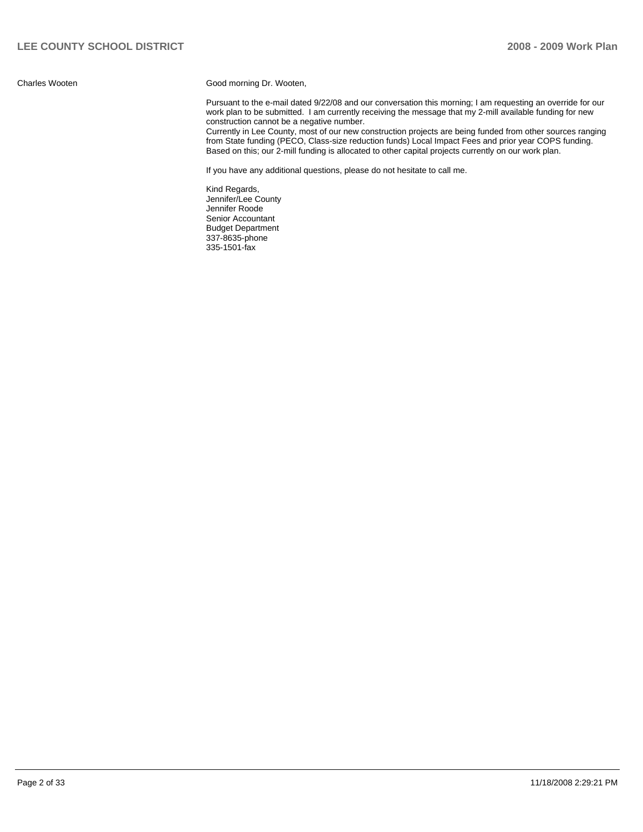Charles Wooten Good morning Dr. Wooten,

Pursuant to the e-mail dated 9/22/08 and our conversation this morning; I am requesting an override for our work plan to be submitted. I am currently receiving the message that my 2-mill available funding for new construction cannot be a negative number.

Currently in Lee County, most of our new construction projects are being funded from other sources ranging from State funding (PECO, Class-size reduction funds) Local Impact Fees and prior year COPS funding. Based on this; our 2-mill funding is allocated to other capital projects currently on our work plan.

If you have any additional questions, please do not hesitate to call me.

Kind Regards, Jennifer/Lee County Jennifer Roode Senior Accountant **Budget Department** 337-8635-phone �� 335-1501-fax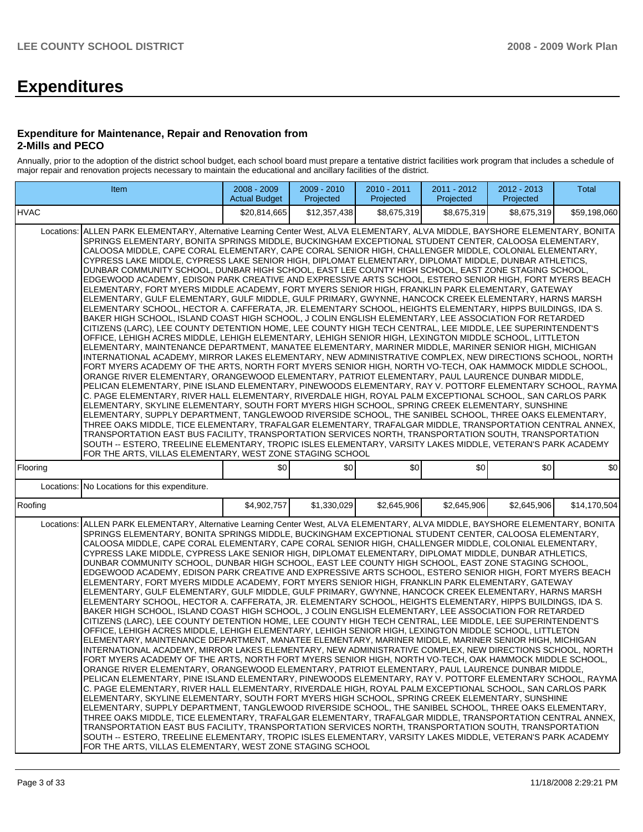# **Expenditures**

#### **Expenditure for Maintenance, Repair and Renovation from 2-Mills and PECO**

Annually, prior to the adoption of the district school budget, each school board must prepare a tentative district facilities work program that includes a schedule of major repair and renovation projects necessary to maintain the educational and ancillary facilities of the district.

| Item                                                                                                                                                                                                                                                                                                                                                                                                                                                                                                                                                                                                                                                                                                                                                                                                                                                                                                                                                                                                                                                                                                                                                                                                                                                                                                                                                                                                                                                                                                                                                                                                                                                                                                                                                                                                                                                                                                                                                                                                                                                                                                                                                                                                                                                                                                                                                                                                                                                                                                                                                                                                                  | 2008 - 2009<br><b>Actual Budget</b> | 2009 - 2010<br>Projected | 2010 - 2011<br>Projected | 2011 - 2012<br>Projected | 2012 - 2013<br>Projected | <b>Total</b> |  |  |  |  |
|-----------------------------------------------------------------------------------------------------------------------------------------------------------------------------------------------------------------------------------------------------------------------------------------------------------------------------------------------------------------------------------------------------------------------------------------------------------------------------------------------------------------------------------------------------------------------------------------------------------------------------------------------------------------------------------------------------------------------------------------------------------------------------------------------------------------------------------------------------------------------------------------------------------------------------------------------------------------------------------------------------------------------------------------------------------------------------------------------------------------------------------------------------------------------------------------------------------------------------------------------------------------------------------------------------------------------------------------------------------------------------------------------------------------------------------------------------------------------------------------------------------------------------------------------------------------------------------------------------------------------------------------------------------------------------------------------------------------------------------------------------------------------------------------------------------------------------------------------------------------------------------------------------------------------------------------------------------------------------------------------------------------------------------------------------------------------------------------------------------------------------------------------------------------------------------------------------------------------------------------------------------------------------------------------------------------------------------------------------------------------------------------------------------------------------------------------------------------------------------------------------------------------------------------------------------------------------------------------------------------------|-------------------------------------|--------------------------|--------------------------|--------------------------|--------------------------|--------------|--|--|--|--|
| <b>HVAC</b>                                                                                                                                                                                                                                                                                                                                                                                                                                                                                                                                                                                                                                                                                                                                                                                                                                                                                                                                                                                                                                                                                                                                                                                                                                                                                                                                                                                                                                                                                                                                                                                                                                                                                                                                                                                                                                                                                                                                                                                                                                                                                                                                                                                                                                                                                                                                                                                                                                                                                                                                                                                                           | \$20,814,665                        | \$12,357,438             | \$8,675,319              | \$8.675.319              | \$8.675.319              | \$59,198,060 |  |  |  |  |
| Locations: ALLEN PARK ELEMENTARY, Alternative Learning Center West, ALVA ELEMENTARY, ALVA MIDDLE, BAYSHORE ELEMENTARY, BONITA<br>SPRINGS ELEMENTARY, BONITA SPRINGS MIDDLE, BUCKINGHAM EXCEPTIONAL STUDENT CENTER, CALOOSA ELEMENTARY,<br>CALOOSA MIDDLE, CAPE CORAL ELEMENTARY, CAPE CORAL SENIOR HIGH, CHALLENGER MIDDLE, COLONIAL ELEMENTARY,<br>CYPRESS LAKE MIDDLE, CYPRESS LAKE SENIOR HIGH, DIPLOMAT ELEMENTARY, DIPLOMAT MIDDLE, DUNBAR ATHLETICS,<br>DUNBAR COMMUNITY SCHOOL, DUNBAR HIGH SCHOOL, EAST LEE COUNTY HIGH SCHOOL, EAST ZONE STAGING SCHOOL,<br>EDGEWOOD ACADEMY, EDISON PARK CREATIVE AND EXPRESSIVE ARTS SCHOOL, ESTERO SENIOR HIGH, FORT MYERS BEACH<br>ELEMENTARY, FORT MYERS MIDDLE ACADEMY, FORT MYERS SENIOR HIGH, FRANKLIN PARK ELEMENTARY, GATEWAY<br>ELEMENTARY, GULF ELEMENTARY, GULF MIDDLE, GULF PRIMARY, GWYNNE, HANCOCK CREEK ELEMENTARY, HARNS MARSH<br>ELEMENTARY SCHOOL, HECTOR A. CAFFERATA, JR. ELEMENTARY SCHOOL, HEIGHTS ELEMENTARY, HIPPS BUILDINGS, IDA S.<br>BAKER HIGH SCHOOL, ISLAND COAST HIGH SCHOOL, J COLIN ENGLISH ELEMENTARY, LEE ASSOCIATION FOR RETARDED<br>CITIZENS (LARC), LEE COUNTY DETENTION HOME, LEE COUNTY HIGH TECH CENTRAL, LEE MIDDLE, LEE SUPERINTENDENT'S<br>OFFICE, LEHIGH ACRES MIDDLE, LEHIGH ELEMENTARY, LEHIGH SENIOR HIGH, LEXINGTON MIDDLE SCHOOL, LITTLETON<br>ELEMENTARY, MAINTENANCE DEPARTMENT, MANATEE ELEMENTARY, MARINER MIDDLE, MARINER SENIOR HIGH, MICHIGAN<br>INTERNATIONAL ACADEMY, MIRROR LAKES ELEMENTARY, NEW ADMINISTRATIVE COMPLEX, NEW DIRECTIONS SCHOOL, NORTH<br>FORT MYERS ACADEMY OF THE ARTS, NORTH FORT MYERS SENIOR HIGH, NORTH VO-TECH, OAK HAMMOCK MIDDLE SCHOOL,<br>ORANGE RIVER ELEMENTARY, ORANGEWOOD ELEMENTARY, PATRIOT ELEMENTARY, PAUL LAURENCE DUNBAR MIDDLE,<br>PELICAN ELEMENTARY, PINE ISLAND ELEMENTARY, PINEWOODS ELEMENTARY, RAY V. POTTORF ELEMENTARY SCHOOL, RAYMA<br>C. PAGE ELEMENTARY, RIVER HALL ELEMENTARY, RIVERDALE HIGH, ROYAL PALM EXCEPTIONAL SCHOOL, SAN CARLOS PARK<br>ELEMENTARY, SKYLINE ELEMENTARY, SOUTH FORT MYERS HIGH SCHOOL, SPRING CREEK ELEMENTARY, SUNSHINE<br>ELEMENTARY, SUPPLY DEPARTMENT, TANGLEWOOD RIVERSIDE SCHOOL, THE SANIBEL SCHOOL, THREE OAKS ELEMENTARY,<br>THREE OAKS MIDDLE, TICE ELEMENTARY, TRAFALGAR ELEMENTARY, TRAFALGAR MIDDLE, TRANSPORTATION CENTRAL ANNEX,<br>TRANSPORTATION EAST BUS FACILITY, TRANSPORTATION SERVICES NORTH, TRANSPORTATION SOUTH, TRANSPORTATION<br>SOUTH -- ESTERO, TREELINE ELEMENTARY, TROPIC ISLES ELEMENTARY, VARSITY LAKES MIDDLE, VETERAN'S PARK ACADEMY<br>FOR THE ARTS, VILLAS ELEMENTARY, WEST ZONE STAGING SCHOOL |                                     |                          |                          |                          |                          |              |  |  |  |  |
| Flooring                                                                                                                                                                                                                                                                                                                                                                                                                                                                                                                                                                                                                                                                                                                                                                                                                                                                                                                                                                                                                                                                                                                                                                                                                                                                                                                                                                                                                                                                                                                                                                                                                                                                                                                                                                                                                                                                                                                                                                                                                                                                                                                                                                                                                                                                                                                                                                                                                                                                                                                                                                                                              | \$0                                 | \$0                      | \$0                      | \$0                      | \$0                      | \$0          |  |  |  |  |
| No Locations for this expenditure.<br>Locations:                                                                                                                                                                                                                                                                                                                                                                                                                                                                                                                                                                                                                                                                                                                                                                                                                                                                                                                                                                                                                                                                                                                                                                                                                                                                                                                                                                                                                                                                                                                                                                                                                                                                                                                                                                                                                                                                                                                                                                                                                                                                                                                                                                                                                                                                                                                                                                                                                                                                                                                                                                      |                                     |                          |                          |                          |                          |              |  |  |  |  |
| Roofing                                                                                                                                                                                                                                                                                                                                                                                                                                                                                                                                                                                                                                                                                                                                                                                                                                                                                                                                                                                                                                                                                                                                                                                                                                                                                                                                                                                                                                                                                                                                                                                                                                                                                                                                                                                                                                                                                                                                                                                                                                                                                                                                                                                                                                                                                                                                                                                                                                                                                                                                                                                                               | \$4,902,757                         | \$1,330,029              | \$2,645,906              | \$2,645,906              | \$2,645,906              | \$14,170,504 |  |  |  |  |
| Locations: ALLEN PARK ELEMENTARY, Alternative Learning Center West, ALVA ELEMENTARY, ALVA MIDDLE, BAYSHORE ELEMENTARY, BONITA<br>SPRINGS ELEMENTARY, BONITA SPRINGS MIDDLE, BUCKINGHAM EXCEPTIONAL STUDENT CENTER, CALOOSA ELEMENTARY,<br>CALOOSA MIDDLE, CAPE CORAL ELEMENTARY, CAPE CORAL SENIOR HIGH, CHALLENGER MIDDLE, COLONIAL ELEMENTARY,<br>CYPRESS LAKE MIDDLE, CYPRESS LAKE SENIOR HIGH, DIPLOMAT ELEMENTARY, DIPLOMAT MIDDLE, DUNBAR ATHLETICS,<br>DUNBAR COMMUNITY SCHOOL, DUNBAR HIGH SCHOOL, EAST LEE COUNTY HIGH SCHOOL, EAST ZONE STAGING SCHOOL,<br>EDGEWOOD ACADEMY, EDISON PARK CREATIVE AND EXPRESSIVE ARTS SCHOOL, ESTERO SENIOR HIGH, FORT MYERS BEACH<br>ELEMENTARY, FORT MYERS MIDDLE ACADEMY, FORT MYERS SENIOR HIGH, FRANKLIN PARK ELEMENTARY, GATEWAY<br>ELEMENTARY, GULF ELEMENTARY, GULF MIDDLE, GULF PRIMARY, GWYNNE, HANCOCK CREEK ELEMENTARY, HARNS MARSH<br>ELEMENTARY SCHOOL, HECTOR A. CAFFERATA, JR. ELEMENTARY SCHOOL, HEIGHTS ELEMENTARY, HIPPS BUILDINGS, IDA S.<br>BAKER HIGH SCHOOL, ISLAND COAST HIGH SCHOOL, J COLIN ENGLISH ELEMENTARY, LEE ASSOCIATION FOR RETARDED<br>CITIZENS (LARC), LEE COUNTY DETENTION HOME, LEE COUNTY HIGH TECH CENTRAL, LEE MIDDLE, LEE SUPERINTENDENT'S<br>OFFICE, LEHIGH ACRES MIDDLE, LEHIGH ELEMENTARY, LEHIGH SENIOR HIGH, LEXINGTON MIDDLE SCHOOL, LITTLETON<br>ELEMENTARY, MAINTENANCE DEPARTMENT, MANATEE ELEMENTARY, MARINER MIDDLE, MARINER SENIOR HIGH, MICHIGAN<br>INTERNATIONAL ACADEMY, MIRROR LAKES ELEMENTARY, NEW ADMINISTRATIVE COMPLEX, NEW DIRECTIONS SCHOOL, NORTH<br>FORT MYERS ACADEMY OF THE ARTS, NORTH FORT MYERS SENIOR HIGH, NORTH VO-TECH, OAK HAMMOCK MIDDLE SCHOOL,<br>ORANGE RIVER ELEMENTARY, ORANGEWOOD ELEMENTARY, PATRIOT ELEMENTARY, PAUL LAURENCE DUNBAR MIDDLE,<br>PELICAN ELEMENTARY, PINE ISLAND ELEMENTARY, PINEWOODS ELEMENTARY, RAY V. POTTORF ELEMENTARY SCHOOL, RAYMA<br>C. PAGE ELEMENTARY, RIVER HALL ELEMENTARY, RIVERDALE HIGH, ROYAL PALM EXCEPTIONAL SCHOOL, SAN CARLOS PARK<br>ELEMENTARY, SKYLINE ELEMENTARY, SOUTH FORT MYERS HIGH SCHOOL, SPRING CREEK ELEMENTARY, SUNSHINE<br>ELEMENTARY, SUPPLY DEPARTMENT, TANGLEWOOD RIVERSIDE SCHOOL, THE SANIBEL SCHOOL, THREE OAKS ELEMENTARY,<br>THREE OAKS MIDDLE, TICE ELEMENTARY, TRAFALGAR ELEMENTARY, TRAFALGAR MIDDLE, TRANSPORTATION CENTRAL ANNEX,<br>TRANSPORTATION EAST BUS FACILITY, TRANSPORTATION SERVICES NORTH, TRANSPORTATION SOUTH, TRANSPORTATION<br>SOUTH -- ESTERO, TREELINE ELEMENTARY, TROPIC ISLES ELEMENTARY, VARSITY LAKES MIDDLE, VETERAN'S PARK ACADEMY<br>FOR THE ARTS, VILLAS ELEMENTARY, WEST ZONE STAGING SCHOOL |                                     |                          |                          |                          |                          |              |  |  |  |  |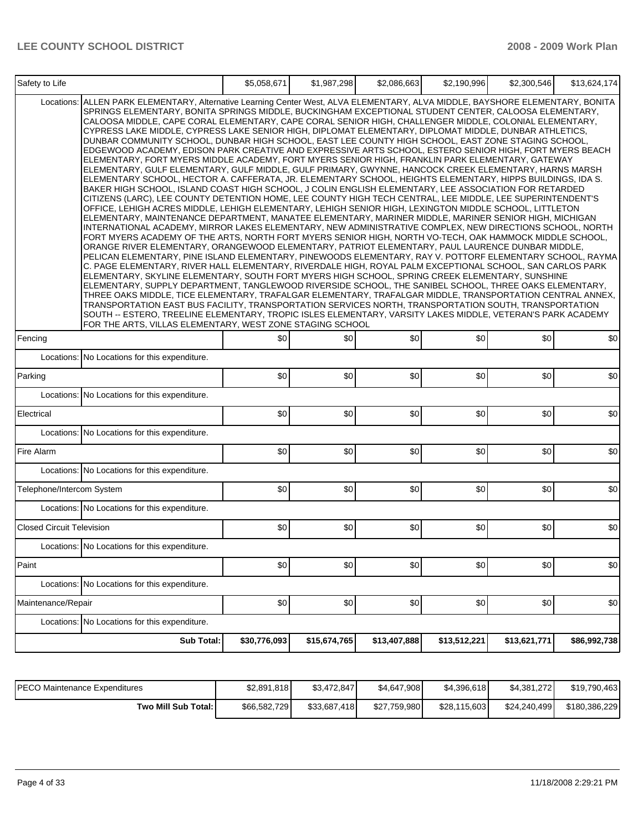| Safety to Life                   |                                                                                                                                                                                                                                                                                                                                                                                                                                                                                                                                                                                                                                                                                                                                                                                                                                                                                                                                                                                                                                                                                                                                                                                                                                                                                                                                                                                                                                                                                                                                                                                                                                                                                                                                                                                                                                                                                                                                                                                                                                                                                                                                                                                                                                                                                                                                                                                                                                                                                                                                                                                                            | \$5,058,671  | \$1,987,298  | \$2,086,663  | \$2,190,996  | \$2,300,546  | \$13,624,174 |  |  |  |
|----------------------------------|------------------------------------------------------------------------------------------------------------------------------------------------------------------------------------------------------------------------------------------------------------------------------------------------------------------------------------------------------------------------------------------------------------------------------------------------------------------------------------------------------------------------------------------------------------------------------------------------------------------------------------------------------------------------------------------------------------------------------------------------------------------------------------------------------------------------------------------------------------------------------------------------------------------------------------------------------------------------------------------------------------------------------------------------------------------------------------------------------------------------------------------------------------------------------------------------------------------------------------------------------------------------------------------------------------------------------------------------------------------------------------------------------------------------------------------------------------------------------------------------------------------------------------------------------------------------------------------------------------------------------------------------------------------------------------------------------------------------------------------------------------------------------------------------------------------------------------------------------------------------------------------------------------------------------------------------------------------------------------------------------------------------------------------------------------------------------------------------------------------------------------------------------------------------------------------------------------------------------------------------------------------------------------------------------------------------------------------------------------------------------------------------------------------------------------------------------------------------------------------------------------------------------------------------------------------------------------------------------------|--------------|--------------|--------------|--------------|--------------|--------------|--|--|--|
| Locations:                       | ALLEN PARK ELEMENTARY, Alternative Learning Center West, ALVA ELEMENTARY, ALVA MIDDLE, BAYSHORE ELEMENTARY, BONITA<br>SPRINGS ELEMENTARY, BONITA SPRINGS MIDDLE, BUCKINGHAM EXCEPTIONAL STUDENT CENTER, CALOOSA ELEMENTARY,<br>CALOOSA MIDDLE, CAPE CORAL ELEMENTARY, CAPE CORAL SENIOR HIGH, CHALLENGER MIDDLE, COLONIAL ELEMENTARY,<br>CYPRESS LAKE MIDDLE, CYPRESS LAKE SENIOR HIGH, DIPLOMAT ELEMENTARY, DIPLOMAT MIDDLE, DUNBAR ATHLETICS,<br>DUNBAR COMMUNITY SCHOOL, DUNBAR HIGH SCHOOL, EAST LEE COUNTY HIGH SCHOOL, EAST ZONE STAGING SCHOOL,<br>EDGEWOOD ACADEMY, EDISON PARK CREATIVE AND EXPRESSIVE ARTS SCHOOL, ESTERO SENIOR HIGH, FORT MYERS BEACH<br>ELEMENTARY, FORT MYERS MIDDLE ACADEMY, FORT MYERS SENIOR HIGH, FRANKLIN PARK ELEMENTARY, GATEWAY<br>ELEMENTARY, GULF ELEMENTARY, GULF MIDDLE, GULF PRIMARY, GWYNNE, HANCOCK CREEK ELEMENTARY, HARNS MARSH<br>ELEMENTARY SCHOOL, HECTOR A. CAFFERATA, JR. ELEMENTARY SCHOOL, HEIGHTS ELEMENTARY, HIPPS BUILDINGS, IDA S.<br>BAKER HIGH SCHOOL, ISLAND COAST HIGH SCHOOL, J COLIN ENGLISH ELEMENTARY, LEE ASSOCIATION FOR RETARDED<br>CITIZENS (LARC), LEE COUNTY DETENTION HOME, LEE COUNTY HIGH TECH CENTRAL, LEE MIDDLE, LEE SUPERINTENDENT'S<br>OFFICE, LEHIGH ACRES MIDDLE, LEHIGH ELEMENTARY, LEHIGH SENIOR HIGH, LEXINGTON MIDDLE SCHOOL, LITTLETON<br>ELEMENTARY, MAINTENANCE DEPARTMENT, MANATEE ELEMENTARY, MARINER MIDDLE, MARINER SENIOR HIGH, MICHIGAN<br>INTERNATIONAL ACADEMY, MIRROR LAKES ELEMENTARY, NEW ADMINISTRATIVE COMPLEX, NEW DIRECTIONS SCHOOL, NORTH<br>FORT MYERS ACADEMY OF THE ARTS, NORTH FORT MYERS SENIOR HIGH, NORTH VO-TECH, OAK HAMMOCK MIDDLE SCHOOL,<br>ORANGE RIVER ELEMENTARY, ORANGEWOOD ELEMENTARY, PATRIOT ELEMENTARY, PAUL LAURENCE DUNBAR MIDDLE,<br>PELICAN ELEMENTARY, PINE ISLAND ELEMENTARY, PINEWOODS ELEMENTARY, RAY V. POTTORF ELEMENTARY SCHOOL, RAYMA<br>C. PAGE ELEMENTARY, RIVER HALL ELEMENTARY, RIVERDALE HIGH, ROYAL PALM EXCEPTIONAL SCHOOL, SAN CARLOS PARK<br>ELEMENTARY, SKYLINE ELEMENTARY, SOUTH FORT MYERS HIGH SCHOOL, SPRING CREEK ELEMENTARY, SUNSHINE<br>ELEMENTARY, SUPPLY DEPARTMENT, TANGLEWOOD RIVERSIDE SCHOOL, THE SANIBEL SCHOOL, THREE OAKS ELEMENTARY.<br>THREE OAKS MIDDLE, TICE ELEMENTARY, TRAFALGAR ELEMENTARY, TRAFALGAR MIDDLE, TRANSPORTATION CENTRAL ANNEX,<br>TRANSPORTATION EAST BUS FACILITY, TRANSPORTATION SERVICES NORTH, TRANSPORTATION SOUTH, TRANSPORTATION<br>SOUTH -- ESTERO, TREELINE ELEMENTARY, TROPIC ISLES ELEMENTARY, VARSITY LAKES MIDDLE, VETERAN'S PARK ACADEMY<br>FOR THE ARTS, VILLAS ELEMENTARY, WEST ZONE STAGING SCHOOL |              |              |              |              |              |              |  |  |  |
| Fencing                          |                                                                                                                                                                                                                                                                                                                                                                                                                                                                                                                                                                                                                                                                                                                                                                                                                                                                                                                                                                                                                                                                                                                                                                                                                                                                                                                                                                                                                                                                                                                                                                                                                                                                                                                                                                                                                                                                                                                                                                                                                                                                                                                                                                                                                                                                                                                                                                                                                                                                                                                                                                                                            | \$0          | \$0          | \$0          | \$0          | \$0          | \$0          |  |  |  |
|                                  | Locations: No Locations for this expenditure.                                                                                                                                                                                                                                                                                                                                                                                                                                                                                                                                                                                                                                                                                                                                                                                                                                                                                                                                                                                                                                                                                                                                                                                                                                                                                                                                                                                                                                                                                                                                                                                                                                                                                                                                                                                                                                                                                                                                                                                                                                                                                                                                                                                                                                                                                                                                                                                                                                                                                                                                                              |              |              |              |              |              |              |  |  |  |
| Parking                          |                                                                                                                                                                                                                                                                                                                                                                                                                                                                                                                                                                                                                                                                                                                                                                                                                                                                                                                                                                                                                                                                                                                                                                                                                                                                                                                                                                                                                                                                                                                                                                                                                                                                                                                                                                                                                                                                                                                                                                                                                                                                                                                                                                                                                                                                                                                                                                                                                                                                                                                                                                                                            | \$0          | \$0          | \$0          | \$0          | \$0          | \$0          |  |  |  |
|                                  | Locations: No Locations for this expenditure.                                                                                                                                                                                                                                                                                                                                                                                                                                                                                                                                                                                                                                                                                                                                                                                                                                                                                                                                                                                                                                                                                                                                                                                                                                                                                                                                                                                                                                                                                                                                                                                                                                                                                                                                                                                                                                                                                                                                                                                                                                                                                                                                                                                                                                                                                                                                                                                                                                                                                                                                                              |              |              |              |              |              |              |  |  |  |
| Electrical                       |                                                                                                                                                                                                                                                                                                                                                                                                                                                                                                                                                                                                                                                                                                                                                                                                                                                                                                                                                                                                                                                                                                                                                                                                                                                                                                                                                                                                                                                                                                                                                                                                                                                                                                                                                                                                                                                                                                                                                                                                                                                                                                                                                                                                                                                                                                                                                                                                                                                                                                                                                                                                            | \$0          | \$0          | \$0          | \$0          | \$0          | \$0          |  |  |  |
|                                  | Locations: No Locations for this expenditure.                                                                                                                                                                                                                                                                                                                                                                                                                                                                                                                                                                                                                                                                                                                                                                                                                                                                                                                                                                                                                                                                                                                                                                                                                                                                                                                                                                                                                                                                                                                                                                                                                                                                                                                                                                                                                                                                                                                                                                                                                                                                                                                                                                                                                                                                                                                                                                                                                                                                                                                                                              |              |              |              |              |              |              |  |  |  |
| Fire Alarm                       |                                                                                                                                                                                                                                                                                                                                                                                                                                                                                                                                                                                                                                                                                                                                                                                                                                                                                                                                                                                                                                                                                                                                                                                                                                                                                                                                                                                                                                                                                                                                                                                                                                                                                                                                                                                                                                                                                                                                                                                                                                                                                                                                                                                                                                                                                                                                                                                                                                                                                                                                                                                                            | \$0          | \$0          | \$0          | \$0          | \$0          | \$0          |  |  |  |
|                                  | Locations: No Locations for this expenditure.                                                                                                                                                                                                                                                                                                                                                                                                                                                                                                                                                                                                                                                                                                                                                                                                                                                                                                                                                                                                                                                                                                                                                                                                                                                                                                                                                                                                                                                                                                                                                                                                                                                                                                                                                                                                                                                                                                                                                                                                                                                                                                                                                                                                                                                                                                                                                                                                                                                                                                                                                              |              |              |              |              |              |              |  |  |  |
| Telephone/Intercom System        |                                                                                                                                                                                                                                                                                                                                                                                                                                                                                                                                                                                                                                                                                                                                                                                                                                                                                                                                                                                                                                                                                                                                                                                                                                                                                                                                                                                                                                                                                                                                                                                                                                                                                                                                                                                                                                                                                                                                                                                                                                                                                                                                                                                                                                                                                                                                                                                                                                                                                                                                                                                                            | \$0          | \$0          | \$0          | \$0          | \$0          | \$0          |  |  |  |
|                                  | Locations: No Locations for this expenditure.                                                                                                                                                                                                                                                                                                                                                                                                                                                                                                                                                                                                                                                                                                                                                                                                                                                                                                                                                                                                                                                                                                                                                                                                                                                                                                                                                                                                                                                                                                                                                                                                                                                                                                                                                                                                                                                                                                                                                                                                                                                                                                                                                                                                                                                                                                                                                                                                                                                                                                                                                              |              |              |              |              |              |              |  |  |  |
| <b>Closed Circuit Television</b> |                                                                                                                                                                                                                                                                                                                                                                                                                                                                                                                                                                                                                                                                                                                                                                                                                                                                                                                                                                                                                                                                                                                                                                                                                                                                                                                                                                                                                                                                                                                                                                                                                                                                                                                                                                                                                                                                                                                                                                                                                                                                                                                                                                                                                                                                                                                                                                                                                                                                                                                                                                                                            | \$0          | \$0          | \$0          | \$0          | \$0          | \$0          |  |  |  |
|                                  | Locations: No Locations for this expenditure.                                                                                                                                                                                                                                                                                                                                                                                                                                                                                                                                                                                                                                                                                                                                                                                                                                                                                                                                                                                                                                                                                                                                                                                                                                                                                                                                                                                                                                                                                                                                                                                                                                                                                                                                                                                                                                                                                                                                                                                                                                                                                                                                                                                                                                                                                                                                                                                                                                                                                                                                                              |              |              |              |              |              |              |  |  |  |
| Paint                            |                                                                                                                                                                                                                                                                                                                                                                                                                                                                                                                                                                                                                                                                                                                                                                                                                                                                                                                                                                                                                                                                                                                                                                                                                                                                                                                                                                                                                                                                                                                                                                                                                                                                                                                                                                                                                                                                                                                                                                                                                                                                                                                                                                                                                                                                                                                                                                                                                                                                                                                                                                                                            | \$0          | \$0          | \$0          | \$0          | \$0          | \$0          |  |  |  |
|                                  | Locations: No Locations for this expenditure.                                                                                                                                                                                                                                                                                                                                                                                                                                                                                                                                                                                                                                                                                                                                                                                                                                                                                                                                                                                                                                                                                                                                                                                                                                                                                                                                                                                                                                                                                                                                                                                                                                                                                                                                                                                                                                                                                                                                                                                                                                                                                                                                                                                                                                                                                                                                                                                                                                                                                                                                                              |              |              |              |              |              |              |  |  |  |
| Maintenance/Repair               |                                                                                                                                                                                                                                                                                                                                                                                                                                                                                                                                                                                                                                                                                                                                                                                                                                                                                                                                                                                                                                                                                                                                                                                                                                                                                                                                                                                                                                                                                                                                                                                                                                                                                                                                                                                                                                                                                                                                                                                                                                                                                                                                                                                                                                                                                                                                                                                                                                                                                                                                                                                                            | \$0          | \$0          | \$0          | \$0          | \$0          | \$0          |  |  |  |
|                                  | Locations: No Locations for this expenditure.                                                                                                                                                                                                                                                                                                                                                                                                                                                                                                                                                                                                                                                                                                                                                                                                                                                                                                                                                                                                                                                                                                                                                                                                                                                                                                                                                                                                                                                                                                                                                                                                                                                                                                                                                                                                                                                                                                                                                                                                                                                                                                                                                                                                                                                                                                                                                                                                                                                                                                                                                              |              |              |              |              |              |              |  |  |  |
|                                  | Sub Total:                                                                                                                                                                                                                                                                                                                                                                                                                                                                                                                                                                                                                                                                                                                                                                                                                                                                                                                                                                                                                                                                                                                                                                                                                                                                                                                                                                                                                                                                                                                                                                                                                                                                                                                                                                                                                                                                                                                                                                                                                                                                                                                                                                                                                                                                                                                                                                                                                                                                                                                                                                                                 | \$30,776,093 | \$15,674,765 | \$13,407,888 | \$13,512,221 | \$13,621,771 | \$86,992,738 |  |  |  |

| <b>IPECO Maintenance Expenditures</b> | \$2,891,818  | \$3,472,847  | \$4,647,908  | \$4,396,618  | \$4,381,272  | \$19,790,463  |
|---------------------------------------|--------------|--------------|--------------|--------------|--------------|---------------|
| Two Mill Sub Total:                   | \$66,582,729 | \$33,687,418 | \$27,759,980 | \$28,115,603 | \$24,240,499 | \$180,386,229 |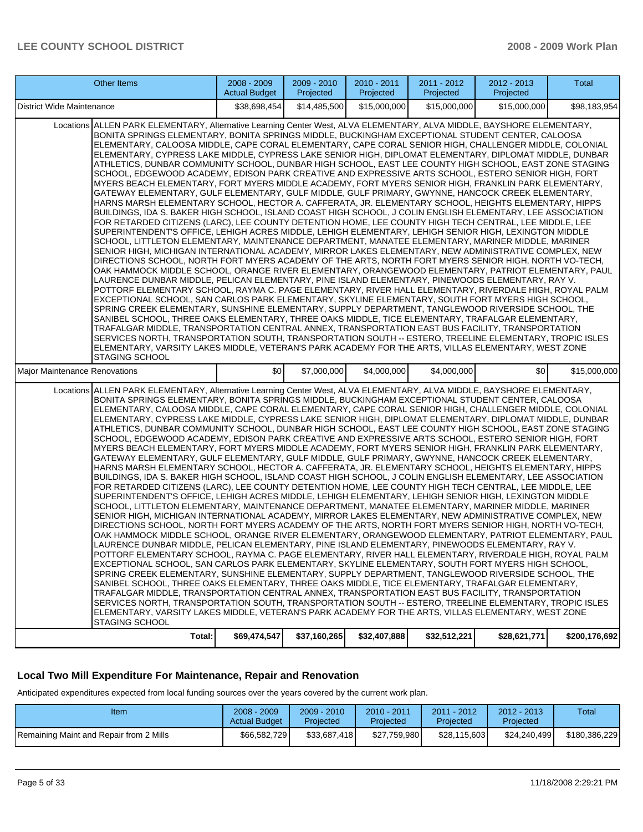| District Wide Maintenance<br>\$38,698,454<br>\$14,485,500<br>\$15,000,000<br>\$15,000,000<br>\$15,000,000<br>Locations ALLEN PARK ELEMENTARY, Alternative Learning Center West, ALVA ELEMENTARY, ALVA MIDDLE, BAYSHORE ELEMENTARY,<br>BONITA SPRINGS ELEMENTARY, BONITA SPRINGS MIDDLE, BUCKINGHAM EXCEPTIONAL STUDENT CENTER, CALOOSA<br>ELEMENTARY, CALOOSA MIDDLE, CAPE CORAL ELEMENTARY, CAPE CORAL SENIOR HIGH, CHALLENGER MIDDLE, COLONIAL<br>ELEMENTARY, CYPRESS LAKE MIDDLE, CYPRESS LAKE SENIOR HIGH, DIPLOMAT ELEMENTARY, DIPLOMAT MIDDLE, DUNBAR<br>ATHLETICS, DUNBAR COMMUNITY SCHOOL, DUNBAR HIGH SCHOOL, EAST LEE COUNTY HIGH SCHOOL, EAST ZONE STAGING<br>SCHOOL, EDGEWOOD ACADEMY, EDISON PARK CREATIVE AND EXPRESSIVE ARTS SCHOOL, ESTERO SENIOR HIGH, FORT<br>MYERS BEACH ELEMENTARY, FORT MYERS MIDDLE ACADEMY, FORT MYERS SENIOR HIGH, FRANKLIN PARK ELEMENTARY,<br>GATEWAY ELEMENTARY, GULF ELEMENTARY, GULF MIDDLE, GULF PRIMARY, GWYNNE, HANCOCK CREEK ELEMENTARY,<br>HARNS MARSH ELEMENTARY SCHOOL, HECTOR A. CAFFERATA, JR. ELEMENTARY SCHOOL, HEIGHTS ELEMENTARY, HIPPS<br>BUILDINGS, IDA S. BAKER HIGH SCHOOL, ISLAND COAST HIGH SCHOOL, J COLIN ENGLISH ELEMENTARY, LEE ASSOCIATION<br>FOR RETARDED CITIZENS (LARC), LEE COUNTY DETENTION HOME, LEE COUNTY HIGH TECH CENTRAL, LEE MIDDLE, LEE<br>SUPERINTENDENT'S OFFICE, LEHIGH ACRES MIDDLE, LEHIGH ELEMENTARY, LEHIGH SENIOR HIGH, LEXINGTON MIDDLE<br>SCHOOL, LITTLETON ELEMENTARY, MAINTENANCE DEPARTMENT, MANATEE ELEMENTARY, MARINER MIDDLE, MARINER<br>SENIOR HIGH, MICHIGAN INTERNATIONAL ACADEMY, MIRROR LAKES ELEMENTARY, NEW ADMINISTRATIVE COMPLEX, NEW<br>DIRECTIONS SCHOOL, NORTH FORT MYERS ACADEMY OF THE ARTS, NORTH FORT MYERS SENIOR HIGH, NORTH VO-TECH,<br>OAK HAMMOCK MIDDLE SCHOOL, ORANGE RIVER ELEMENTARY, ORANGEWOOD ELEMENTARY, PATRIOT ELEMENTARY, PAUL<br>LAURENCE DUNBAR MIDDLE, PELICAN ELEMENTARY, PINE ISLAND ELEMENTARY, PINEWOODS ELEMENTARY, RAY V.<br>POTTORF ELEMENTARY SCHOOL, RAYMA C. PAGE ELEMENTARY, RIVER HALL ELEMENTARY, RIVERDALE HIGH, ROYAL PALM<br>EXCEPTIONAL SCHOOL, SAN CARLOS PARK ELEMENTARY, SKYLINE ELEMENTARY, SOUTH FORT MYERS HIGH SCHOOL,<br>SPRING CREEK ELEMENTARY, SUNSHINE ELEMENTARY, SUPPLY DEPARTMENT, TANGLEWOOD RIVERSIDE SCHOOL, THE<br>SANIBEL SCHOOL, THREE OAKS ELEMENTARY, THREE OAKS MIDDLE, TICE ELEMENTARY, TRAFALGAR ELEMENTARY,<br>TRAFALGAR MIDDLE, TRANSPORTATION CENTRAL ANNEX, TRANSPORTATION EAST BUS FACILITY, TRANSPORTATION<br>SERVICES NORTH, TRANSPORTATION SOUTH, TRANSPORTATION SOUTH -- ESTERO, TREELINE ELEMENTARY, TROPIC ISLES<br>ELEMENTARY, VARSITY LAKES MIDDLE, VETERAN'S PARK ACADEMY FOR THE ARTS, VILLAS ELEMENTARY, WEST ZONE<br><b>STAGING SCHOOL</b><br>\$0<br>\$0<br>Major Maintenance Renovations<br>\$7,000,000<br>\$4,000,000<br>\$4,000,000<br>Locations ALLEN PARK ELEMENTARY, Alternative Learning Center West, ALVA ELEMENTARY, ALVA MIDDLE, BAYSHORE ELEMENTARY,<br>BONITA SPRINGS ELEMENTARY, BONITA SPRINGS MIDDLE, BUCKINGHAM EXCEPTIONAL STUDENT CENTER, CALOOSA<br>ELEMENTARY, CALOOSA MIDDLE, CAPE CORAL ELEMENTARY, CAPE CORAL SENIOR HIGH, CHALLENGER MIDDLE, COLONIAL<br>ELEMENTARY, CYPRESS LAKE MIDDLE, CYPRESS LAKE SENIOR HIGH, DIPLOMAT ELEMENTARY, DIPLOMAT MIDDLE, DUNBAR<br>ATHLETICS, DUNBAR COMMUNITY SCHOOL, DUNBAR HIGH SCHOOL, EAST LEE COUNTY HIGH SCHOOL, EAST ZONE STAGING<br>SCHOOL, EDGEWOOD ACADEMY, EDISON PARK CREATIVE AND EXPRESSIVE ARTS SCHOOL, ESTERO SENIOR HIGH, FORT<br>MYERS BEACH ELEMENTARY, FORT MYERS MIDDLE ACADEMY, FORT MYERS SENIOR HIGH, FRANKLIN PARK ELEMENTARY,<br>GATEWAY ELEMENTARY, GULF ELEMENTARY, GULF MIDDLE, GULF PRIMARY, GWYNNE, HANCOCK CREEK ELEMENTARY,<br>HARNS MARSH ELEMENTARY SCHOOL, HECTOR A. CAFFERATA, JR. ELEMENTARY SCHOOL, HEIGHTS ELEMENTARY, HIPPS<br>BUILDINGS, IDA S. BAKER HIGH SCHOOL, ISLAND COAST HIGH SCHOOL, J COLIN ENGLISH ELEMENTARY, LEE ASSOCIATION<br>FOR RETARDED CITIZENS (LARC), LEE COUNTY DETENTION HOME, LEE COUNTY HIGH TECH CENTRAL, LEE MIDDLE, LEE<br>SUPERINTENDENT'S OFFICE, LEHIGH ACRES MIDDLE, LEHIGH ELEMENTARY, LEHIGH SENIOR HIGH, LEXINGTON MIDDLE<br>SCHOOL, LITTLETON ELEMENTARY, MAINTENANCE DEPARTMENT, MANATEE ELEMENTARY, MARINER MIDDLE, MARINER<br>SENIOR HIGH, MICHIGAN INTERNATIONAL ACADEMY, MIRROR LAKES ELEMENTARY, NEW ADMINISTRATIVE COMPLEX, NEW<br>DIRECTIONS SCHOOL. NORTH FORT MYERS ACADEMY OF THE ARTS. NORTH FORT MYERS SENIOR HIGH. NORTH VO-TECH.<br>OAK HAMMOCK MIDDLE SCHOOL, ORANGE RIVER ELEMENTARY, ORANGEWOOD ELEMENTARY, PATRIOT ELEMENTARY, PAUL<br>LAURENCE DUNBAR MIDDLE, PELICAN ELEMENTARY, PINE ISLAND ELEMENTARY, PINEWOODS ELEMENTARY, RAY V.<br>POTTORF ELEMENTARY SCHOOL, RAYMA C. PAGE ELEMENTARY, RIVER HALL ELEMENTARY, RIVERDALE HIGH, ROYAL PALM<br>EXCEPTIONAL SCHOOL, SAN CARLOS PARK ELEMENTARY, SKYLINE ELEMENTARY, SOUTH FORT MYERS HIGH SCHOOL,<br>SPRING CREEK ELEMENTARY, SUNSHINE ELEMENTARY, SUPPLY DEPARTMENT, TANGLEWOOD RIVERSIDE SCHOOL, THE<br>SANIBEL SCHOOL. THREE OAKS ELEMENTARY. THREE OAKS MIDDLE. TICE ELEMENTARY. TRAFALGAR ELEMENTARY.<br>TRAFALGAR MIDDLE, TRANSPORTATION CENTRAL ANNEX, TRANSPORTATION EAST BUS FACILITY, TRANSPORTATION<br>SERVICES NORTH, TRANSPORTATION SOUTH, TRANSPORTATION SOUTH -- ESTERO, TREELINE ELEMENTARY, TROPIC ISLES<br>ELEMENTARY, VARSITY LAKES MIDDLE, VETERAN'S PARK ACADEMY FOR THE ARTS, VILLAS ELEMENTARY, WEST ZONE<br><b>STAGING SCHOOL</b> | Other Items | 2008 - 2009<br><b>Actual Budget</b> | 2009 - 2010<br>Projected | 2010 - 2011<br>Projected | 2011 - 2012<br>Projected | 2012 - 2013<br>Projected | Total         |
|---------------------------------------------------------------------------------------------------------------------------------------------------------------------------------------------------------------------------------------------------------------------------------------------------------------------------------------------------------------------------------------------------------------------------------------------------------------------------------------------------------------------------------------------------------------------------------------------------------------------------------------------------------------------------------------------------------------------------------------------------------------------------------------------------------------------------------------------------------------------------------------------------------------------------------------------------------------------------------------------------------------------------------------------------------------------------------------------------------------------------------------------------------------------------------------------------------------------------------------------------------------------------------------------------------------------------------------------------------------------------------------------------------------------------------------------------------------------------------------------------------------------------------------------------------------------------------------------------------------------------------------------------------------------------------------------------------------------------------------------------------------------------------------------------------------------------------------------------------------------------------------------------------------------------------------------------------------------------------------------------------------------------------------------------------------------------------------------------------------------------------------------------------------------------------------------------------------------------------------------------------------------------------------------------------------------------------------------------------------------------------------------------------------------------------------------------------------------------------------------------------------------------------------------------------------------------------------------------------------------------------------------------------------------------------------------------------------------------------------------------------------------------------------------------------------------------------------------------------------------------------------------------------------------------------------------------------------------------------------------------------------------------------------------------------------------------------------------------------------------------------------------------------------------------------------------------------------------------------------------------------------------------------------------------------------------------------------------------------------------------------------------------------------------------------------------------------------------------------------------------------------------------------------------------------------------------------------------------------------------------------------------------------------------------------------------------------------------------------------------------------------------------------------------------------------------------------------------------------------------------------------------------------------------------------------------------------------------------------------------------------------------------------------------------------------------------------------------------------------------------------------------------------------------------------------------------------------------------------------------------------------------------------------------------------------------------------------------------------------------------------------------------------------------------------------------------------------------------------------------------------------------------------------------------------------------------------------------------------------------------------------------------------------------------------------------------------------------------------------------------------------------------------------------------------------------------------------------------------------------------------------------------------------------------------------------------------------------------------------------------------------------------------------------------------------------------------------------------------------------------------------------------------------------------------------------------------------------------------------------------------------------------------------------------------------------------------------------------------------------------------------------------------------------------------------------------------------------------|-------------|-------------------------------------|--------------------------|--------------------------|--------------------------|--------------------------|---------------|
| \$15,000,000                                                                                                                                                                                                                                                                                                                                                                                                                                                                                                                                                                                                                                                                                                                                                                                                                                                                                                                                                                                                                                                                                                                                                                                                                                                                                                                                                                                                                                                                                                                                                                                                                                                                                                                                                                                                                                                                                                                                                                                                                                                                                                                                                                                                                                                                                                                                                                                                                                                                                                                                                                                                                                                                                                                                                                                                                                                                                                                                                                                                                                                                                                                                                                                                                                                                                                                                                                                                                                                                                                                                                                                                                                                                                                                                                                                                                                                                                                                                                                                                                                                                                                                                                                                                                                                                                                                                                                                                                                                                                                                                                                                                                                                                                                                                                                                                                                                                                                                                                                                                                                                                                                                                                                                                                                                                                                                                                                                                                                                              |             |                                     |                          |                          |                          |                          | \$98,183,954  |
|                                                                                                                                                                                                                                                                                                                                                                                                                                                                                                                                                                                                                                                                                                                                                                                                                                                                                                                                                                                                                                                                                                                                                                                                                                                                                                                                                                                                                                                                                                                                                                                                                                                                                                                                                                                                                                                                                                                                                                                                                                                                                                                                                                                                                                                                                                                                                                                                                                                                                                                                                                                                                                                                                                                                                                                                                                                                                                                                                                                                                                                                                                                                                                                                                                                                                                                                                                                                                                                                                                                                                                                                                                                                                                                                                                                                                                                                                                                                                                                                                                                                                                                                                                                                                                                                                                                                                                                                                                                                                                                                                                                                                                                                                                                                                                                                                                                                                                                                                                                                                                                                                                                                                                                                                                                                                                                                                                                                                                                                           |             |                                     |                          |                          |                          |                          |               |
|                                                                                                                                                                                                                                                                                                                                                                                                                                                                                                                                                                                                                                                                                                                                                                                                                                                                                                                                                                                                                                                                                                                                                                                                                                                                                                                                                                                                                                                                                                                                                                                                                                                                                                                                                                                                                                                                                                                                                                                                                                                                                                                                                                                                                                                                                                                                                                                                                                                                                                                                                                                                                                                                                                                                                                                                                                                                                                                                                                                                                                                                                                                                                                                                                                                                                                                                                                                                                                                                                                                                                                                                                                                                                                                                                                                                                                                                                                                                                                                                                                                                                                                                                                                                                                                                                                                                                                                                                                                                                                                                                                                                                                                                                                                                                                                                                                                                                                                                                                                                                                                                                                                                                                                                                                                                                                                                                                                                                                                                           |             |                                     |                          |                          |                          |                          |               |
|                                                                                                                                                                                                                                                                                                                                                                                                                                                                                                                                                                                                                                                                                                                                                                                                                                                                                                                                                                                                                                                                                                                                                                                                                                                                                                                                                                                                                                                                                                                                                                                                                                                                                                                                                                                                                                                                                                                                                                                                                                                                                                                                                                                                                                                                                                                                                                                                                                                                                                                                                                                                                                                                                                                                                                                                                                                                                                                                                                                                                                                                                                                                                                                                                                                                                                                                                                                                                                                                                                                                                                                                                                                                                                                                                                                                                                                                                                                                                                                                                                                                                                                                                                                                                                                                                                                                                                                                                                                                                                                                                                                                                                                                                                                                                                                                                                                                                                                                                                                                                                                                                                                                                                                                                                                                                                                                                                                                                                                                           | Total:      | \$69,474,547                        | \$37,160,265             | \$32,407,888             | \$32,512,221             | \$28,621,771             | \$200,176,692 |

#### **Local Two Mill Expenditure For Maintenance, Repair and Renovation**

Anticipated expenditures expected from local funding sources over the years covered by the current work plan.

| Item                                    | $2008 - 2009$<br><b>Actual Budget</b> | 2009 - 2010<br>Projected | $2010 - 2011$<br>Projected | 2011 - 2012<br>Projected | $2012 - 2013$<br>Projected | Total         |
|-----------------------------------------|---------------------------------------|--------------------------|----------------------------|--------------------------|----------------------------|---------------|
| Remaining Maint and Repair from 2 Mills | \$66,582,729                          | \$33.687.418             | \$27.759.980               | \$28.115.603             | \$24.240.499               | \$180.386.229 |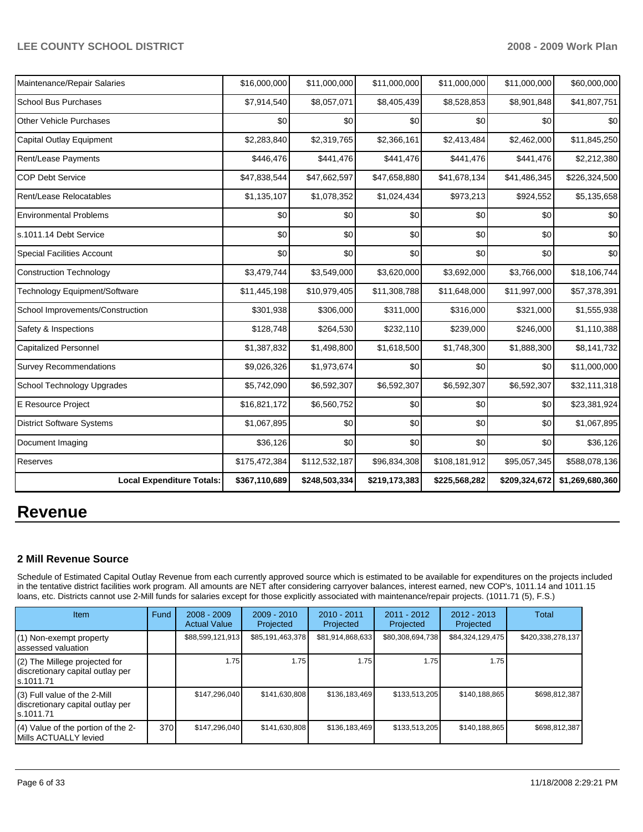| Maintenance/Repair Salaries       | \$16,000,000  | \$11,000,000  | \$11,000,000  | \$11,000,000  | \$11,000,000  | \$60,000,000    |
|-----------------------------------|---------------|---------------|---------------|---------------|---------------|-----------------|
| <b>School Bus Purchases</b>       | \$7,914,540   | \$8,057,071   | \$8,405,439   | \$8,528,853   | \$8,901,848   | \$41,807,751    |
| <b>Other Vehicle Purchases</b>    | \$0           | \$0           | \$0           | \$0           | \$0           | \$0             |
| <b>Capital Outlay Equipment</b>   | \$2,283,840   | \$2,319,765   | \$2,366,161   | \$2,413,484   | \$2,462,000   | \$11,845,250    |
| Rent/Lease Payments               | \$446,476     | \$441,476     | \$441,476     | \$441,476     | \$441,476     | \$2,212,380     |
| <b>COP Debt Service</b>           | \$47,838,544  | \$47,662,597  | \$47,658,880  | \$41,678,134  | \$41,486,345  | \$226,324,500   |
| Rent/Lease Relocatables           | \$1,135,107   | \$1,078,352   | \$1,024,434   | \$973,213     | \$924,552     | \$5,135,658     |
| <b>Environmental Problems</b>     | \$0           | \$0           | \$0           | \$0           | \$0           | \$0             |
| s.1011.14 Debt Service            | \$0           | \$0           | \$0           | \$0           | \$0           | \$0             |
| <b>Special Facilities Account</b> | \$0           | \$0           | \$0           | \$0           | \$0           | \$0             |
| <b>Construction Technology</b>    | \$3,479,744   | \$3,549,000   | \$3,620,000   | \$3,692,000   | \$3,766,000   | \$18,106,744    |
| Technology Equipment/Software     | \$11,445,198  | \$10,979,405  | \$11,308,788  | \$11,648,000  | \$11,997,000  | \$57,378,391    |
| School Improvements/Construction  | \$301,938     | \$306,000     | \$311,000     | \$316,000     | \$321,000     | \$1,555,938     |
| Safety & Inspections              | \$128,748     | \$264,530     | \$232,110     | \$239,000     | \$246,000     | \$1,110,388     |
| <b>Capitalized Personnel</b>      | \$1,387,832   | \$1,498,800   | \$1,618,500   | \$1,748,300   | \$1,888,300   | \$8,141,732     |
| <b>Survey Recommendations</b>     | \$9,026,326   | \$1,973,674   | \$0           | \$0           | \$0           | \$11,000,000    |
| School Technology Upgrades        | \$5,742,090   | \$6,592,307   | \$6,592,307   | \$6,592,307   | \$6,592,307   | \$32,111,318    |
| E Resource Project                | \$16,821,172  | \$6,560,752   | \$0           | \$0           | \$0           | \$23,381,924    |
| <b>District Software Systems</b>  | \$1,067,895   | \$0           | \$0           | \$0           | \$0           | \$1,067,895     |
| Document Imaging                  | \$36,126      | \$0           | \$0           | \$0           | \$0           | \$36,126        |
| Reserves                          | \$175,472,384 | \$112,532,187 | \$96,834,308  | \$108,181,912 | \$95,057,345  | \$588,078,136   |
| <b>Local Expenditure Totals:</b>  | \$367,110,689 | \$248,503,334 | \$219,173,383 | \$225,568,282 | \$209,324,672 | \$1,269,680,360 |

# **Revenue**

### **2 Mill Revenue Source**

Schedule of Estimated Capital Outlay Revenue from each currently approved source which is estimated to be available for expenditures on the projects included in the tentative district facilities work program. All amounts are NET after considering carryover balances, interest earned, new COP's, 1011.14 and 1011.15 loans, etc. Districts cannot use 2-Mill funds for salaries except for those explicitly associated with maintenance/repair projects. (1011.71 (5), F.S.)

| Item                                                                           | Fund | $2008 - 2009$<br><b>Actual Value</b> | $2009 - 2010$<br>Projected | $2010 - 2011$<br>Projected | $2011 - 2012$<br>Projected | $2012 - 2013$<br>Projected | Total             |
|--------------------------------------------------------------------------------|------|--------------------------------------|----------------------------|----------------------------|----------------------------|----------------------------|-------------------|
| (1) Non-exempt property<br>assessed valuation                                  |      | \$88,599,121,913                     | \$85,191,463,378           | \$81,914,868,633           | \$80,308,694,738           | \$84,324,129,475           | \$420,338,278,137 |
| (2) The Millege projected for<br>discretionary capital outlay per<br>s.1011.71 |      | 1.75                                 | 1.75                       | 1.75                       | 1.75                       | 1.75                       |                   |
| (3) Full value of the 2-Mill<br>discretionary capital outlay per<br>s.1011.71  |      | \$147.296.040                        | \$141.630.808              | \$136,183,469              | \$133,513,205              | \$140.188.865              | \$698.812.387     |
| (4) Value of the portion of the 2-<br>Mills ACTUALLY levied                    | 370I | \$147,296,040                        | \$141,630,808              | \$136,183,469              | \$133,513,205              | \$140,188,865              | \$698,812,387     |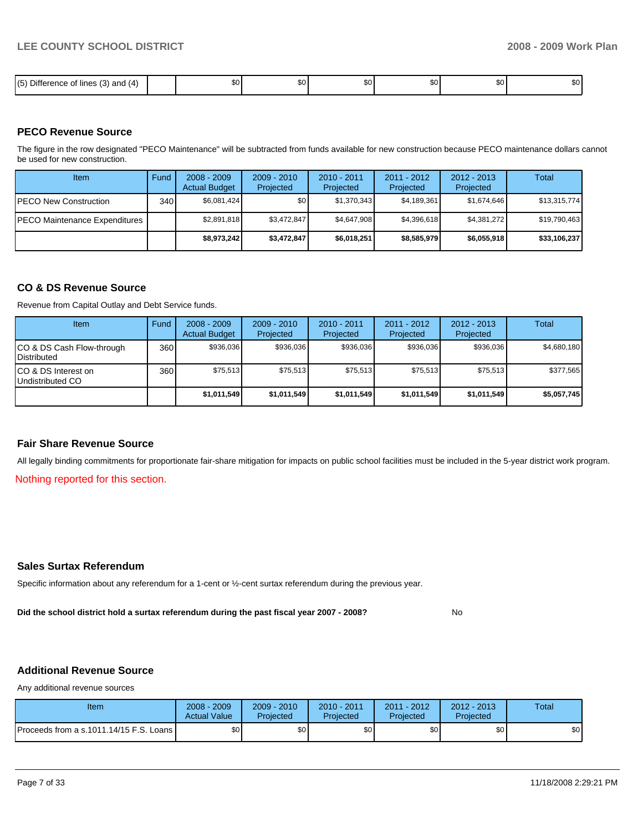| .<br>$- \cdot -$<br>15<br>$\overline{\phantom{a}}$<br>; (3) and<br>$\sim$<br><b>lines</b><br>14<br>Jitté<br>.<br>٠.<br>ີ | тn Алтинистика (1980)<br>1980 година (1980)<br>1980 година (1980)<br>æи. | \$0 l | ጦጣ<br>w | ሶስ<br>JU. | ጦጣ<br>JU. | m c<br>w |
|--------------------------------------------------------------------------------------------------------------------------|--------------------------------------------------------------------------|-------|---------|-----------|-----------|----------|

#### **PECO Revenue Source**

The figure in the row designated "PECO Maintenance" will be subtracted from funds available for new construction because PECO maintenance dollars cannot be used for new construction.

| Item                                  | Fund             | $2008 - 2009$<br><b>Actual Budget</b> | $2009 - 2010$<br>Projected | $2010 - 2011$<br>Projected | $2011 - 2012$<br>Projected | $2012 - 2013$<br>Projected | Total        |
|---------------------------------------|------------------|---------------------------------------|----------------------------|----------------------------|----------------------------|----------------------------|--------------|
| <b>IPECO New Construction</b>         | 340 <sup>1</sup> | \$6,081,424                           | \$٥Ι                       | \$1,370,343                | \$4,189,361                | \$1,674,646                | \$13,315,774 |
| <b>IPECO Maintenance Expenditures</b> |                  | \$2,891,818                           | \$3,472,847                | \$4.647.908                | \$4.396.618                | \$4.381.272                | \$19,790,463 |
|                                       |                  | \$8,973,242                           | \$3,472,847                | \$6,018,251                | \$8,585,979                | \$6,055,918                | \$33,106,237 |

#### **CO & DS Revenue Source**

Revenue from Capital Outlay and Debt Service funds.

| Item                                               | Fund | $2008 - 2009$<br><b>Actual Budget</b> | $2009 - 2010$<br>Projected | $2010 - 2011$<br>Projected | $2011 - 2012$<br>Projected | $2012 - 2013$<br>Projected | Total       |
|----------------------------------------------------|------|---------------------------------------|----------------------------|----------------------------|----------------------------|----------------------------|-------------|
| ICO & DS Cash Flow-through<br><b>I</b> Distributed | 360  | \$936.036                             | \$936.036                  | \$936.036                  | \$936.036                  | \$936.036                  | \$4,680,180 |
| ICO & DS Interest on<br>Undistributed CO           | 360  | \$75.513                              | \$75.513                   | \$75.513                   | \$75,513                   | \$75.513                   | \$377,565   |
|                                                    |      | \$1,011,549                           | \$1,011,549                | \$1,011,549                | \$1,011,549                | \$1,011,549                | \$5,057,745 |

#### **Fair Share Revenue Source**

All legally binding commitments for proportionate fair-share mitigation for impacts on public school facilities must be included in the 5-year district work program.

Nothing reported for this section.

#### **Sales Surtax Referendum**

Specific information about any referendum for a 1-cent or ½-cent surtax referendum during the previous year.

**Did the school district hold a surtax referendum during the past fiscal year 2007 - 2008?** No

# **Additional Revenue Source**

Any additional revenue sources

| Item                                      | 2008 - 2009<br><b>Actual Value</b> | $2009 - 2010$<br>Projected | 2010 - 2011<br>Projected | 2011 - 2012<br>Projected | $2012 - 2013$<br>Projected | Total |
|-------------------------------------------|------------------------------------|----------------------------|--------------------------|--------------------------|----------------------------|-------|
| Proceeds from a s.1011.14/15 F.S. Loans I | ¢∩<br>υU                           | ¢Λ<br>υU                   | \$0                      | \$0                      | \$0                        | \$0   |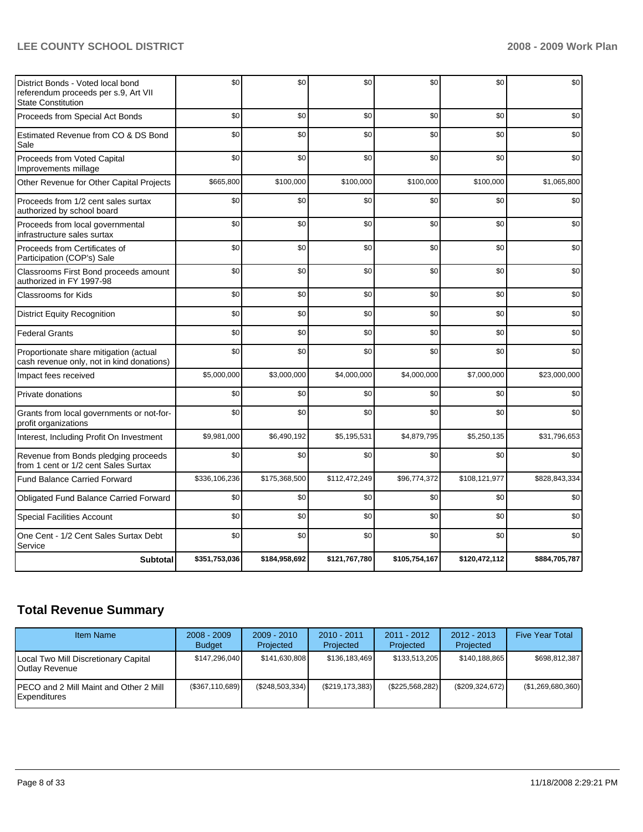| District Bonds - Voted local bond<br>referendum proceeds per s.9, Art VII<br><b>State Constitution</b> | \$0           | \$0           | \$0           | \$0           | \$0           | \$0           |
|--------------------------------------------------------------------------------------------------------|---------------|---------------|---------------|---------------|---------------|---------------|
| Proceeds from Special Act Bonds                                                                        | \$0           | \$0           | \$0           | \$0           | \$0           | \$0           |
| Estimated Revenue from CO & DS Bond<br>Sale                                                            | \$0           | \$0           | \$0           | \$0           | \$0           | \$0           |
| Proceeds from Voted Capital<br>Improvements millage                                                    | \$0           | \$0           | \$0           | \$0           | \$0           | \$0           |
| Other Revenue for Other Capital Projects                                                               | \$665,800     | \$100.000     | \$100,000     | \$100,000     | \$100,000     | \$1.065.800   |
| Proceeds from 1/2 cent sales surtax<br>authorized by school board                                      | \$0           | \$0           | \$0           | \$0           | \$0           | \$0           |
| Proceeds from local governmental<br>infrastructure sales surtax                                        | \$0           | \$0           | \$0           | \$0           | \$0           | \$0           |
| Proceeds from Certificates of<br>Participation (COP's) Sale                                            | \$0           | \$0           | \$0           | \$0           | \$0           | \$0           |
| Classrooms First Bond proceeds amount<br>authorized in FY 1997-98                                      | \$0           | \$0           | \$0           | \$0           | \$0           | \$0           |
| <b>Classrooms for Kids</b>                                                                             | \$0           | \$0           | \$0           | \$0           | \$0           | \$0           |
| <b>District Equity Recognition</b>                                                                     | \$0           | \$0           | \$0           | \$0           | \$0           | \$0           |
| <b>Federal Grants</b>                                                                                  | \$0           | \$0           | \$0           | \$0           | \$0           | \$0           |
| Proportionate share mitigation (actual<br>cash revenue only, not in kind donations)                    | \$0           | \$0           | \$0           | \$0           | \$0           | \$0           |
| Impact fees received                                                                                   | \$5,000,000   | \$3,000,000   | \$4,000,000   | \$4,000,000   | \$7,000,000   | \$23,000,000  |
| Private donations                                                                                      | \$0           | \$0           | \$0           | \$0           | \$0           | \$0           |
| Grants from local governments or not-for-<br>profit organizations                                      | \$0           | \$0           | \$0           | \$0           | \$0           | \$0           |
| Interest, Including Profit On Investment                                                               | \$9,981,000   | \$6,490,192   | \$5,195,531   | \$4,879,795   | \$5,250,135   | \$31.796.653  |
| Revenue from Bonds pledging proceeds<br>from 1 cent or 1/2 cent Sales Surtax                           | \$0           | \$0           | \$0           | \$0           | \$0           | \$0           |
| <b>Fund Balance Carried Forward</b>                                                                    | \$336,106,236 | \$175,368,500 | \$112,472,249 | \$96,774,372  | \$108,121,977 | \$828,843,334 |
| Obligated Fund Balance Carried Forward                                                                 | \$0           | \$0           | \$0           | \$0           | \$0           | \$0           |
| <b>Special Facilities Account</b>                                                                      | \$0           | \$0           | \$0           | \$0           | \$0           | \$0           |
| One Cent - 1/2 Cent Sales Surtax Debt<br>Service                                                       | \$0           | \$0           | \$0           | \$0           | \$0           | \$0           |
| <b>Subtotal</b>                                                                                        | \$351,753,036 | \$184,958,692 | \$121,767,780 | \$105,754,167 | \$120,472,112 | \$884,705,787 |

# **Total Revenue Summary**

| <b>Item Name</b>                                               | $2008 - 2009$<br><b>Budget</b> | $2009 - 2010$<br>Projected | 2010 - 2011<br>Projected | $2011 - 2012$<br>Projected | $2012 - 2013$<br>Projected | <b>Five Year Total</b> |
|----------------------------------------------------------------|--------------------------------|----------------------------|--------------------------|----------------------------|----------------------------|------------------------|
| Local Two Mill Discretionary Capital<br>Outlay Revenue         | \$147,296,040                  | \$141,630,808              | \$136,183,469            | \$133,513,205              | \$140.188.865              | \$698.812.387          |
| <b>IPECO and 2 Mill Maint and Other 2 Mill</b><br>Expenditures | $(\$367,110,689)$              | (\$248,503,334)            | (\$219, 173, 383)        | (\$225,568,282)            | (\$209,324,672)            | (\$1,269,680,360)      |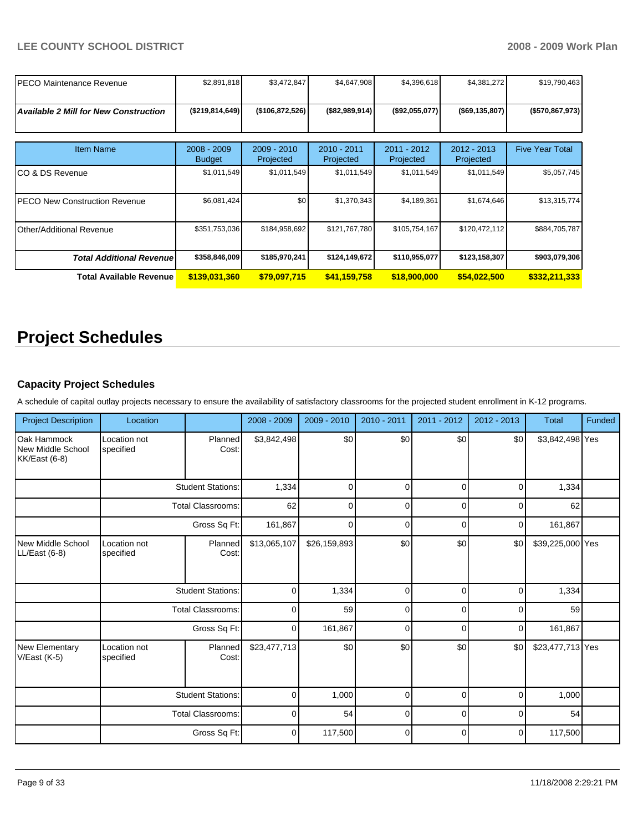| PECO Maintenance Revenue                     | \$2,891,818                    | \$3,472,847                | \$4,647,908              | \$4,396,618              | \$4,381,272                | \$19,790,463           |
|----------------------------------------------|--------------------------------|----------------------------|--------------------------|--------------------------|----------------------------|------------------------|
| <b>Available 2 Mill for New Construction</b> | (\$219,814,649)                | (\$106,872,526)            | (\$82,989,914)           | (\$92,055,077)           | ( \$69, 135, 807)          | (\$570,867,973)        |
| <b>Item Name</b>                             | $2008 - 2009$<br><b>Budget</b> | $2009 - 2010$<br>Projected | 2010 - 2011<br>Projected | 2011 - 2012<br>Projected | $2012 - 2013$<br>Projected | <b>Five Year Total</b> |
| ICO & DS Revenue                             | \$1,011,549                    | \$1,011,549                | \$1,011,549              | \$1,011,549              | \$1,011,549                | \$5,057,745            |
| IPECO New Construction Revenue               | \$6,081,424                    | \$0 <sub>1</sub>           | \$1,370,343              | \$4,189,361              | \$1,674,646                | \$13,315,774           |
| Other/Additional Revenue                     | \$351,753,036                  | \$184,958,692              | \$121,767,780            | \$105,754,167            | \$120,472,112              | \$884,705,787          |
| <b>Total Additional Revenue</b>              | \$358,846,009                  | \$185,970,241              | \$124,149,672            | \$110,955,077            | \$123,158,307              | \$903,079,306          |
| <b>Total Available Revenue</b>               | \$139,031,360                  | \$79,097,715               | \$41,159,758             | \$18,900,000             | \$54,022,500               | \$332,211,333          |

# **Project Schedules**

# **Capacity Project Schedules**

A schedule of capital outlay projects necessary to ensure the availability of satisfactory classrooms for the projected student enrollment in K-12 programs.

| <b>Project Description</b>                        | Location                  |                          | 2008 - 2009  | $2009 - 2010$                                                                                                                                                                                                                                                                                                                                                                                                                                                                       | 2010 - 2011     | $2011 - 2012$ | $2012 - 2013$ | Total            | Funded |
|---------------------------------------------------|---------------------------|--------------------------|--------------|-------------------------------------------------------------------------------------------------------------------------------------------------------------------------------------------------------------------------------------------------------------------------------------------------------------------------------------------------------------------------------------------------------------------------------------------------------------------------------------|-----------------|---------------|---------------|------------------|--------|
| Oak Hammock<br>New Middle School<br>KK/East (6-8) | Location not<br>specified | Planned<br>Cost:         | \$3,842,498  | \$0<br>\$0<br>\$0<br>\$0<br>$\mathbf 0$<br>1,334<br>$\Omega$<br>0<br>$\Omega$<br>62<br>$\mathbf 0$<br>$\Omega$<br>0<br>$\Omega$<br>161,867<br>$\mathbf 0$<br>$\Omega$<br>0<br>$\Omega$<br>\$0<br>\$0<br>\$0<br>\$26,159,893<br>1,334<br>$\mathbf 0$<br>$\mathbf 0$<br>$\mathbf 0$<br>0<br>59<br>$\Omega$<br>$\mathbf 0$<br>0<br>$\Omega$<br>161,867<br>$\mathbf 0$<br>$\Omega$<br>0<br>$\Omega$<br>\$0<br>\$0<br>\$0<br>\$0<br>1,000<br>$\mathbf 0$<br>$\mathbf 0$<br>0<br>$\Omega$ | \$3,842,498 Yes |               |               |                  |        |
|                                                   |                           | <b>Student Stations:</b> |              |                                                                                                                                                                                                                                                                                                                                                                                                                                                                                     |                 |               |               | 1,334            |        |
|                                                   |                           | <b>Total Classrooms:</b> |              |                                                                                                                                                                                                                                                                                                                                                                                                                                                                                     |                 |               |               | 62               |        |
|                                                   |                           | Gross Sq Ft:             |              |                                                                                                                                                                                                                                                                                                                                                                                                                                                                                     |                 |               |               | 161,867          |        |
| New Middle School<br>LL/East (6-8)                | Location not<br>specified | Planned<br>Cost:         | \$13,065,107 |                                                                                                                                                                                                                                                                                                                                                                                                                                                                                     |                 |               |               | \$39,225,000 Yes |        |
|                                                   |                           | <b>Student Stations:</b> |              |                                                                                                                                                                                                                                                                                                                                                                                                                                                                                     |                 |               |               | 1,334            |        |
|                                                   |                           | <b>Total Classrooms:</b> |              |                                                                                                                                                                                                                                                                                                                                                                                                                                                                                     |                 |               |               | 59               |        |
|                                                   |                           | Gross Sq Ft:             |              |                                                                                                                                                                                                                                                                                                                                                                                                                                                                                     |                 |               |               | 161,867          |        |
| <b>New Elementary</b><br>$V/East (K-5)$           | Location not<br>specified | Planned<br>Cost:         | \$23,477,713 |                                                                                                                                                                                                                                                                                                                                                                                                                                                                                     |                 |               |               | \$23,477,713 Yes |        |
|                                                   |                           | <b>Student Stations:</b> |              |                                                                                                                                                                                                                                                                                                                                                                                                                                                                                     |                 |               |               | 1,000            |        |
|                                                   |                           | <b>Total Classrooms:</b> | $\mathbf 0$  | 54                                                                                                                                                                                                                                                                                                                                                                                                                                                                                  | $\mathbf 0$     | 0             | $\Omega$      | 54               |        |
|                                                   |                           | Gross Sq Ft:             | 0            | 117,500                                                                                                                                                                                                                                                                                                                                                                                                                                                                             | 0               | 0             | $\Omega$      | 117,500          |        |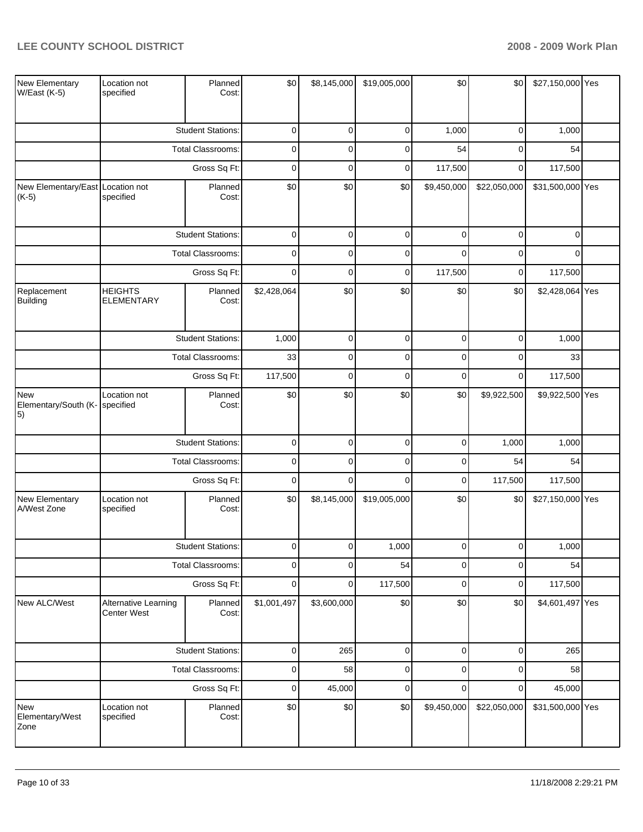| New Elementary<br>W/East (K-5)                   | Location not<br>specified           | Planned<br>Cost:         | \$0         | \$8,145,000 | \$19,005,000 | \$0         | \$0          | \$27,150,000 Yes |  |
|--------------------------------------------------|-------------------------------------|--------------------------|-------------|-------------|--------------|-------------|--------------|------------------|--|
|                                                  |                                     | <b>Student Stations:</b> | $\pmb{0}$   | $\mathbf 0$ | $\pmb{0}$    | 1,000       | 0            | 1,000            |  |
|                                                  |                                     | Total Classrooms:        | $\pmb{0}$   | $\mathbf 0$ | $\pmb{0}$    | 54          | 0            | 54               |  |
|                                                  |                                     | Gross Sq Ft:             | $\pmb{0}$   | $\mathbf 0$ | $\pmb{0}$    | 117,500     | $\mathbf 0$  | 117,500          |  |
| New Elementary/East Location not<br>$(K-5)$      | specified                           | Planned<br>Cost:         | \$0         | \$0         | \$0          | \$9,450,000 | \$22,050,000 | \$31,500,000 Yes |  |
|                                                  |                                     | <b>Student Stations:</b> | $\mathbf 0$ | $\mathbf 0$ | $\pmb{0}$    | $\Omega$    | 0            | $\Omega$         |  |
|                                                  |                                     | Total Classrooms:        | $\pmb{0}$   | $\mathbf 0$ | $\pmb{0}$    | $\Omega$    | 0            | $\Omega$         |  |
|                                                  |                                     | Gross Sq Ft:             | $\mathbf 0$ | $\mathbf 0$ | $\pmb{0}$    | 117,500     | 0            | 117,500          |  |
| Replacement<br>Building                          | <b>HEIGHTS</b><br><b>ELEMENTARY</b> | Planned<br>Cost:         | \$2,428,064 | \$0         | \$0          | \$0         | \$0          | \$2,428,064 Yes  |  |
|                                                  |                                     | <b>Student Stations:</b> | 1,000       | $\pmb{0}$   | $\pmb{0}$    | $\mathbf 0$ | 0            | 1,000            |  |
|                                                  |                                     | <b>Total Classrooms:</b> | 33          | $\mathbf 0$ | $\pmb{0}$    | $\mathbf 0$ | 0            | 33               |  |
|                                                  |                                     | Gross Sq Ft:             | 117,500     | $\mathbf 0$ | $\mathbf 0$  | $\mathbf 0$ | $\mathbf 0$  | 117,500          |  |
| <b>New</b><br>Elementary/South (K-<br>$\vert 5)$ | Location not<br>specified           | Planned<br>Cost:         | \$0         | \$0         | \$0          | \$0         | \$9,922,500  | \$9,922,500 Yes  |  |
|                                                  |                                     | <b>Student Stations:</b> | $\pmb{0}$   | $\mathbf 0$ | $\pmb{0}$    | $\mathbf 0$ | 1,000        | 1,000            |  |
|                                                  |                                     | Total Classrooms:        | $\pmb{0}$   | $\mathbf 0$ | $\pmb{0}$    | $\mathbf 0$ | 54           | 54               |  |
|                                                  |                                     | Gross Sq Ft:             | $\pmb{0}$   | $\mathbf 0$ | $\mathbf 0$  | $\mathbf 0$ | 117,500      | 117,500          |  |
| New Elementary<br>A/West Zone                    | Location not<br>specified           | Planned<br>Cost:         | \$0         | \$8,145,000 | \$19,005,000 | \$0         | \$0          | \$27,150,000 Yes |  |
|                                                  |                                     | <b>Student Stations:</b> | $\mathbf 0$ | $\mathbf 0$ | 1,000        | 0           | 0            | 1,000            |  |
|                                                  |                                     | Total Classrooms:        | $\pmb{0}$   | $\mathbf 0$ | 54           | $\mathbf 0$ | 0            | 54               |  |
|                                                  |                                     | Gross Sq Ft:             | $\pmb{0}$   | $\pmb{0}$   | 117,500      | $\mathbf 0$ | 0            | 117,500          |  |
| New ALC/West                                     | Alternative Learning<br>Center West | Planned<br>Cost:         | \$1,001,497 | \$3,600,000 | \$0          | \$0         | \$0          | \$4,601,497 Yes  |  |
|                                                  |                                     | <b>Student Stations:</b> | $\pmb{0}$   | 265         | $\pmb{0}$    | $\mathbf 0$ | 0            | 265              |  |
|                                                  |                                     | Total Classrooms:        | $\pmb{0}$   | 58          | $\pmb{0}$    | $\mathbf 0$ | 0            | 58               |  |
|                                                  |                                     | Gross Sq Ft:             | $\pmb{0}$   | 45,000      | $\pmb{0}$    | $\mathbf 0$ | $\mathbf 0$  | 45,000           |  |
| New<br>Elementary/West<br>Zone                   | Location not<br>specified           | Planned<br>Cost:         | \$0         | \$0         | \$0          | \$9,450,000 | \$22,050,000 | \$31,500,000 Yes |  |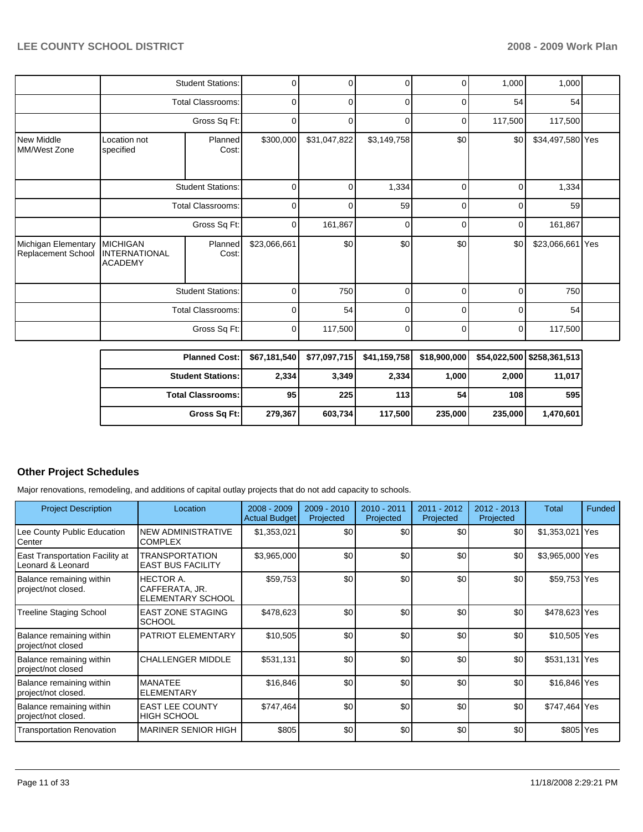|                                           |                                                           | <b>Planned Cost:</b>     | \$67,181,540 | \$77,097,715 | \$41,159,758 | \$18,900,000   | \$54,022,500 | \$258,361,513    |  |
|-------------------------------------------|-----------------------------------------------------------|--------------------------|--------------|--------------|--------------|----------------|--------------|------------------|--|
|                                           |                                                           | Gross Sq Ft:             | 0            | 117,500      | 0            | $\Omega$       | 0            | 117,500          |  |
|                                           | <b>Total Classrooms:</b>                                  |                          | 0            | 54           | 0            | 0              | C            | 54               |  |
|                                           |                                                           | <b>Student Stations:</b> | 0            | 750          | 0            | $\Omega$       | 0            | 750              |  |
| Michigan Elementary<br>Replacement School | <b>MICHIGAN</b><br><b>INTERNATIONAL</b><br><b>ACADEMY</b> | Planned<br>Cost:         | \$23,066,661 | \$0          | \$0          | \$0            | \$0          | \$23,066,661 Yes |  |
|                                           | <b>Total Classrooms:</b><br>Gross Sq Ft:                  |                          | 0            | 161,867      | 0            | 0              | 0            | 161,867          |  |
|                                           |                                                           |                          | 0            | ŋ            | 59           | $\Omega$       | C            | 59               |  |
|                                           |                                                           | <b>Student Stations:</b> | 0            | 0            | 1,334        | 0              | 0            | 1,334            |  |
| New Middle<br>IMM/West Zone               | Location not<br>specified                                 | Planned<br>Cost:         | \$300,000    | \$31,047,822 | \$3,149,758  | \$0            | \$0          | \$34,497,580 Yes |  |
|                                           | Gross Sq Ft:                                              |                          | 0            | 0            | 0            | 0              | 117,500      | 117,500          |  |
|                                           |                                                           | <b>Total Classrooms:</b> | 0            | 0            | 0            | 0              | 54           | 54               |  |
|                                           |                                                           | <b>Student Stations:</b> | 0            | 0            | 0            | $\overline{0}$ | 1,000        | 1,000            |  |

| Planned Cost:   \$67,181,540   \$77,097,715   \$41,159,758   \$18,900,000 |                 |         |         |         |         | \$54,022,500 \$258,361,513 |
|---------------------------------------------------------------------------|-----------------|---------|---------|---------|---------|----------------------------|
| <b>Student Stations: I</b>                                                | 2,334           | 3.349   | 2,334   | 1.000   | 2,000   | 11,017                     |
| <b>Total Classrooms:</b>                                                  | 95 <sub>1</sub> | 225     | 113     | 54      | 108     | 595                        |
| Gross Sq Ft:                                                              | 279.367         | 603.734 | 117.500 | 235.000 | 235,000 | 1.470.601                  |

### **Other Project Schedules**

Major renovations, remodeling, and additions of capital outlay projects that do not add capacity to schools.

| <b>Project Description</b>                           | Location                                                       | $2008 - 2009$<br><b>Actual Budget</b> | $2009 - 2010$<br>Projected | 2010 - 2011<br>Projected | $2011 - 2012$<br>Projected | $2012 - 2013$<br>Projected | Total           | Funded |
|------------------------------------------------------|----------------------------------------------------------------|---------------------------------------|----------------------------|--------------------------|----------------------------|----------------------------|-----------------|--------|
| Lee County Public Education<br>l Center              | NEW ADMINISTRATIVE<br><b>COMPLEX</b>                           | \$1,353,021                           | \$0                        | \$0                      | \$0                        | \$0                        | \$1,353,021 Yes |        |
| East Transportation Facility at<br>Leonard & Leonard | <b>TRANSPORTATION</b><br><b>EAST BUS FACILITY</b>              | \$3,965,000                           | \$0                        | \$0                      | \$0                        | \$0                        | \$3,965,000 Yes |        |
| Balance remaining within<br>project/not closed.      | <b>HECTOR A.</b><br>CAFFERATA, JR.<br><b>ELEMENTARY SCHOOL</b> | \$59,753                              | \$0                        | \$0                      | \$0                        | \$0                        | \$59,753 Yes    |        |
| Treeline Staging School                              | <b>EAST ZONE STAGING</b><br><b>SCHOOL</b>                      | \$478,623                             | \$0                        | \$0                      | \$0                        | \$0                        | \$478,623 Yes   |        |
| Balance remaining within<br>project/not closed       | <b>PATRIOT ELEMENTARY</b>                                      | \$10,505                              | \$0                        | \$0                      | \$0                        | \$0                        | \$10,505 Yes    |        |
| Balance remaining within<br>project/not closed       | <b>CHALLENGER MIDDLE</b>                                       | \$531,131                             | \$0                        | \$0                      | \$0                        | \$0                        | \$531,131 Yes   |        |
| Balance remaining within<br>project/not closed.      | <b>MANATEE</b><br><b>ELEMENTARY</b>                            | \$16,846                              | \$0                        | \$0                      | \$0                        | \$0                        | \$16,846 Yes    |        |
| Balance remaining within<br>project/not closed.      | <b>EAST LEE COUNTY</b><br><b>HIGH SCHOOL</b>                   | \$747,464                             | \$0                        | \$0                      | \$0                        | \$0                        | \$747,464 Yes   |        |
| Transportation Renovation                            | <b>MARINER SENIOR HIGH</b>                                     | \$805                                 | \$0                        | \$0                      | \$0                        | \$0                        | \$805 Yes       |        |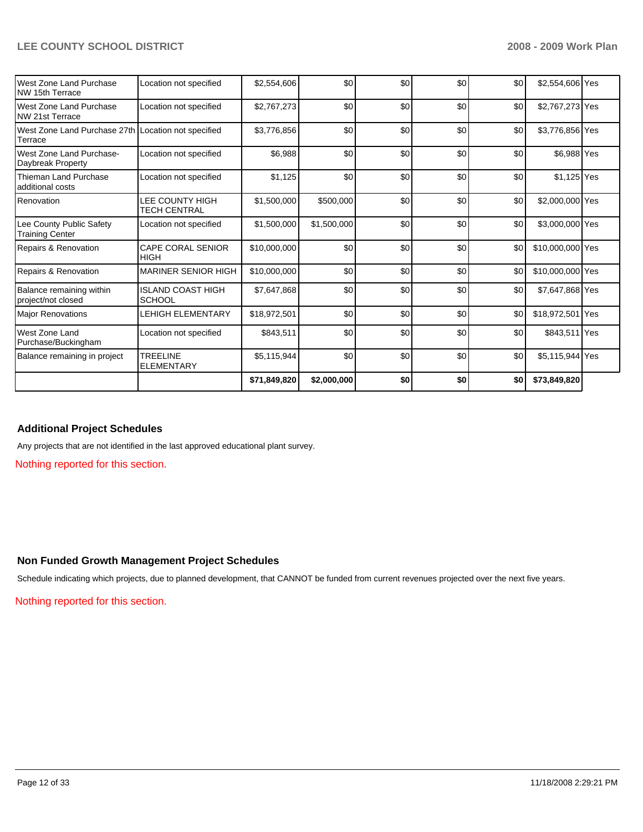|                                                                |                                           | \$71,849,820 | \$2,000,000 | \$0 | \$0 | \$0 | \$73,849,820     |  |
|----------------------------------------------------------------|-------------------------------------------|--------------|-------------|-----|-----|-----|------------------|--|
| Balance remaining in project                                   | <b>TREELINE</b><br><b>ELEMENTARY</b>      | \$5,115,944  | \$0         | \$0 | \$0 | \$0 | \$5,115,944 Yes  |  |
| West Zone Land<br>Purchase/Buckingham                          | Location not specified                    | \$843,511    | \$0         | \$0 | \$0 | \$0 | \$843,511 Yes    |  |
| <b>Major Renovations</b>                                       | <b>LEHIGH ELEMENTARY</b>                  | \$18,972,501 | \$0         | \$0 | \$0 | \$0 | \$18,972,501 Yes |  |
| Balance remaining within<br>project/not closed                 | <b>ISLAND COAST HIGH</b><br><b>SCHOOL</b> | \$7,647,868  | \$0         | \$0 | \$0 | \$0 | \$7,647,868 Yes  |  |
| Repairs & Renovation                                           | <b>MARINER SENIOR HIGH</b>                | \$10,000,000 | \$0         | \$0 | \$0 | \$0 | \$10,000,000 Yes |  |
| Repairs & Renovation                                           | <b>CAPE CORAL SENIOR</b><br>HIGH          | \$10,000,000 | \$0         | \$0 | \$0 | \$0 | \$10,000,000 Yes |  |
| Lee County Public Safety<br><b>Training Center</b>             | Location not specified                    | \$1,500,000  | \$1,500,000 | \$0 | \$0 | \$0 | \$3,000,000 Yes  |  |
| Renovation                                                     | LEE COUNTY HIGH<br><b>TECH CENTRAL</b>    | \$1,500,000  | \$500,000   | \$0 | \$0 | \$0 | \$2,000,000 Yes  |  |
| Thieman Land Purchase<br>additional costs                      | Location not specified                    | \$1,125      | \$0         | \$0 | \$0 | \$0 | \$1,125 Yes      |  |
| West Zone Land Purchase-<br>Daybreak Property                  | Location not specified                    | \$6,988      | \$0         | \$0 | \$0 | \$0 | \$6,988 Yes      |  |
| West Zone Land Purchase 27th Location not specified<br>Terrace |                                           | \$3,776,856  | \$0         | \$0 | \$0 | \$0 | \$3,776,856 Yes  |  |
| West Zone Land Purchase<br>NW 21st Terrace                     | Location not specified                    | \$2,767,273  | \$0         | \$0 | \$0 | \$0 | \$2,767,273 Yes  |  |
| West Zone Land Purchase<br>NW 15th Terrace                     | Location not specified                    | \$2,554,606  | \$0         | \$0 | \$0 | \$0 | \$2,554,606 Yes  |  |

### **Additional Project Schedules**

Any projects that are not identified in the last approved educational plant survey.

Nothing reported for this section.

#### **Non Funded Growth Management Project Schedules**

Schedule indicating which projects, due to planned development, that CANNOT be funded from current revenues projected over the next five years.

Nothing reported for this section.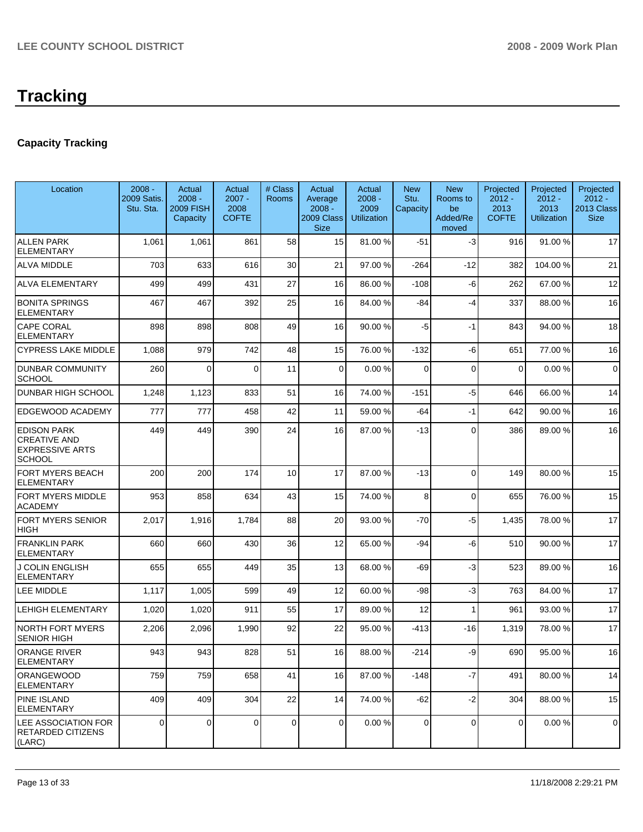# **Tracking**

# **Capacity Tracking**

| Location                                                                             | $2008 -$<br>2009 Satis.<br>Stu. Sta. | Actual<br>$2008 -$<br><b>2009 FISH</b><br>Capacity | Actual<br>$2007 -$<br>2008<br><b>COFTE</b> | # Class<br>Rooms | Actual<br>Average<br>$2008 -$<br>2009 Class<br><b>Size</b> | Actual<br>$2008 -$<br>2009<br><b>Utilization</b> | <b>New</b><br>Stu.<br>Capacity | <b>New</b><br>Rooms to<br>be<br>Added/Re<br>moved | Projected<br>$2012 -$<br>2013<br><b>COFTE</b> | Projected<br>$2012 -$<br>2013<br><b>Utilization</b> | Projected<br>$2012 -$<br>2013 Class<br><b>Size</b> |
|--------------------------------------------------------------------------------------|--------------------------------------|----------------------------------------------------|--------------------------------------------|------------------|------------------------------------------------------------|--------------------------------------------------|--------------------------------|---------------------------------------------------|-----------------------------------------------|-----------------------------------------------------|----------------------------------------------------|
| <b>ALLEN PARK</b><br><b>ELEMENTARY</b>                                               | 1,061                                | 1,061                                              | 861                                        | 58               | 15                                                         | 81.00 %                                          | $-51$                          | $-3$                                              | 916                                           | 91.00 %                                             | 17                                                 |
| <b>ALVA MIDDLE</b>                                                                   | 703                                  | 633                                                | 616                                        | 30               | 21                                                         | 97.00 %                                          | $-264$                         | $-12$                                             | 382                                           | 104.00%                                             | 21                                                 |
| <b>ALVA ELEMENTARY</b>                                                               | 499                                  | 499                                                | 431                                        | 27               | 16                                                         | 86.00 %                                          | $-108$                         | -6                                                | 262                                           | 67.00 %                                             | 12                                                 |
| <b>BONITA SPRINGS</b><br><b>ELEMENTARY</b>                                           | 467                                  | 467                                                | 392                                        | 25               | 16                                                         | 84.00 %                                          | $-84$                          | $-4$                                              | 337                                           | 88.00 %                                             | 16                                                 |
| <b>CAPE CORAL</b><br><b>ELEMENTARY</b>                                               | 898                                  | 898                                                | 808                                        | 49               | 16                                                         | 90.00 %                                          | $-5$                           | $-1$                                              | 843                                           | 94.00 %                                             | 18                                                 |
| <b>CYPRESS LAKE MIDDLE</b>                                                           | 1,088                                | 979                                                | 742                                        | 48               | 15                                                         | 76.00 %                                          | $-132$                         | -6                                                | 651                                           | 77.00 %                                             | 16                                                 |
| <b>DUNBAR COMMUNITY</b><br><b>SCHOOL</b>                                             | 260                                  | $\Omega$                                           | $\Omega$                                   | 11               | $\Omega$                                                   | 0.00%                                            | $\Omega$                       | $\Omega$                                          | $\mathbf 0$                                   | 0.00%                                               | $\mathbf 0$                                        |
| <b>DUNBAR HIGH SCHOOL</b>                                                            | 1,248                                | 1,123                                              | 833                                        | 51               | 16                                                         | 74.00 %                                          | $-151$                         | $-5$                                              | 646                                           | 66.00 %                                             | 14                                                 |
| EDGEWOOD ACADEMY                                                                     | 777                                  | 777                                                | 458                                        | 42               | 11                                                         | 59.00 %                                          | -64                            | $-1$                                              | 642                                           | 90.00 %                                             | 16                                                 |
| <b>EDISON PARK</b><br><b>CREATIVE AND</b><br><b>EXPRESSIVE ARTS</b><br><b>SCHOOL</b> | 449                                  | 449                                                | 390                                        | 24               | 16                                                         | 87.00 %                                          | -13                            | $\Omega$                                          | 386                                           | 89.00 %                                             | 16                                                 |
| FORT MYERS BEACH<br><b>ELEMENTARY</b>                                                | 200                                  | 200                                                | 174                                        | 10               | 17                                                         | 87.00 %                                          | $-13$                          | $\Omega$                                          | 149                                           | 80.00 %                                             | 15                                                 |
| <b>FORT MYERS MIDDLE</b><br><b>ACADEMY</b>                                           | 953                                  | 858                                                | 634                                        | 43               | 15                                                         | 74.00 %                                          | 8                              | $\Omega$                                          | 655                                           | 76.00 %                                             | 15                                                 |
| <b>FORT MYERS SENIOR</b><br><b>HIGH</b>                                              | 2,017                                | 1,916                                              | 1,784                                      | 88               | 20                                                         | 93.00 %                                          | $-70$                          | $-5$                                              | 1,435                                         | 78.00 %                                             | 17                                                 |
| <b>FRANKLIN PARK</b><br><b>ELEMENTARY</b>                                            | 660                                  | 660                                                | 430                                        | 36               | 12                                                         | 65.00 %                                          | -94                            | -6                                                | 510                                           | 90.00 %                                             | 17                                                 |
| <b>J COLIN ENGLISH</b><br><b>ELEMENTARY</b>                                          | 655                                  | 655                                                | 449                                        | 35               | 13                                                         | 68.00 %                                          | $-69$                          | $-3$                                              | 523                                           | 89.00 %                                             | 16                                                 |
| LEE MIDDLE                                                                           | 1,117                                | 1,005                                              | 599                                        | 49               | 12                                                         | 60.00 %                                          | -98                            | $-3$                                              | 763                                           | 84.00 %                                             | 17                                                 |
| <b>LEHIGH ELEMENTARY</b>                                                             | 1,020                                | 1,020                                              | 911                                        | 55               | 17                                                         | 89.00 %                                          | 12                             | 1                                                 | 961                                           | 93.00 %                                             | 17                                                 |
| <b>NORTH FORT MYERS</b><br><b>SENIOR HIGH</b>                                        | 2,206                                | 2,096                                              | 1,990                                      | 92               | 22                                                         | 95.00 %                                          | -413                           | -16                                               | 1,319                                         | 78.00 %                                             | 17                                                 |
| ORANGE RIVER<br><b>ELEMENTARY</b>                                                    | 943                                  | 943                                                | 828                                        | 51               | 16                                                         | 88.00 %                                          | $-214$                         | -9                                                | 690                                           | 95.00 %                                             | 16                                                 |
| <b>ORANGEWOOD</b><br><b>ELEMENTARY</b>                                               | 759                                  | 759                                                | 658                                        | 41               | 16                                                         | 87.00 %                                          | $-148$                         | $-7$                                              | 491                                           | 80.00 %                                             | 14                                                 |
| <b>PINE ISLAND</b><br><b>ELEMENTARY</b>                                              | 409                                  | 409                                                | 304                                        | 22               | 14                                                         | 74.00 %                                          | $-62$                          | $-2$                                              | 304                                           | 88.00 %                                             | 15                                                 |
| LEE ASSOCIATION FOR<br><b>RETARDED CITIZENS</b><br>(LARC)                            | 0                                    | 0                                                  | $\mathbf 0$                                | $\pmb{0}$        | $\overline{0}$                                             | 0.00%                                            | $\overline{0}$                 | $\mathbf 0$                                       | 0                                             | 0.00%                                               | $\mathbf 0$                                        |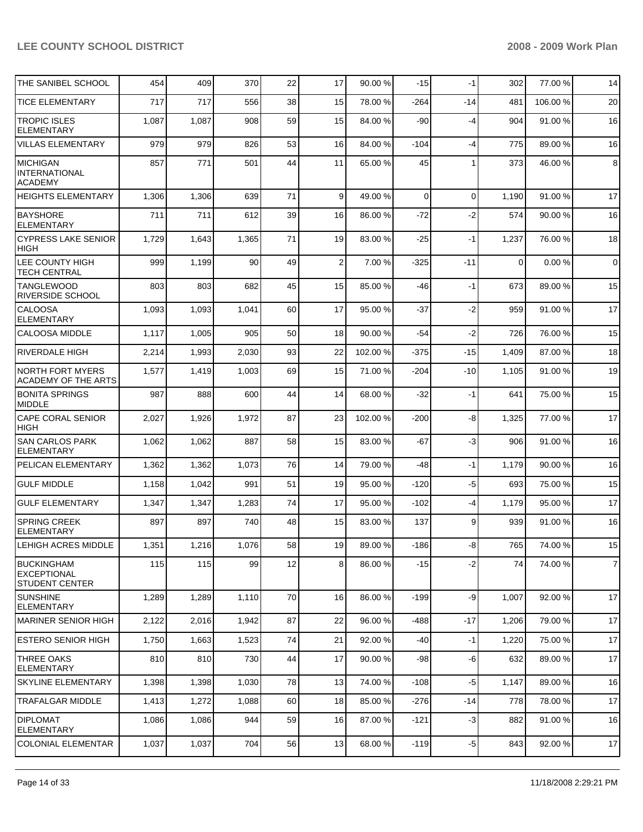| THE SANIBEL SCHOOL                                               | 454   | 409   | 370   | 22 | 17 | 90.00 %  | $-15$  | $-1$     | 302      | 77.00 %  | 14             |
|------------------------------------------------------------------|-------|-------|-------|----|----|----------|--------|----------|----------|----------|----------------|
| <b>TICE ELEMENTARY</b>                                           | 717   | 717   | 556   | 38 | 15 | 78.00 %  | -264   | $-14$    | 481      | 106.00 % | 20             |
| <b>TROPIC ISLES</b><br><b>ELEMENTARY</b>                         | 1,087 | 1,087 | 908   | 59 | 15 | 84.00 %  | -90    | $-4$     | 904      | 91.00 %  | 16             |
| <b>VILLAS ELEMENTARY</b>                                         | 979   | 979   | 826   | 53 | 16 | 84.00 %  | $-104$ | $-4$     | 775      | 89.00 %  | 16             |
| MICHIGAN<br><b>INTERNATIONAL</b><br><b>ACADEMY</b>               | 857   | 771   | 501   | 44 | 11 | 65.00 %  | 45     | 1        | 373      | 46.00 %  | $\bf8$         |
| <b>HEIGHTS ELEMENTARY</b>                                        | 1,306 | 1,306 | 639   | 71 | 9  | 49.00 %  | 0      | $\Omega$ | 1,190    | 91.00 %  | 17             |
| <b>BAYSHORE</b><br><b>ELEMENTARY</b>                             | 711   | 711   | 612   | 39 | 16 | 86.00 %  | $-72$  | $-2$     | 574      | 90.00 %  | 16             |
| <b>CYPRESS LAKE SENIOR</b><br><b>HIGH</b>                        | 1,729 | 1,643 | 1,365 | 71 | 19 | 83.00 %  | $-25$  | $-1$     | 1,237    | 76.00 %  | 18             |
| LEE COUNTY HIGH<br>TECH CENTRAL                                  | 999   | 1,199 | 90    | 49 | 2  | 7.00 %   | $-325$ | $-11$    | $\Omega$ | 0.00%    | $\mathbf 0$    |
| <b>TANGLEWOOD</b><br>RIVERSIDE SCHOOL                            | 803   | 803   | 682   | 45 | 15 | 85.00 %  | -46    | $-1$     | 673      | 89.00 %  | 15             |
| <b>CALOOSA</b><br><b>ELEMENTARY</b>                              | 1,093 | 1,093 | 1,041 | 60 | 17 | 95.00 %  | $-37$  | $-2$     | 959      | 91.00 %  | 17             |
| <b>CALOOSA MIDDLE</b>                                            | 1,117 | 1,005 | 905   | 50 | 18 | 90.00 %  | $-54$  | $-2$     | 726      | 76.00 %  | 15             |
| <b>RIVERDALE HIGH</b>                                            | 2,214 | 1,993 | 2,030 | 93 | 22 | 102.00 % | $-375$ | $-15$    | 1,409    | 87.00 %  | 18             |
| <b>NORTH FORT MYERS</b><br><b>ACADEMY OF THE ARTS</b>            | 1,577 | 1,419 | 1,003 | 69 | 15 | 71.00 %  | $-204$ | $-10$    | 1,105    | 91.00 %  | 19             |
| <b>BONITA SPRINGS</b><br><b>MIDDLE</b>                           | 987   | 888   | 600   | 44 | 14 | 68.00 %  | $-32$  | $-1$     | 641      | 75.00 %  | 15             |
| <b>CAPE CORAL SENIOR</b><br><b>HIGH</b>                          | 2,027 | 1,926 | 1,972 | 87 | 23 | 102.00 % | $-200$ | -8       | 1,325    | 77.00 %  | 17             |
| <b>SAN CARLOS PARK</b><br><b>ELEMENTARY</b>                      | 1,062 | 1,062 | 887   | 58 | 15 | 83.00 %  | $-67$  | $-3$     | 906      | 91.00 %  | 16             |
| PELICAN ELEMENTARY                                               | 1,362 | 1,362 | 1,073 | 76 | 14 | 79.00 %  | -48    | $-1$     | 1,179    | 90.00 %  | 16             |
| <b>GULF MIDDLE</b>                                               | 1,158 | 1,042 | 991   | 51 | 19 | 95.00 %  | $-120$ | $-5$     | 693      | 75.00 %  | 15             |
| <b>GULF ELEMENTARY</b>                                           | 1,347 | 1,347 | 1,283 | 74 | 17 | 95.00 %  | $-102$ | -4       | 1,179    | 95.00 %  | 17             |
| <b>SPRING CREEK</b><br><b>ELEMENTARY</b>                         | 897   | 897   | 740   | 48 | 15 | 83.00 %  | 137    | 9        | 939      | 91.00 %  | 16             |
| <b>LEHIGH ACRES MIDDLE</b>                                       | 1,351 | 1,216 | 1,076 | 58 | 19 | 89.00 %  | $-186$ | -8       | 765      | 74.00 %  | 15             |
| <b>BUCKINGHAM</b><br><b>EXCEPTIONAL</b><br><b>STUDENT CENTER</b> | 115   | 115   | 99    | 12 | 8  | 86.00 %  | $-15$  | $-2$     | 74       | 74.00 %  | $\overline{7}$ |
| <b>SUNSHINE</b><br><b>ELEMENTARY</b>                             | 1,289 | 1,289 | 1,110 | 70 | 16 | 86.00 %  | $-199$ | -9       | 1,007    | 92.00 %  | 17             |
| MARINER SENIOR HIGH                                              | 2,122 | 2,016 | 1,942 | 87 | 22 | 96.00 %  | $-488$ | $-17$    | 1,206    | 79.00 %  | 17             |
| IESTERO SENIOR HIGH                                              | 1,750 | 1,663 | 1,523 | 74 | 21 | 92.00 %  | -40    | $-1$     | 1,220    | 75.00 %  | 17             |
| <b>THREE OAKS</b><br><b>ELEMENTARY</b>                           | 810   | 810   | 730   | 44 | 17 | 90.00 %  | -98    | -6       | 632      | 89.00 %  | 17             |
| <b>SKYLINE ELEMENTARY</b>                                        | 1,398 | 1,398 | 1,030 | 78 | 13 | 74.00 %  | $-108$ | -5       | 1,147    | 89.00 %  | 16             |
| <b>TRAFALGAR MIDDLE</b>                                          | 1,413 | 1,272 | 1,088 | 60 | 18 | 85.00 %  | -276   | -14      | 778      | 78.00 %  | 17             |
| <b>DIPLOMAT</b><br><b>ELEMENTARY</b>                             | 1,086 | 1,086 | 944   | 59 | 16 | 87.00 %  | $-121$ | $-3$     | 882      | 91.00 %  | 16             |
| <b>COLONIAL ELEMENTAR</b>                                        | 1,037 | 1,037 | 704   | 56 | 13 | 68.00 %  | $-119$ | $-5$     | 843      | 92.00 %  | 17             |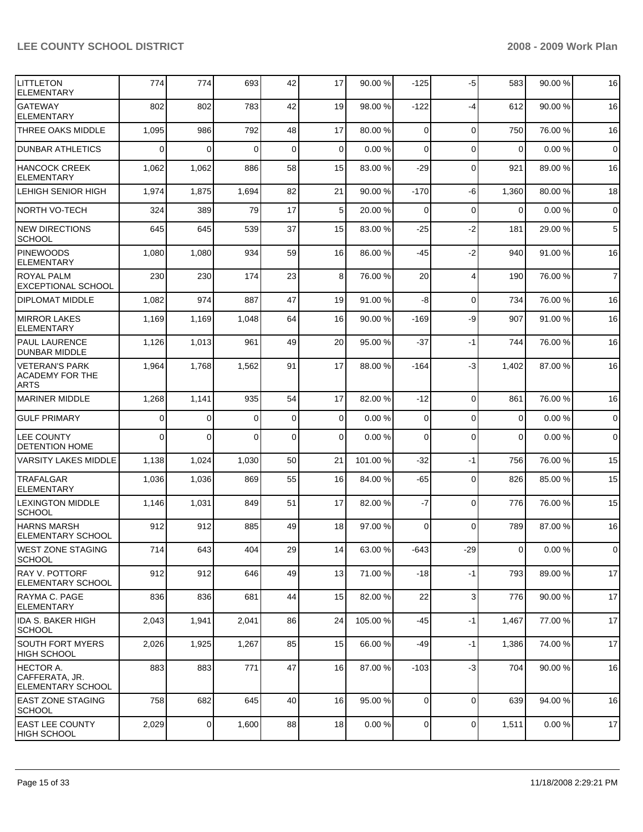| <b>LITTLETON</b><br><b>ELEMENTARY</b>                           | 774      | 774            | 693      | 42           | 17              | 90.00 %  | $-125$         | $-5$           | 583            | 90.00 %   | 16                  |
|-----------------------------------------------------------------|----------|----------------|----------|--------------|-----------------|----------|----------------|----------------|----------------|-----------|---------------------|
| <b>GATEWAY</b><br><b>ELEMENTARY</b>                             | 802      | 802            | 783      | 42           | 19              | 98.00 %  | $-122$         | $-4$           | 612            | 90.00 %   | 16                  |
| THREE OAKS MIDDLE                                               | 1,095    | 986            | 792      | 48           | 17              | 80.00 %  | $\Omega$       | $\mathbf 0$    | 750            | 76.00 %   | 16                  |
| <b>DUNBAR ATHLETICS</b>                                         | $\Omega$ | $\Omega$       | $\Omega$ | $\mathbf{0}$ | 0               | 0.00%    | $\mathbf 0$    | $\Omega$       | $\mathbf 0$    | 0.00%     | $\mathbf 0$         |
| <b>HANCOCK CREEK</b><br><b>ELEMENTARY</b>                       | 1,062    | 1,062          | 886      | 58           | 15              | 83.00 %  | $-29$          | $\Omega$       | 921            | 89.00 %   | 16                  |
| LEHIGH SENIOR HIGH                                              | 1,974    | 1,875          | 1,694    | 82           | 21              | 90.00 %  | $-170$         | -6             | 1,360          | 80.00 %   | 18                  |
| <b>NORTH VO-TECH</b>                                            | 324      | 389            | 79       | 17           | 5               | 20.00 %  | 0              | $\mathbf 0$    | $\Omega$       | 0.00%     | $\mathbf 0$         |
| <b>NEW DIRECTIONS</b><br><b>SCHOOL</b>                          | 645      | 645            | 539      | 37           | 15              | 83.00 %  | $-25$          | $-2$           | 181            | 29.00 %   | 5                   |
| <b>PINEWOODS</b><br><b>ELEMENTARY</b>                           | 1,080    | 1,080          | 934      | 59           | 16              | 86.00 %  | -45            | $-2$           | 940            | 91.00 %   | 16                  |
| <b>ROYAL PALM</b><br><b>EXCEPTIONAL SCHOOL</b>                  | 230      | 230            | 174      | 23           | 8               | 76.00 %  | 20             | $\overline{4}$ | 190            | 76.00 %   | $\overline{7}$      |
| <b>DIPLOMAT MIDDLE</b>                                          | 1,082    | 974            | 887      | 47           | 19              | 91.00 %  | -8             | $\mathbf 0$    | 734            | 76.00 %   | 16                  |
| <b>MIRROR LAKES</b><br><b>ELEMENTARY</b>                        | 1,169    | 1,169          | 1,048    | 64           | 16              | 90.00 %  | $-169$         | -9             | 907            | 91.00 %   | 16                  |
| <b>PAUL LAURENCE</b><br><b>DUNBAR MIDDLE</b>                    | 1,126    | 1,013          | 961      | 49           | 20              | 95.00 %  | $-37$          | $-1$           | 744            | 76.00 %   | 16                  |
| <b>VETERAN'S PARK</b><br><b>ACADEMY FOR THE</b><br>ARTS         | 1,964    | 1,768          | 1,562    | 91           | 17              | 88.00 %  | $-164$         | $-3$           | 1,402          | 87.00 %   | 16                  |
| <b>MARINER MIDDLE</b>                                           | 1,268    | 1,141          | 935      | 54           | 17              | 82.00 %  | $-12$          | $\Omega$       | 861            | 76.00 %   | 16                  |
| <b>GULF PRIMARY</b>                                             | $\Omega$ | 0              | $\Omega$ | $\mathbf 0$  | $\mathbf 0$     | 0.00%    | 0              | $\Omega$       | $\mathbf 0$    | 0.00%     | $\mathsf{O}\xspace$ |
| <b>LEE COUNTY</b><br><b>DETENTION HOME</b>                      | $\Omega$ | $\Omega$       | $\Omega$ | $\mathbf 0$  | 0               | 0.00%    | 0              | $\overline{0}$ | $\mathbf 0$    | 0.00%     | $\mathsf{O}\xspace$ |
| <b>VARSITY LAKES MIDDLE</b>                                     | 1,138    | 1,024          | 1,030    | 50           | 21              | 101.00 % | $-32$          | $-1$           | 756            | 76.00 %   | 15                  |
| <b>TRAFALGAR</b><br><b>ELEMENTARY</b>                           | 1,036    | 1,036          | 869      | 55           | 16              | 84.00 %  | -65            | $\mathbf 0$    | 826            | 85.00 %   | 15                  |
| <b>LEXINGTON MIDDLE</b><br><b>SCHOOL</b>                        | 1,146    | 1,031          | 849      | 51           | 17              | 82.00 %  | $-7$           | $\mathbf 0$    | 776            | 76.00 %   | 15                  |
| <b>HARNS MARSH</b><br><b>ELEMENTARY SCHOOL</b>                  | 912      | 912            | 885      | 49           | 18              | 97.00 %  | $\Omega$       | $\Omega$       | 789            | 87.00 %   | 16                  |
| WEST ZONE STAGING<br>SCHOOL                                     | 714      | 643            | 404      | 29           | 14              | 63.00 %  | $-643$         | $-29$          | $\overline{0}$ | 0.00%     | $\overline{0}$      |
| IRAY V. POTTORF<br><b>ELEMENTARY SCHOOL</b>                     | 912      | 912            | 646      | 49           | 13              | 71.00 %  | $-18$          | $-1$           | 793            | 89.00 %   | 17                  |
| RAYMA C. PAGE<br><b>ELEMENTARY</b>                              | 836      | 836            | 681      | 44           | 15 <sup>1</sup> | 82.00 %  | 22             | 3              | 776            | 90.00 %   | 17                  |
| <b>IDA S. BAKER HIGH</b><br><b>SCHOOL</b>                       | 2,043    | 1,941          | 2,041    | 86           | 24              | 105.00 % | -45            | -1             | 1,467          | 77.00 %   | 17                  |
| <b>SOUTH FORT MYERS</b><br><b>HIGH SCHOOL</b>                   | 2,026    | 1,925          | 1,267    | 85           | 15              | 66.00 %  | $-49$          | -1             | 1,386          | 74.00 %   | 17                  |
| <b>HECTOR A.</b><br> CAFFERATA, JR.<br><b>ELEMENTARY SCHOOL</b> | 883      | 883            | 771      | 47           | 16              | 87.00 %  | $-103$         | $-3$           | 704            | 90.00 %   | 16                  |
| EAST ZONE STAGING<br>SCHOOL                                     | 758      | 682            | 645      | 40           | 16              | 95.00 %  | 0              | $\mathbf 0$    | 639            | 94.00 %   | 16                  |
| <b>EAST LEE COUNTY</b><br>HIGH SCHOOL                           | 2,029    | $\overline{0}$ | 1,600    | 88           | 18              | 0.00%    | $\overline{0}$ | 0              | 1,511          | $0.00 \%$ | 17                  |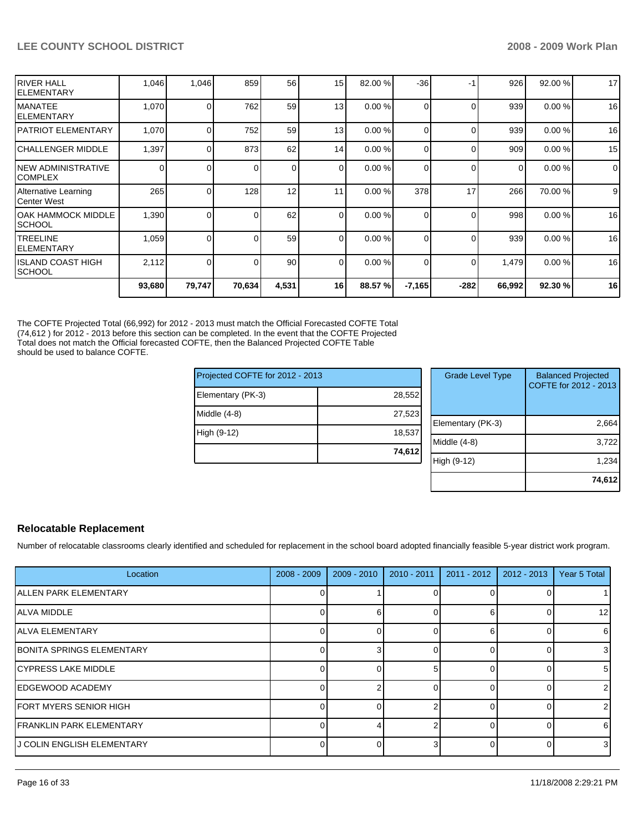| ISCHOOL                              | 2,112 | $\Omega$       |     | 90 <sub>1</sub> | $\Omega$ | 0.00%   | 0            | $\Omega$ | 1,479 | 0.00%   | 16          |
|--------------------------------------|-------|----------------|-----|-----------------|----------|---------|--------------|----------|-------|---------|-------------|
| IISLAND COAST HIGH                   |       |                |     |                 |          |         |              |          |       |         |             |
| <b>ITREELINE</b><br>IELEMENTARY      | 1,059 | 0              |     | 59              | $\Omega$ | 0.00%   | 0            | $\Omega$ | 939   | 0.00%   | 16          |
| IOAK HAMMOCK MIDDLE<br>ISCHOOL       | 1,390 | $\Omega$       |     | 62              | $\Omega$ | 0.00%   | 0            | $\Omega$ | 998   | 0.00%   | 16          |
| Alternative Learning<br>lCenter West | 265   | 0 <sub>1</sub> | 128 | 12              | 11       | 0.00%   | 378          | 17       | 266   | 70.00 % | 9           |
| INEW ADMINISTRATIVE<br>ICOMPLEX      | 0     | 0              |     | $\overline{0}$  | $\Omega$ | 0.00%   | 0            | $\Omega$ | 0     | 0.00%   | $\mathbf 0$ |
| ICHALLENGER MIDDLE                   | 1,397 | 0              | 873 | 62              | 14       | 0.00%   | 0            | $\Omega$ | 909   | 0.00%   | 15          |
| IPATRIOT ELEMENTARY                  | 1,070 | $\Omega$       | 752 | 59              | 13       | 0.00%   |              | $\Omega$ | 939   | 0.00%   | 16          |
| <b>IMANATEE</b><br>IELEMENTARY       | 1,070 | 0              | 762 | 59              | 13       | 0.00%   | <sup>0</sup> | $\Omega$ | 939   | 0.00%   | 16          |
| <b>RIVER HALL</b><br>IELEMENTARY     | 1,046 | 1,046          | 859 | 56              | 15       | 82.00 % | $-36$        | -1       | 926   | 92.00 % | 17          |

The COFTE Projected Total (66,992) for 2012 - 2013 must match the Official Forecasted COFTE Total (74,612 ) for 2012 - 2013 before this section can be completed. In the event that the COFTE Projected Total does not match the Official forecasted COFTE, then the Balanced Projected COFTE Table should be used to balance COFTE.

| Projected COFTE for 2012 - 2013 |        | <b>Grade Level Type</b> | <b>Balanced Projected</b><br>COFTE for 2012 - 2013 |
|---------------------------------|--------|-------------------------|----------------------------------------------------|
| Elementary (PK-3)               | 28.552 |                         |                                                    |
| Middle (4-8)                    | 27.523 |                         |                                                    |
|                                 |        | Elementary (PK-3)       | 2,664                                              |
| High (9-12)                     | 18.537 |                         |                                                    |
|                                 |        | Middle (4-8)            | 3,722                                              |
|                                 | 74,612 |                         |                                                    |
|                                 |        | High (9-12)             | 1,234                                              |
|                                 |        |                         |                                                    |

#### **Relocatable Replacement**

Number of relocatable classrooms clearly identified and scheduled for replacement in the school board adopted financially feasible 5-year district work program.

| Location                         | $2008 - 2009$ | $2009 - 2010$ | $2010 - 2011$ | $2011 - 2012$ | 2012 - 2013 | Year 5 Total    |
|----------------------------------|---------------|---------------|---------------|---------------|-------------|-----------------|
| <b>ALLEN PARK ELEMENTARY</b>     |               |               |               |               |             |                 |
| <b>ALVA MIDDLE</b>               | U             |               |               | 6             |             | 12 <sub>l</sub> |
| <b>JALVA ELEMENTARY</b>          | $\Omega$      |               |               | 6             |             | 6               |
| <b>BONITA SPRINGS ELEMENTARY</b> | 0             |               |               |               |             | 3 <sup>l</sup>  |
| <b>CYPRESS LAKE MIDDLE</b>       | U             |               |               |               |             | 51              |
| EDGEWOOD ACADEMY                 | O             |               |               |               |             | $\overline{2}$  |
| <b>FORT MYERS SENIOR HIGH</b>    | 0             |               |               |               |             | $\overline{2}$  |
| <b>IFRANKLIN PARK ELEMENTARY</b> | Ω             |               |               |               |             | 61              |
| IJ COLIN ENGLISH ELEMENTARY      | O             |               |               |               |             | 3 <sup>l</sup>  |

2,664  $3,722$ 1,234 **74,612**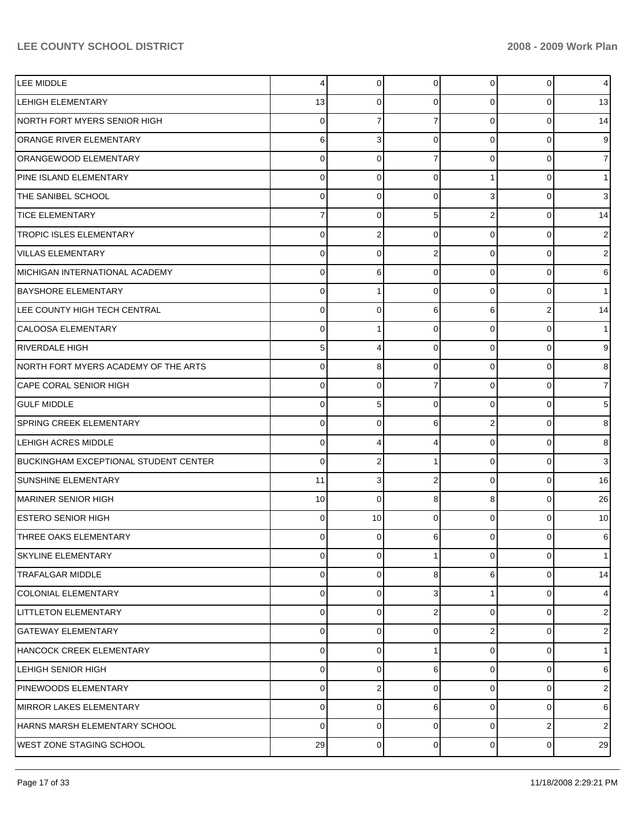| LEE MIDDLE                                   | 4           | 0        | $\mathbf 0$    | 0              | 0           | 4                       |
|----------------------------------------------|-------------|----------|----------------|----------------|-------------|-------------------------|
| <b>LEHIGH ELEMENTARY</b>                     | 13          | 0        | 0              | 0              | 0           | 13                      |
| NORTH FORT MYERS SENIOR HIGH                 | 0           | 7        | 7              | $\Omega$       | 0           | 14                      |
| ORANGE RIVER ELEMENTARY                      | 6           | 3        | $\mathbf 0$    | $\Omega$       | 0           | 9                       |
| ORANGEWOOD ELEMENTARY                        | 0           | $\Omega$ | $\overline{7}$ | $\Omega$       | 0           |                         |
| PINE ISLAND ELEMENTARY                       | 0           | 0        | $\mathbf 0$    | 1              | 0           |                         |
| THE SANIBEL SCHOOL                           | 0           | 0        | $\mathbf 0$    | 3              | 0           | 3                       |
| <b>TICE ELEMENTARY</b>                       | 7           | 0        | 5              | 2              | 0           | 14                      |
| TROPIC ISLES ELEMENTARY                      | 0           | 2        | $\mathbf 0$    | $\Omega$       | 0           | 2                       |
| <b>VILLAS ELEMENTARY</b>                     | 0           | 0        | $\overline{2}$ | $\Omega$       | 0           | 2                       |
| MICHIGAN INTERNATIONAL ACADEMY               | 0           | 6        | $\mathbf 0$    | $\Omega$       | 0           | 6                       |
| <b>BAYSHORE ELEMENTARY</b>                   | 0           | 1        | $\mathbf 0$    | $\Omega$       | 0           |                         |
| LEE COUNTY HIGH TECH CENTRAL                 | 0           | $\Omega$ | 6              | 6              | 2           | 14                      |
| <b>CALOOSA ELEMENTARY</b>                    | 0           | 1        | $\mathbf 0$    | $\Omega$       | 0           |                         |
| <b>RIVERDALE HIGH</b>                        | 5           | 4        | $\mathbf 0$    | $\Omega$       | 0           | 9                       |
| INORTH FORT MYERS ACADEMY OF THE ARTS        | 0           | 8        | $\mathbf 0$    | $\Omega$       | 0           | 8                       |
| <b>CAPE CORAL SENIOR HIGH</b>                | 0           | $\Omega$ | $\overline{7}$ | $\Omega$       | 0           |                         |
| <b>GULF MIDDLE</b>                           | 0           | 5        | $\mathbf 0$    | $\Omega$       | 0           | 5                       |
| SPRING CREEK ELEMENTARY                      | 0           | 0        | 6              | 2              | 0           | 8                       |
| <b>LEHIGH ACRES MIDDLE</b>                   | 0           | 4        | 4              | $\Omega$       | 0           | 8                       |
| <b>BUCKINGHAM EXCEPTIONAL STUDENT CENTER</b> | 0           | 2        | 1              | $\Omega$       | 0           | 3                       |
| SUNSHINE ELEMENTARY                          | 11          | 3        | $\overline{2}$ | $\Omega$       | 0           | 16                      |
| MARINER SENIOR HIGH                          | 10          | 0        | 8              | 8              | 0           | 26                      |
| <b>IESTERO SENIOR HIGH</b>                   | 0           | 10       | $\Omega$       | $\Omega$       | 0           | 10                      |
| THREE OAKS ELEMENTARY                        | 0           | 0        | 6              | 0              | 0           | 6                       |
| SKYLINE ELEMENTARY                           | $\mathbf 0$ | 0        | $\mathbf{1}$   | $\overline{0}$ | 0           | $\mathbf{1}$            |
| <b>TRAFALGAR MIDDLE</b>                      | $\mathbf 0$ | 0        | 8              | 6              | 0           | 14                      |
| <b>COLONIAL ELEMENTARY</b>                   | 0           | 0        | 3              | $\overline{1}$ | 0           | 4                       |
| <b>LITTLETON ELEMENTARY</b>                  | 0           | 0        | $\overline{2}$ | $\mathbf 0$    | 0           | 2                       |
| <b>GATEWAY ELEMENTARY</b>                    | 0           | 0        | $\mathbf 0$    | $\overline{2}$ | 0           | 2                       |
| <b>HANCOCK CREEK ELEMENTARY</b>              | 0           | 0        | 1              | $\mathbf 0$    | 0           | 1                       |
| LEHIGH SENIOR HIGH                           | 0           | 0        | 6              | $\Omega$       | 0           | 6                       |
| PINEWOODS ELEMENTARY                         | 0           | 2        | $\mathbf 0$    | 0              | 0           | 2                       |
| MIRROR LAKES ELEMENTARY                      | 0           | 0        | 6              | $\Omega$       | 0           | 6                       |
| HARNS MARSH ELEMENTARY SCHOOL                | 0           | 0        | $\mathbf 0$    | $\overline{0}$ | 2           | $\overline{\mathbf{c}}$ |
| WEST ZONE STAGING SCHOOL                     | 29          | 0        | $\pmb{0}$      | $\overline{0}$ | $\mathbf 0$ | 29                      |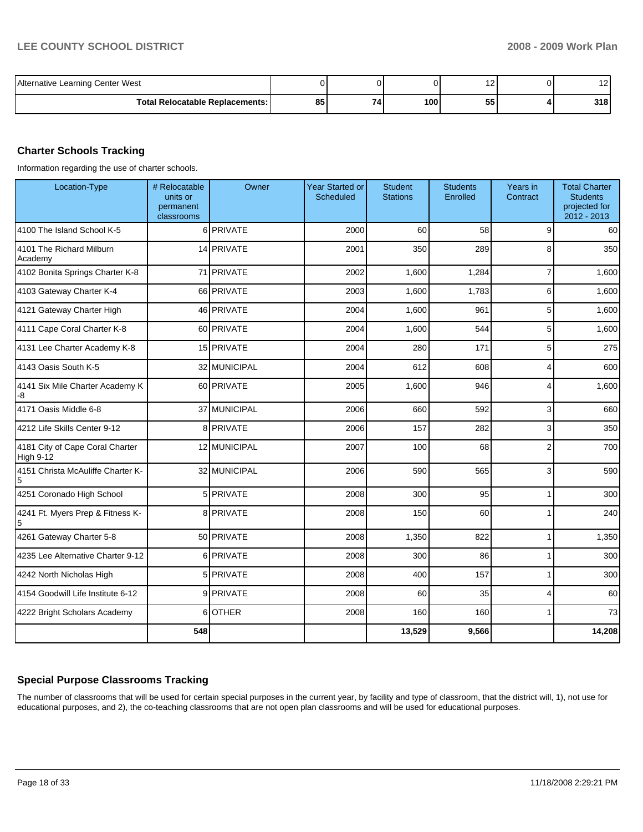| Alternative Learning Center West       |    |     |     | . .      | . . |
|----------------------------------------|----|-----|-----|----------|-----|
| <b>Total Relocatable Replacements:</b> | 85 | 74. | 100 | --<br>55 | 318 |

### **Charter Schools Tracking**

Information regarding the use of charter schools.

| Location-Type                                | # Relocatable<br>units or<br>permanent<br>classrooms | Owner        | <b>Year Started or</b><br>Scheduled | <b>Student</b><br><b>Stations</b> | <b>Students</b><br>Enrolled | Years in<br>Contract | <b>Total Charter</b><br><b>Students</b><br>projected for<br>2012 - 2013 |
|----------------------------------------------|------------------------------------------------------|--------------|-------------------------------------|-----------------------------------|-----------------------------|----------------------|-------------------------------------------------------------------------|
| 4100 The Island School K-5                   |                                                      | 6 PRIVATE    | 2000                                | 60                                | 58                          | 9                    | 60                                                                      |
| 4101 The Richard Milburn<br>Academy          |                                                      | 14 PRIVATE   | 2001                                | 350                               | 289                         | 8                    | 350                                                                     |
| 4102 Bonita Springs Charter K-8              |                                                      | 71 PRIVATE   | 2002                                | 1,600                             | 1,284                       | $\overline{7}$       | 1,600                                                                   |
| 4103 Gateway Charter K-4                     |                                                      | 66 PRIVATE   | 2003                                | 1,600                             | 1,783                       | 6                    | 1,600                                                                   |
| 4121 Gateway Charter High                    |                                                      | 46 PRIVATE   | 2004                                | 1,600                             | 961                         | 5                    | 1,600                                                                   |
| 4111 Cape Coral Charter K-8                  |                                                      | 60 PRIVATE   | 2004                                | 1,600                             | 544                         | 5                    | 1,600                                                                   |
| 4131 Lee Charter Academy K-8                 |                                                      | 15 PRIVATE   | 2004                                | 280                               | 171                         | 5                    | 275                                                                     |
| 4143 Oasis South K-5                         |                                                      | 32 MUNICIPAL | 2004                                | 612                               | 608                         | $\overline{4}$       | 600                                                                     |
| 4141 Six Mile Charter Academy K<br>-8        |                                                      | 60 PRIVATE   | 2005                                | 1,600                             | 946                         | 4                    | 1,600                                                                   |
| 4171 Oasis Middle 6-8                        |                                                      | 37 MUNICIPAL | 2006                                | 660                               | 592                         | 3                    | 660                                                                     |
| 4212 Life Skills Center 9-12                 |                                                      | 8 PRIVATE    | 2006                                | 157                               | 282                         | 3                    | 350                                                                     |
| 4181 City of Cape Coral Charter<br>High 9-12 |                                                      | 12 MUNICIPAL | 2007                                | 100                               | 68                          | $\overline{2}$       | 700                                                                     |
| 4151 Christa McAuliffe Charter K-<br>5       |                                                      | 32 MUNICIPAL | 2006                                | 590                               | 565                         | 3                    | 590                                                                     |
| 4251 Coronado High School                    |                                                      | 5 PRIVATE    | 2008                                | 300                               | 95                          | $\mathbf{1}$         | 300                                                                     |
| 4241 Ft. Myers Prep & Fitness K-<br>5        |                                                      | 8 PRIVATE    | 2008                                | 150                               | 60                          | 1                    | 240                                                                     |
| 4261 Gateway Charter 5-8                     |                                                      | 50 PRIVATE   | 2008                                | 1,350                             | 822                         | 1                    | 1,350                                                                   |
| 4235 Lee Alternative Charter 9-12            |                                                      | 6 PRIVATE    | 2008                                | 300                               | 86                          | 1                    | 300                                                                     |
| 4242 North Nicholas High                     |                                                      | 5 PRIVATE    | 2008                                | 400                               | 157                         | 1                    | 300                                                                     |
| 4154 Goodwill Life Institute 6-12            |                                                      | 9 PRIVATE    | 2008                                | 60                                | 35                          | 4                    | 60                                                                      |
| 4222 Bright Scholars Academy                 |                                                      | 6 OTHER      | 2008                                | 160                               | 160                         | 1                    | 73                                                                      |
|                                              | 548                                                  |              |                                     | 13,529                            | 9,566                       |                      | 14,208                                                                  |

### **Special Purpose Classrooms Tracking**

The number of classrooms that will be used for certain special purposes in the current year, by facility and type of classroom, that the district will, 1), not use for educational purposes, and 2), the co-teaching classrooms that are not open plan classrooms and will be used for educational purposes.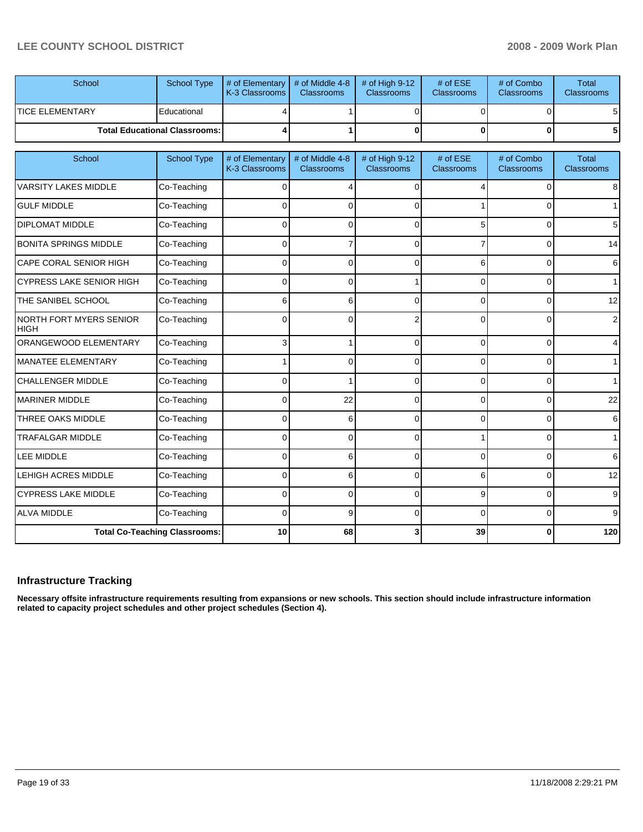| School                 | School Type                            | $\parallel$ # of Elementary $\parallel$ # of Middle 4-8 $\parallel$ # of High 9-12<br><b>K-3 Classrooms</b> | <b>Classrooms</b> | <b>Classrooms</b> | # of $ESE$<br><b>Classrooms</b> | # of Combo<br><b>Classrooms</b> | Total<br><b>Classrooms</b> |
|------------------------|----------------------------------------|-------------------------------------------------------------------------------------------------------------|-------------------|-------------------|---------------------------------|---------------------------------|----------------------------|
| <b>TICE ELEMENTARY</b> | Educational                            |                                                                                                             |                   |                   |                                 |                                 | 51                         |
|                        | <b>Total Educational Classrooms: I</b> |                                                                                                             |                   |                   |                                 | 01                              | 51                         |

| School                                 | <b>School Type</b>                   | # of Elementary<br>K-3 Classrooms | # of Middle 4-8<br>Classrooms | # of High 9-12<br><b>Classrooms</b> | # of ESE<br>Classrooms | # of Combo<br><b>Classrooms</b> | <b>Total</b><br><b>Classrooms</b> |
|----------------------------------------|--------------------------------------|-----------------------------------|-------------------------------|-------------------------------------|------------------------|---------------------------------|-----------------------------------|
| <b>VARSITY LAKES MIDDLE</b>            | Co-Teaching                          | 0                                 | 4                             | $\Omega$                            |                        | $\Omega$                        | 8                                 |
| <b>GULF MIDDLE</b>                     | Co-Teaching                          | <sup>0</sup>                      | 0                             | ∩                                   |                        | 0                               | $\mathbf 1$                       |
| <b>DIPLOMAT MIDDLE</b>                 | Co-Teaching                          | 0                                 | 0                             | $\Omega$                            |                        | $\Omega$                        | 5                                 |
| <b>BONITA SPRINGS MIDDLE</b>           | Co-Teaching                          | 0                                 | 7                             | $\Omega$                            |                        | 0                               | 14                                |
| CAPE CORAL SENIOR HIGH                 | Co-Teaching                          | 0                                 | 0                             | 0                                   | 6                      | $\overline{0}$                  | 6                                 |
| <b>CYPRESS LAKE SENIOR HIGH</b>        | Co-Teaching                          | 0                                 | 0                             |                                     | 0                      | 0                               | 1                                 |
| THE SANIBEL SCHOOL                     | Co-Teaching                          | 6                                 | 6                             | $\Omega$                            | $\Omega$               | $\Omega$                        | 12                                |
| NORTH FORT MYERS SENIOR<br><b>HIGH</b> | Co-Teaching                          | <sup>0</sup>                      | 0                             | 2                                   | 0                      | 0                               | $\overline{2}$                    |
| ORANGEWOOD ELEMENTARY                  | Co-Teaching                          | 3                                 |                               | $\Omega$                            | $\Omega$               | $\Omega$                        | 4                                 |
| MANATEE ELEMENTARY                     | Co-Teaching                          |                                   | 0                             | $\Omega$                            | $\Omega$               | $\overline{0}$                  | 1                                 |
| <b>CHALLENGER MIDDLE</b>               | Co-Teaching                          | <sup>0</sup>                      |                               | $\Omega$                            | 0                      | 0                               | $\mathbf 1$                       |
| <b>MARINER MIDDLE</b>                  | Co-Teaching                          | 0                                 | 22                            | $\Omega$                            | 0                      | $\overline{0}$                  | 22                                |
| THREE OAKS MIDDLE                      | Co-Teaching                          | 0                                 | 6                             | $\Omega$                            | 0                      | $\Omega$                        | $6 \mid$                          |
| <b>TRAFALGAR MIDDLE</b>                | Co-Teaching                          | 0                                 | 0                             | $\Omega$                            |                        | $\Omega$                        | 1 <sup>1</sup>                    |
| <b>LEE MIDDLE</b>                      | Co-Teaching                          | 0                                 | 6                             | $\Omega$                            | <sup>0</sup>           | 0                               | 6                                 |
| <b>LEHIGH ACRES MIDDLE</b>             | Co-Teaching                          | $\Omega$                          | 6                             | $\Omega$                            | 6                      | $\Omega$                        | 12                                |
| <b>CYPRESS LAKE MIDDLE</b>             | Co-Teaching                          | 0                                 | 0                             | $\Omega$                            | 9                      | $\overline{0}$                  | $9\,$                             |
| <b>ALVA MIDDLE</b>                     | Co-Teaching                          | 0                                 | 9                             | $\Omega$                            | ∩                      | 0                               | 9 <sup>1</sup>                    |
|                                        | <b>Total Co-Teaching Classrooms:</b> | 10                                | 68                            |                                     | 39                     | 0                               | 120                               |

#### **Infrastructure Tracking**

**Necessary offsite infrastructure requirements resulting from expansions or new schools. This section should include infrastructure information related to capacity project schedules and other project schedules (Section 4).**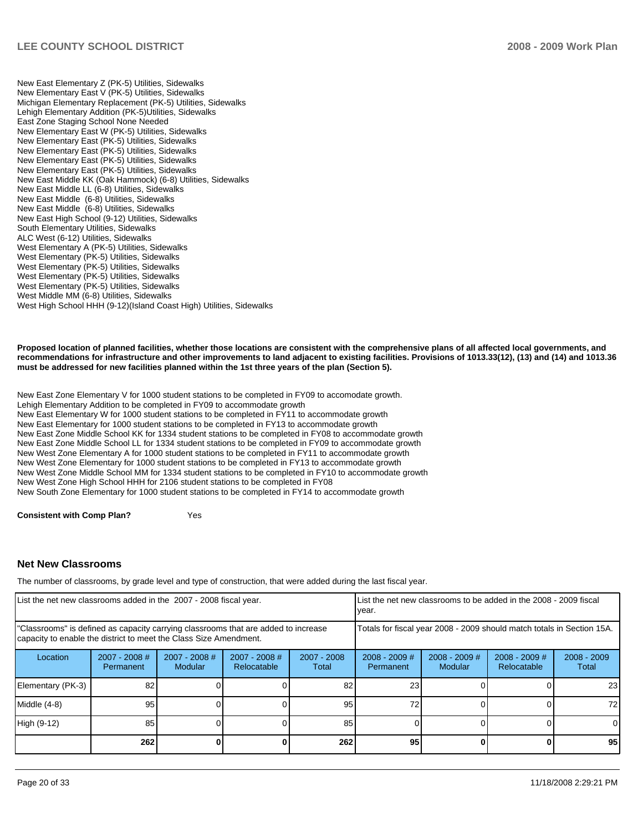New East Elementary Z (PK-5) Utilities, Sidewalks New Elementary East V (PK-5) Utilities, Sidewalks Michigan Elementary Replacement (PK-5) Utilities, Sidewalks Lehigh Elementary Addition (PK-5)Utilities, Sidewalks East Zone Staging School None Needed New Elementary East W (PK-5) Utilities, Sidewalks New Elementary East (PK-5) Utilities, Sidewalks New Elementary East (PK-5) Utilities, Sidewalks New Elementary East (PK-5) Utilities, Sidewalks New Elementary East (PK-5) Utilities, Sidewalks New East Middle KK (Oak Hammock) (6-8) Utilities, Sidewalks New East Middle LL (6-8) Utilities, Sidewalks New East Middle (6-8) Utilities, Sidewalks�� New East Middle (6-8) Utilities, Sidewalks New East High School (9-12) Utilities, Sidewalks South Elementary Utilities, Sidewalks ALC West (6-12) Utilities, Sidewalks West Elementary A (PK-5) Utilities, Sidewalks West Elementary (PK-5) Utilities, Sidewalks West Elementary (PK-5) Utilities, Sidewalks West Elementary (PK-5) Utilities, Sidewalks West Elementary (PK-5) Utilities, Sidewalks West Middle MM  $(6-8)$  Utilities, Sidewalks West High School HHH (9-12)(Island Coast High) Utilities, Sidewalks

**Proposed location of planned facilities, whether those locations are consistent with the comprehensive plans of all affected local governments, and recommendations for infrastructure and other improvements to land adjacent to existing facilities. Provisions of 1013.33(12), (13) and (14) and 1013.36 must be addressed for new facilities planned within the 1st three years of the plan (Section 5).** 

New East Zone Elementary V for 1000 student stations to be completed in FY09 to accomodate growth. Lehigh Elementary Addition to be completed in FY09 to accommodate growth New East Elementary W for 1000 student stations to be completed in FY11 to accommodate growth New East Elementary for 1000 student stations to be completed in FY13 to accommodate growth New East Zone Middle School KK for 1334 student stations to be completed in FY08 to accommodate growth New East Zone Middle School LL for 1334 student stations to be completed in FY09 to accommodate growth New West Zone Elementary A for 1000 student stations to be completed in FY11 to accommodate growth New West Zone Elementary for 1000 student stations to be completed in FY13 to accommodate growth New West Zone Middle School MM for 1334 student stations to be completed in FY10 to accommodate growth New West Zone High School HHH for 2106 student stations to be completed in FY08�� New South Zone Elementary for 1000 student stations to be completed in FY14 to accommodate growth

**Consistent with Comp Plan?** Yes

#### **Net New Classrooms**

The number of classrooms, by grade level and type of construction, that were added during the last fiscal year.

| List the net new classrooms added in the 2007 - 2008 fiscal year.                                                                                       | List the net new classrooms to be added in the 2008 - 2009 fiscal<br>year. |                                 |                                |                      |                                                                        |                            |                                |                        |
|---------------------------------------------------------------------------------------------------------------------------------------------------------|----------------------------------------------------------------------------|---------------------------------|--------------------------------|----------------------|------------------------------------------------------------------------|----------------------------|--------------------------------|------------------------|
| "Classrooms" is defined as capacity carrying classrooms that are added to increase<br>capacity to enable the district to meet the Class Size Amendment. |                                                                            |                                 |                                |                      | Totals for fiscal year 2008 - 2009 should match totals in Section 15A. |                            |                                |                        |
| Location                                                                                                                                                | $2007 - 2008$ #<br>Permanent                                               | 2007 - 2008 #<br><b>Modular</b> | $2007 - 2008$ #<br>Relocatable | 2007 - 2008<br>Total | $2008 - 2009$ #<br><b>Permanent</b>                                    | $2008 - 2009$ #<br>Modular | $2008 - 2009$ #<br>Relocatable | $2008 - 2009$<br>Total |
| Elementary (PK-3)                                                                                                                                       | 82                                                                         |                                 |                                | 82                   | 23                                                                     |                            |                                | 23                     |
| Middle (4-8)                                                                                                                                            | $95 \mid$                                                                  |                                 |                                | 95                   | 72                                                                     |                            |                                | 72                     |
| High (9-12)                                                                                                                                             | 85                                                                         |                                 |                                | 85                   |                                                                        |                            |                                | $\Omega$               |
|                                                                                                                                                         | 262                                                                        |                                 |                                | 262                  | 95                                                                     |                            |                                | 95                     |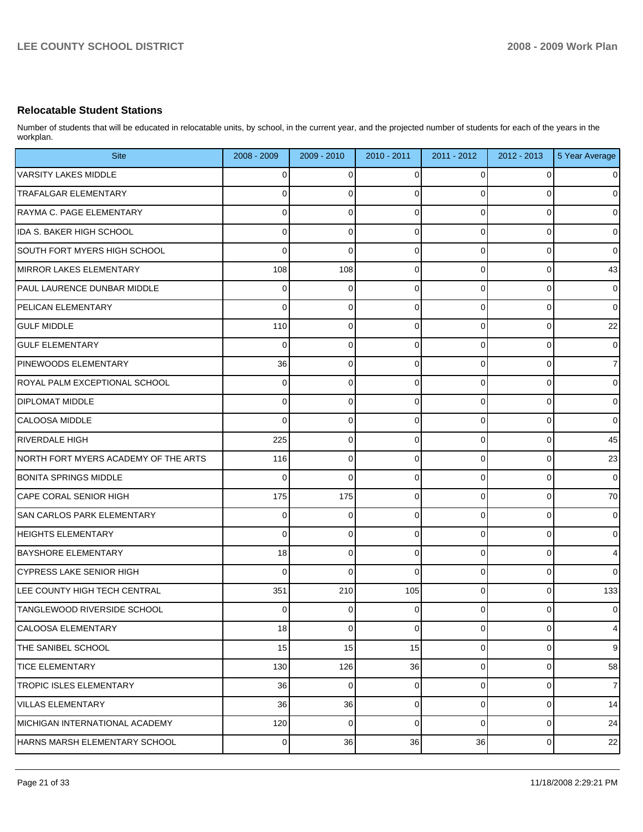### **Relocatable Student Stations**

Number of students that will be educated in relocatable units, by school, in the current year, and the projected number of students for each of the years in the workplan.

| <b>Site</b>                          | 2008 - 2009 | $2009 - 2010$ | 2010 - 2011 | 2011 - 2012    | 2012 - 2013 | 5 Year Average |
|--------------------------------------|-------------|---------------|-------------|----------------|-------------|----------------|
| <b>VARSITY LAKES MIDDLE</b>          | 0           | 0             | 0           | 0              | 0           | 0              |
| TRAFALGAR ELEMENTARY                 | 0           | 0             | 0           | 0              | 0           | 0              |
| RAYMA C. PAGE ELEMENTARY             | 0           | 0             | 0           | 0              | 0           | 0              |
| <b>IDA S. BAKER HIGH SCHOOL</b>      | $\Omega$    | 0             | 0           | 0              | 0           | 0              |
| SOUTH FORT MYERS HIGH SCHOOL         | 0           | 0             | 0           | 0              | $\mathbf 0$ | 0              |
| MIRROR LAKES ELEMENTARY              | 108         | 108           | 0           | 0              | $\mathbf 0$ | 43             |
| <b>PAUL LAURENCE DUNBAR MIDDLE</b>   | 0           | 0             | 0           | 0              | 0           | $\overline{0}$ |
| <b>PELICAN ELEMENTARY</b>            | $\Omega$    | 0             | 0           | 0              | 0           | $\mathbf 0$    |
| <b>GULF MIDDLE</b>                   | 110         | 0             | 0           | 0              | 0           | 22             |
| <b>GULF ELEMENTARY</b>               | $\Omega$    | 0             | 0           | 0              | $\mathbf 0$ | 0              |
| <b>PINEWOODS ELEMENTARY</b>          | 36          | 0             | 0           | 0              | $\mathbf 0$ | 7 <sup>1</sup> |
| ROYAL PALM EXCEPTIONAL SCHOOL        | $\Omega$    | 0             | 0           | 0              | 0           | 0              |
| <b>DIPLOMAT MIDDLE</b>               | 0           | 0             | 0           | 0              | $\mathbf 0$ | 0              |
| <b>CALOOSA MIDDLE</b>                | $\Omega$    | 0             | 0           | 0              | 0           | 0              |
| <b>RIVERDALE HIGH</b>                | 225         | 0             | 0           | 0              | $\mathbf 0$ | 45             |
| NORTH FORT MYERS ACADEMY OF THE ARTS | 116         | 0             | 0           | 0              | $\mathbf 0$ | 23             |
| <b>BONITA SPRINGS MIDDLE</b>         | $\Omega$    | 0             | 0           | 0              | $\mathbf 0$ | 0              |
| CAPE CORAL SENIOR HIGH               | 175         | 175           | 0           | 0              | $\mathbf 0$ | 70             |
| <b>SAN CARLOS PARK ELEMENTARY</b>    | 0           | 0             | 0           | 0              | $\mathbf 0$ | $\overline{0}$ |
| <b>HEIGHTS ELEMENTARY</b>            | $\Omega$    | 0             | 0           | 0              | 0           | $\overline{0}$ |
| <b>BAYSHORE ELEMENTARY</b>           | 18          | 0             | 0           | 0              | $\mathbf 0$ | $\overline{4}$ |
| CYPRESS LAKE SENIOR HIGH             | $\Omega$    | 0             | $\Omega$    | 0              | 0           | $\Omega$       |
| LEE COUNTY HIGH TECH CENTRAL         | 351         | 210           | 105         | 0              | 0           | 133            |
| TANGLEWOOD RIVERSIDE SCHOOL          | 0           | 0             | 0           |                | $\Omega$    | 0              |
| CALOOSA ELEMENTARY                   | 18          | 0             | 0           | $\overline{0}$ | 0           | $\overline{4}$ |
| THE SANIBEL SCHOOL                   | 15          | 15            | 15          | $\overline{0}$ | 0           | $\overline{9}$ |
| <b>TICE ELEMENTARY</b>               | 130         | 126           | 36          | $\overline{0}$ | 0           | 58             |
| <b>TROPIC ISLES ELEMENTARY</b>       | 36          | 0             | 0           | $\overline{0}$ | $\mathbf 0$ | $\overline{7}$ |
| <b>VILLAS ELEMENTARY</b>             | 36          | 36            | 0           | 0              | 0           | 14             |
| MICHIGAN INTERNATIONAL ACADEMY       | 120         | 0             | $\mathbf 0$ | $\overline{0}$ | $\mathbf 0$ | 24             |
| HARNS MARSH ELEMENTARY SCHOOL        | $\mathbf 0$ | 36            | 36          | 36             | 0           | 22             |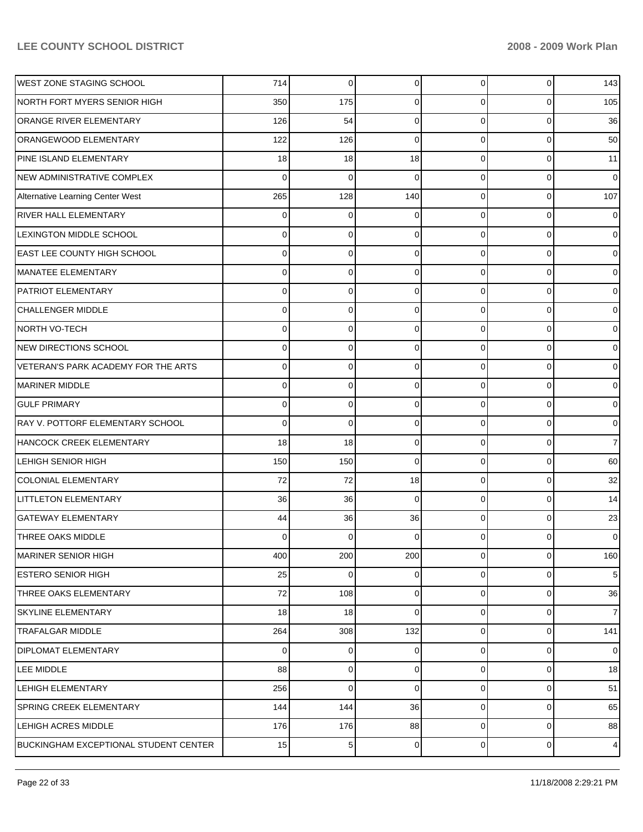| <b>WEST ZONE STAGING SCHOOL</b>              | 714      | 0   | 0           | $\overline{0}$ | 0           | 143            |
|----------------------------------------------|----------|-----|-------------|----------------|-------------|----------------|
| NORTH FORT MYERS SENIOR HIGH                 | 350      | 175 | 0           | $\Omega$       | 0           | 105            |
| <b>ORANGE RIVER ELEMENTARY</b>               | 126      | 54  | $\mathbf 0$ | $\Omega$       | 0           | 36             |
| ORANGEWOOD ELEMENTARY                        | 122      | 126 | $\mathbf 0$ | $\Omega$       | 0           | 50             |
| PINE ISLAND ELEMENTARY                       | 18       | 18  | 18          | $\Omega$       | 0           | 11             |
| NEW ADMINISTRATIVE COMPLEX                   | $\Omega$ | 0   | $\mathbf 0$ | $\Omega$       | 0           | $\overline{0}$ |
| Alternative Learning Center West             | 265      | 128 | 140         | $\Omega$       | 0           | 107            |
| <b>RIVER HALL ELEMENTARY</b>                 | 0        | 0   | 0           | $\Omega$       | 0           | $\overline{0}$ |
| LEXINGTON MIDDLE SCHOOL                      | $\Omega$ | 0   | 0           | $\Omega$       | $\Omega$    | $\overline{0}$ |
| <b>EAST LEE COUNTY HIGH SCHOOL</b>           | $\Omega$ | 0   | 0           | $\Omega$       | 0           | $\overline{0}$ |
| MANATEE ELEMENTARY                           | $\Omega$ | 0   | 0           | $\Omega$       | 0           | $\overline{0}$ |
| PATRIOT ELEMENTARY                           | $\Omega$ | 0   | 0           | $\Omega$       | 0           | $\overline{0}$ |
| <b>CHALLENGER MIDDLE</b>                     | $\Omega$ | 0   | 0           | $\Omega$       | $\Omega$    | $\overline{0}$ |
| <b>NORTH VO-TECH</b>                         | $\Omega$ | 0   | 0           | $\Omega$       | 0           | $\overline{0}$ |
| NEW DIRECTIONS SCHOOL                        | $\Omega$ | 0   | 0           | $\Omega$       | 0           | $\overline{0}$ |
| VETERAN'S PARK ACADEMY FOR THE ARTS          | $\Omega$ | 0   | $\mathbf 0$ | $\Omega$       | 0           | $\overline{0}$ |
| <b>MARINER MIDDLE</b>                        | $\Omega$ | 0   | 0           | $\Omega$       | $\Omega$    | $\overline{0}$ |
| <b>GULF PRIMARY</b>                          | $\Omega$ | 0   | 0           | $\Omega$       | 0           | $\overline{0}$ |
| RAY V. POTTORF ELEMENTARY SCHOOL             | $\Omega$ | 0   | 0           | $\Omega$       | 0           | $\overline{0}$ |
| HANCOCK CREEK ELEMENTARY                     | 18       | 18  | $\mathbf 0$ | $\Omega$       | 0           | $\overline{7}$ |
| LEHIGH SENIOR HIGH                           | 150      | 150 | 0           | $\Omega$       | 0           | 60             |
| <b>COLONIAL ELEMENTARY</b>                   | 72       | 72  | 18          | $\Omega$       | 0           | 32             |
| LITTLETON ELEMENTARY                         | 36       | 36  | 0           | $\Omega$       | 0           | 14             |
| <b>GATEWAY ELEMENTARY</b>                    | 44       | 36  | 36          | $\Omega$       | 0           | 23             |
| THREE OAKS MIDDLE                            | 0        | 0   | 0           | 0              | 0           | $\overline{0}$ |
| <b>MARINER SENIOR HIGH</b>                   | 400      | 200 | 200         | $\overline{0}$ | 0           | 160            |
| <b>ESTERO SENIOR HIGH</b>                    | 25       | 0   | 0           | $\overline{0}$ | $\mathbf 0$ | 5 <sub>l</sub> |
| THREE OAKS ELEMENTARY                        | 72       | 108 | 0           | $\overline{0}$ | 0           | 36             |
| <b>SKYLINE ELEMENTARY</b>                    | 18       | 18  | $\mathbf 0$ | $\overline{0}$ | 0           | 7 <sup>1</sup> |
| <b>TRAFALGAR MIDDLE</b>                      | 264      | 308 | 132         | $\overline{0}$ | 0           | 141            |
| <b>DIPLOMAT ELEMENTARY</b>                   | 0        | 0   | 0           | $\overline{0}$ | 0           | $\overline{0}$ |
| LEE MIDDLE                                   | 88       | 0   | 0           | $\overline{0}$ | 0           | 18             |
| LEHIGH ELEMENTARY                            | 256      | 0   | $\mathbf 0$ | $\overline{0}$ | 0           | 51             |
| SPRING CREEK ELEMENTARY                      | 144      | 144 | 36          | $\overline{0}$ | 0           | 65             |
| LEHIGH ACRES MIDDLE                          | 176      | 176 | 88          | $\overline{0}$ | $\mathbf 0$ | 88             |
| <b>BUCKINGHAM EXCEPTIONAL STUDENT CENTER</b> | 15       | 5   | 0           | $\overline{0}$ | 0           | $\overline{4}$ |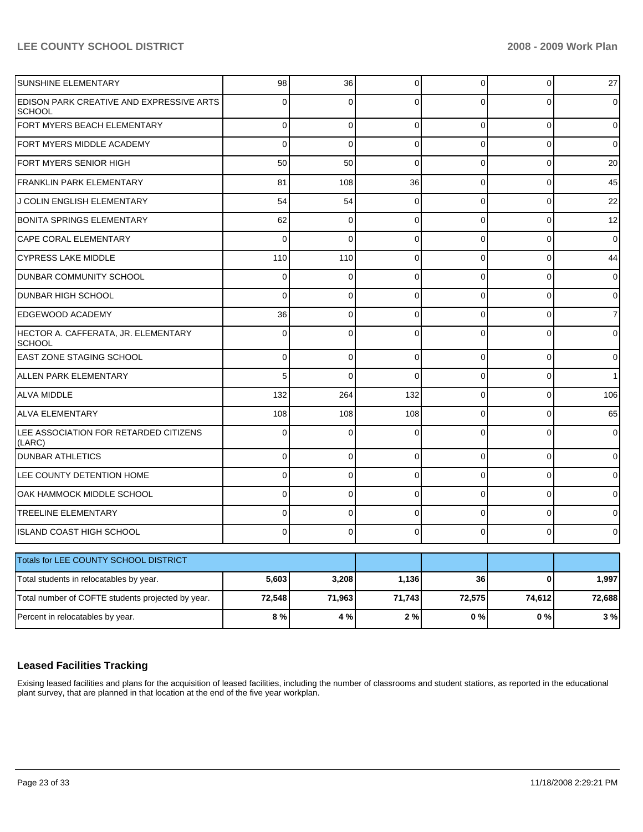| SUNSHINE ELEMENTARY                                       | 98       | 36          | 0           | $\overline{0}$ | 0            | 27     |
|-----------------------------------------------------------|----------|-------------|-------------|----------------|--------------|--------|
| EDISON PARK CREATIVE AND EXPRESSIVE ARTS<br><b>SCHOOL</b> | 0        | 0           | 0           | $\Omega$       | 0            | 0      |
| FORT MYERS BEACH ELEMENTARY                               | 0        | $\mathbf 0$ | 0           | $\Omega$       | 0            | 0      |
| FORT MYERS MIDDLE ACADEMY                                 | 0        | $\mathbf 0$ | 0           | $\Omega$       | 0            | 0      |
| FORT MYERS SENIOR HIGH                                    | 50       | 50          | $\mathbf 0$ | $\overline{0}$ | 0            | 20     |
| <b>FRANKLIN PARK ELEMENTARY</b>                           | 81       | 108         | 36          | $\Omega$       | 0            | 45     |
| J COLIN ENGLISH ELEMENTARY                                | 54       | 54          | $\mathbf 0$ | $\Omega$       | 0            | 22     |
| BONITA SPRINGS ELEMENTARY                                 | 62       | $\mathbf 0$ | 0           | $\Omega$       | 0            | 12     |
| <b>CAPE CORAL ELEMENTARY</b>                              | 0        | $\mathbf 0$ | 0           | $\overline{0}$ | 0            | 0      |
| <b>CYPRESS LAKE MIDDLE</b>                                | 110      | 110         | 0           | $\Omega$       | 0            | 44     |
| <b>DUNBAR COMMUNITY SCHOOL</b>                            | 0        | $\mathbf 0$ | 0           | $\Omega$       | 0            | 0      |
| <b>DUNBAR HIGH SCHOOL</b>                                 | 0        | $\mathbf 0$ | 0           | $\Omega$       | 0            | 0      |
| <b>EDGEWOOD ACADEMY</b>                                   | 36       | $\mathbf 0$ | 0           | $\Omega$       | 0            | 7      |
| HECTOR A. CAFFERATA, JR. ELEMENTARY<br><b>SCHOOL</b>      | 0        | 0           | 0           | $\Omega$       | $\Omega$     | 0      |
| EAST ZONE STAGING SCHOOL                                  | $\Omega$ | $\mathbf 0$ | $\Omega$    | $\Omega$       | $\Omega$     | 0      |
| ALLEN PARK ELEMENTARY                                     | 5        | $\Omega$    | $\Omega$    | $\Omega$       | $\Omega$     |        |
| <b>ALVA MIDDLE</b>                                        | 132      | 264         | 132         | $\Omega$       | $\Omega$     | 106    |
| <b>ALVA ELEMENTARY</b>                                    | 108      | 108         | 108         | $\Omega$       | $\Omega$     | 65     |
| LEE ASSOCIATION FOR RETARDED CITIZENS<br>(LARC)           | $\Omega$ | $\Omega$    | $\Omega$    | $\Omega$       | $\Omega$     |        |
| <b>DUNBAR ATHLETICS</b>                                   | 0        | $\mathbf 0$ | $\Omega$    | $\Omega$       | 0            | 0      |
| LEE COUNTY DETENTION HOME                                 | 0        | 0           | 0           | $\Omega$       | $\Omega$     | 0      |
| OAK HAMMOCK MIDDLE SCHOOL                                 | 0        | 0           | 0           | 0              | 0            | 0      |
| <b>TREELINE ELEMENTARY</b>                                | 0        | 0           | 0           | 0              | $\Omega$     | o      |
| <b>ISLAND COAST HIGH SCHOOL</b>                           | 0        | 0           | 0           | $\Omega$       | 0            | 0      |
| Totals for LEE COUNTY SCHOOL DISTRICT                     |          |             |             |                |              |        |
| Total students in relocatables by year.                   | 5,603    | 3,208       | 1,136       | 36             | $\mathbf{0}$ | 1,997  |
| Total number of COFTE students projected by year.         | 72,548   | 71,963      | 71,743      | 72,575         | 74,612       | 72,688 |
| Percent in relocatables by year.                          | 8%       | 4 %         | $2\%$       | 0%             | 0%           | 3%     |

### **Leased Facilities Tracking**

Exising leased facilities and plans for the acquisition of leased facilities, including the number of classrooms and student stations, as reported in the educational plant survey, that are planned in that location at the end of the five year workplan.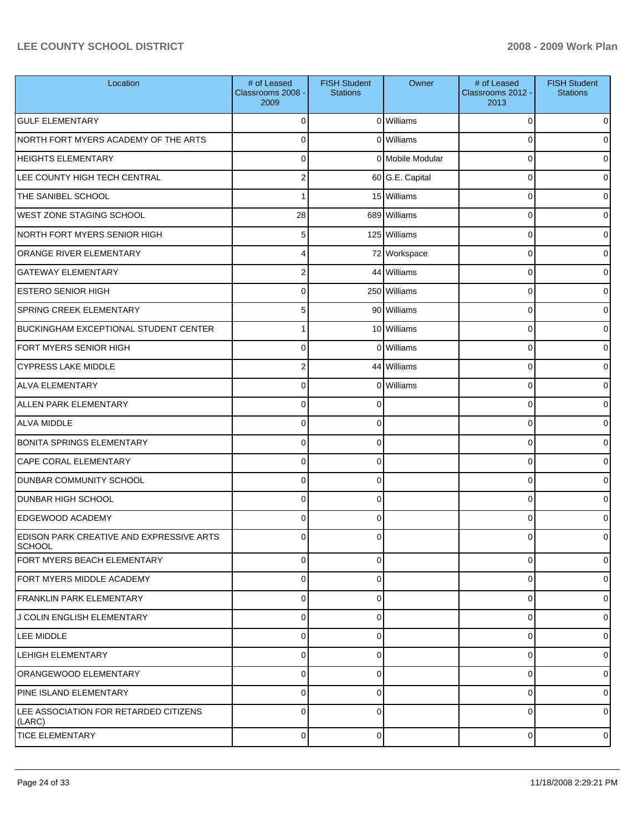| Location                                                  | # of Leased<br>Classrooms 2008 -<br>2009 | <b>FISH Student</b><br><b>Stations</b> | Owner            | # of Leased<br>Classrooms 2012 -<br>2013 | <b>FISH Student</b><br><b>Stations</b> |
|-----------------------------------------------------------|------------------------------------------|----------------------------------------|------------------|------------------------------------------|----------------------------------------|
| <b>GULF ELEMENTARY</b>                                    | C                                        |                                        | 0 Williams       | 0                                        | 0                                      |
| NORTH FORT MYERS ACADEMY OF THE ARTS                      | $\Omega$                                 |                                        | 0 Williams       | 0                                        |                                        |
| <b>HEIGHTS ELEMENTARY</b>                                 | $\Omega$                                 |                                        | 0 Mobile Modular | 0                                        |                                        |
| LEE COUNTY HIGH TECH CENTRAL                              | $\overline{2}$                           |                                        | 60 G.E. Capital  | 0                                        | o                                      |
| THE SANIBEL SCHOOL                                        |                                          |                                        | 15 Williams      | 0                                        |                                        |
| <b>WEST ZONE STAGING SCHOOL</b>                           | 28                                       |                                        | 689 Williams     | 0                                        | o                                      |
| NORTH FORT MYERS SENIOR HIGH                              | 5                                        |                                        | 125 Williams     | 0                                        |                                        |
| ORANGE RIVER ELEMENTARY                                   |                                          |                                        | 72 Workspace     | 0                                        | o                                      |
| <b>GATEWAY ELEMENTARY</b>                                 | 2                                        |                                        | 44 Williams      | 0                                        | U                                      |
| <b>ESTERO SENIOR HIGH</b>                                 | $\Omega$                                 |                                        | 250 Williams     | 0                                        | o                                      |
| <b>SPRING CREEK ELEMENTARY</b>                            | 5                                        |                                        | 90 Williams      | 0                                        |                                        |
| <b>BUCKINGHAM EXCEPTIONAL STUDENT CENTER</b>              |                                          |                                        | 10 Williams      | 0                                        | o                                      |
| FORT MYERS SENIOR HIGH                                    | C                                        | $\Omega$                               | Williams         | 0                                        |                                        |
| <b>CYPRESS LAKE MIDDLE</b>                                | $\overline{2}$                           |                                        | 44 Williams      | 0                                        | 0                                      |
| <b>ALVA ELEMENTARY</b>                                    | $\Omega$                                 | 0                                      | Williams         | 0                                        | U                                      |
| <b>ALLEN PARK ELEMENTARY</b>                              | $\Omega$                                 | 0                                      |                  | 0                                        | o                                      |
| <b>ALVA MIDDLE</b>                                        | C                                        | 0                                      |                  | 0                                        |                                        |
| <b>BONITA SPRINGS ELEMENTARY</b>                          | $\Omega$                                 | 0                                      |                  | 0                                        | o                                      |
| <b>CAPE CORAL ELEMENTARY</b>                              | $\Omega$                                 | 0                                      |                  | 0                                        | o                                      |
| <b>DUNBAR COMMUNITY SCHOOL</b>                            | $\Omega$                                 | 0                                      |                  | 0                                        | o                                      |
| <b>DUNBAR HIGH SCHOOL</b>                                 | $\Omega$                                 | 0                                      |                  | 0                                        |                                        |
| <b>EDGEWOOD ACADEMY</b>                                   | $\Omega$                                 | $\Omega$                               |                  | 0                                        | o                                      |
| EDISON PARK CREATIVE AND EXPRESSIVE ARTS<br><b>SCHOOL</b> | C                                        | 0                                      |                  | 0                                        | 0                                      |
| FORT MYERS BEACH ELEMENTARY                               | 0                                        | 0                                      |                  | 0                                        | 0                                      |
| FORT MYERS MIDDLE ACADEMY                                 | 0                                        | 0                                      |                  | 0                                        | 0                                      |
| <b>FRANKLIN PARK ELEMENTARY</b>                           | 0                                        | 0                                      |                  | 0                                        | 0                                      |
| J COLIN ENGLISH ELEMENTARY                                | 0                                        | 0                                      |                  | 0                                        | 0                                      |
| LEE MIDDLE                                                | 0                                        | 0                                      |                  | 0                                        | 0                                      |
| LEHIGH ELEMENTARY                                         | 0                                        | 0                                      |                  | 0                                        | 0                                      |
| <b>ORANGEWOOD ELEMENTARY</b>                              | $\mathbf 0$                              | 0                                      |                  | 0                                        | 0                                      |
| PINE ISLAND ELEMENTARY                                    | 0                                        | 0                                      |                  | 0                                        | 0                                      |
| LEE ASSOCIATION FOR RETARDED CITIZENS<br>(LARC)           | $\Omega$                                 | 0                                      |                  | 0                                        | 0                                      |
| <b>TICE ELEMENTARY</b>                                    | 0                                        | 0                                      |                  | 0                                        | $\overline{0}$                         |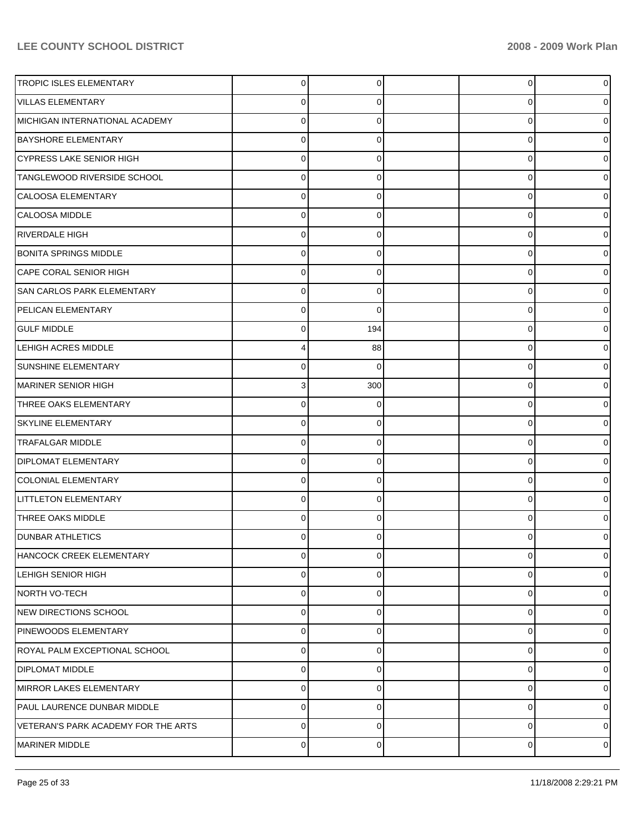| <b>TROPIC ISLES ELEMENTARY</b>      | 0           | 0        | 0 | 0              |
|-------------------------------------|-------------|----------|---|----------------|
| VILLAS ELEMENTARY                   | 0           | 0        | 0 |                |
| MICHIGAN INTERNATIONAL ACADEMY      | $\Omega$    | 0        | 0 |                |
| <b>BAYSHORE ELEMENTARY</b>          | 0           | 0        | 0 |                |
| CYPRESS LAKE SENIOR HIGH            | $\Omega$    | 0        | 0 |                |
| TANGLEWOOD RIVERSIDE SCHOOL         | 0           | 0        | 0 |                |
| CALOOSA ELEMENTARY                  | $\Omega$    | 0        | 0 |                |
| CALOOSA MIDDLE                      | 0           | 0        | 0 |                |
| RIVERDALE HIGH                      | $\Omega$    | 0        | 0 |                |
| <b>BONITA SPRINGS MIDDLE</b>        | 0           | 0        | 0 |                |
| CAPE CORAL SENIOR HIGH              | $\Omega$    | 0        | 0 |                |
| <b>SAN CARLOS PARK ELEMENTARY</b>   | 0           | 0        | 0 |                |
| PELICAN ELEMENTARY                  | C           | $\Omega$ | 0 |                |
| <b>GULF MIDDLE</b>                  | 0           | 194      | 0 |                |
| <b>LEHIGH ACRES MIDDLE</b>          |             | 88       | 0 |                |
| <b>SUNSHINE ELEMENTARY</b>          | 0           | $\Omega$ | 0 |                |
| MARINER SENIOR HIGH                 | 3           | 300      | 0 |                |
| THREE OAKS ELEMENTARY               | 0           | 0        | 0 |                |
| <b>SKYLINE ELEMENTARY</b>           | 0           | 0        | 0 |                |
| <b>TRAFALGAR MIDDLE</b>             | 0           | 0        | 0 |                |
| <b>DIPLOMAT ELEMENTARY</b>          | 0           | 0        | 0 |                |
| <b>COLONIAL ELEMENTARY</b>          | 0           | 0        | 0 |                |
| LITTLETON ELEMENTARY                | 0           | 0        | 0 |                |
| THREE OAKS MIDDLE                   | 0           | 0        | 0 |                |
| <b>DUNBAR ATHLETICS</b>             | 0           | 0        | 0 |                |
| HANCOCK CREEK ELEMENTARY            | $\mathbf 0$ | 0        | 0 | 0              |
| LEHIGH SENIOR HIGH                  | 0           | 0        | 0 | 0              |
| NORTH VO-TECH                       | $\mathbf 0$ | 0        | 0 | 0              |
| NEW DIRECTIONS SCHOOL               | 0           | 0        | 0 | 0              |
| PINEWOODS ELEMENTARY                | $\mathbf 0$ | 0        | 0 | 0              |
| ROYAL PALM EXCEPTIONAL SCHOOL       | $\mathbf 0$ | 0        | 0 | ი              |
| <b>DIPLOMAT MIDDLE</b>              | $\mathbf 0$ | 0        | 0 | 0              |
| MIRROR LAKES ELEMENTARY             | 0           | 0        | 0 | 0              |
| PAUL LAURENCE DUNBAR MIDDLE         | $\mathbf 0$ | 0        | 0 | 0              |
| VETERAN'S PARK ACADEMY FOR THE ARTS | 0           | 0        | 0 | 0              |
| MARINER MIDDLE                      | 0           | 0        | 0 | $\overline{0}$ |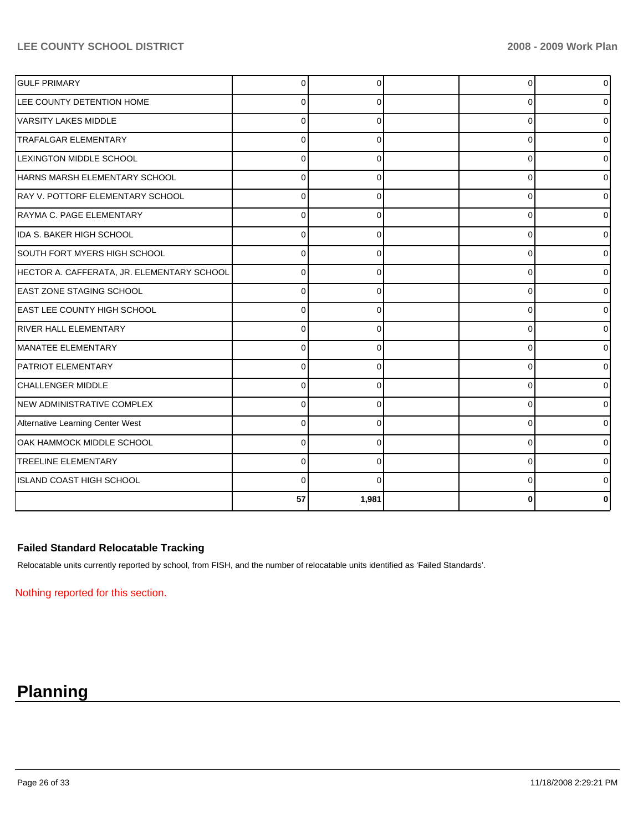| <b>GULF PRIMARY</b>                        | $\Omega$ |          | $\mathbf 0$ | <sup>0</sup> |
|--------------------------------------------|----------|----------|-------------|--------------|
| LEE COUNTY DETENTION HOME                  | 0        | ∩        | 0           |              |
| VARSITY LAKES MIDDLE                       | 0        | U        | $\mathbf 0$ |              |
| <b>TRAFALGAR ELEMENTARY</b>                | $\Omega$ |          | 0           |              |
| <b>LEXINGTON MIDDLE SCHOOL</b>             | 0        |          | 0           |              |
| HARNS MARSH ELEMENTARY SCHOOL              | U        |          | $\Omega$    |              |
| RAY V. POTTORF ELEMENTARY SCHOOL           | $\Omega$ | $\Omega$ | $\Omega$    |              |
| RAYMA C. PAGE ELEMENTARY                   | 0        | 0        | 0           | 0            |
| IDA S. BAKER HIGH SCHOOL                   | $\Omega$ |          | $\Omega$    |              |
| SOUTH FORT MYERS HIGH SCHOOL               | $\Omega$ | $\Omega$ | $\Omega$    |              |
| HECTOR A. CAFFERATA, JR. ELEMENTARY SCHOOL | $\Omega$ | 0        | $\Omega$    |              |
| <b>EAST ZONE STAGING SCHOOL</b>            | $\Omega$ | $\Omega$ | $\Omega$    | 0            |
| IEAST LEE COUNTY HIGH SCHOOL               | $\Omega$ | 0        | 0           | o            |
| <b>RIVER HALL ELEMENTARY</b>               | O        | ∩        | 0           |              |
| MANATEE ELEMENTARY                         | $\Omega$ | $\Omega$ | $\mathbf 0$ |              |
| <b>PATRIOT ELEMENTARY</b>                  | $\Omega$ | 0        | 0           |              |
| CHALLENGER MIDDLE                          | $\Omega$ |          | $\Omega$    |              |
| NEW ADMINISTRATIVE COMPLEX                 | 0        | 0        | $\mathbf 0$ |              |
| Alternative Learning Center West           | $\Omega$ | 0        | $\mathbf 0$ |              |
| OAK HAMMOCK MIDDLE SCHOOL                  | 0        | $\Omega$ | $\mathbf 0$ |              |
| <b>TREELINE ELEMENTARY</b>                 | $\Omega$ | 0        | $\mathbf 0$ |              |
| ISLAND COAST HIGH SCHOOL                   | $\Omega$ |          | $\Omega$    |              |
|                                            | 57       | 1,981    | 0           |              |

## **Failed Standard Relocatable Tracking**

Relocatable units currently reported by school, from FISH, and the number of relocatable units identified as 'Failed Standards'.

Nothing reported for this section.

# **Planning**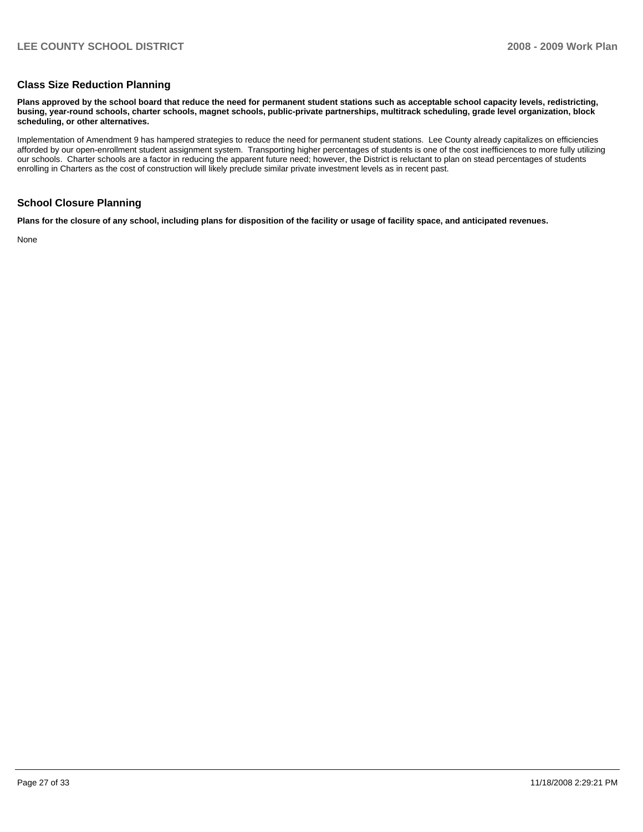#### **Class Size Reduction Planning**

**Plans approved by the school board that reduce the need for permanent student stations such as acceptable school capacity levels, redistricting, busing, year-round schools, charter schools, magnet schools, public-private partnerships, multitrack scheduling, grade level organization, block scheduling, or other alternatives.** 

Implementation of Amendment 9 has hampered strategies to reduce the need for permanent student stations. Lee County already capitalizes on efficiencies afforded by our open-enrollment student assignment system. Transporting higher percentages of students is one of the cost inefficiences to more fully utilizing our schools. Charter schools are a factor in reducing the apparent future need; however, the District is reluctant to plan on stead percentages of students enrolling in Charters as the cost of construction will likely preclude similar private investment levels as in recent past.

#### **School Closure Planning**

**Plans for the closure of any school, including plans for disposition of the facility or usage of facility space, and anticipated revenues.** 

None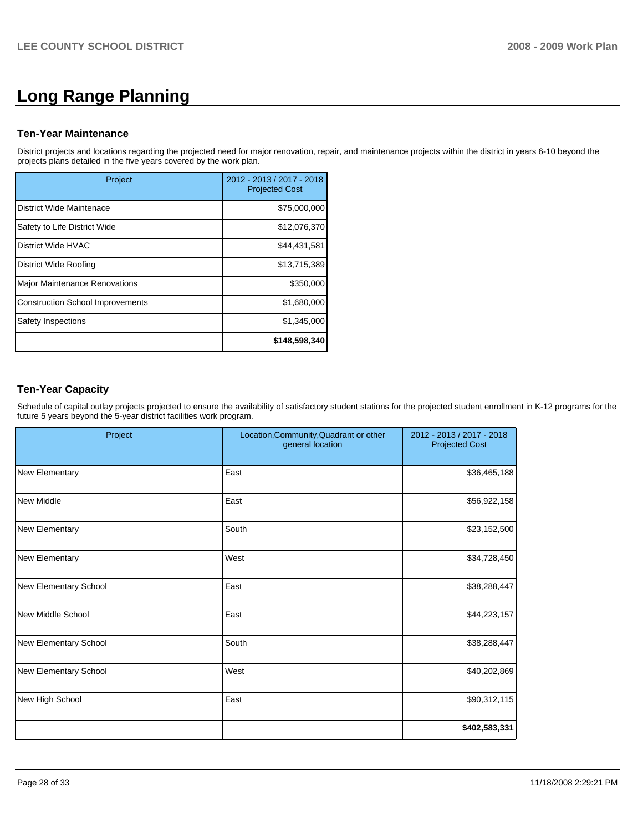# **Long Range Planning**

#### **Ten-Year Maintenance**

District projects and locations regarding the projected need for major renovation, repair, and maintenance projects within the district in years 6-10 beyond the projects plans detailed in the five years covered by the work plan.

| Project                                 | 2012 - 2013 / 2017 - 2018<br><b>Projected Cost</b> |
|-----------------------------------------|----------------------------------------------------|
| District Wide Maintenace                | \$75,000,000                                       |
| Safety to Life District Wide            | \$12,076,370                                       |
| District Wide HVAC                      | \$44.431.581                                       |
| District Wide Roofing                   | \$13,715,389                                       |
| Major Maintenance Renovations           | \$350,000                                          |
| <b>Construction School Improvements</b> | \$1,680,000                                        |
| Safety Inspections                      | \$1,345,000                                        |
|                                         | \$148,598,340                                      |

# **Ten-Year Capacity**

Schedule of capital outlay projects projected to ensure the availability of satisfactory student stations for the projected student enrollment in K-12 programs for the future 5 years beyond the 5-year district facilities work program.

| Project                      | Location, Community, Quadrant or other<br>general location | 2012 - 2013 / 2017 - 2018<br><b>Projected Cost</b> |
|------------------------------|------------------------------------------------------------|----------------------------------------------------|
| New Elementary               | East                                                       | \$36,465,188                                       |
| New Middle                   | East                                                       | \$56,922,158                                       |
| New Elementary               | South                                                      | \$23,152,500                                       |
| New Elementary               | West                                                       | \$34,728,450                                       |
| <b>New Elementary School</b> | East                                                       | \$38,288,447                                       |
| New Middle School            | East                                                       | \$44,223,157                                       |
| <b>New Elementary School</b> | South                                                      | \$38,288,447                                       |
| <b>New Elementary School</b> | West                                                       | \$40,202,869                                       |
| New High School              | East                                                       | \$90,312,115                                       |
|                              |                                                            | \$402,583,331                                      |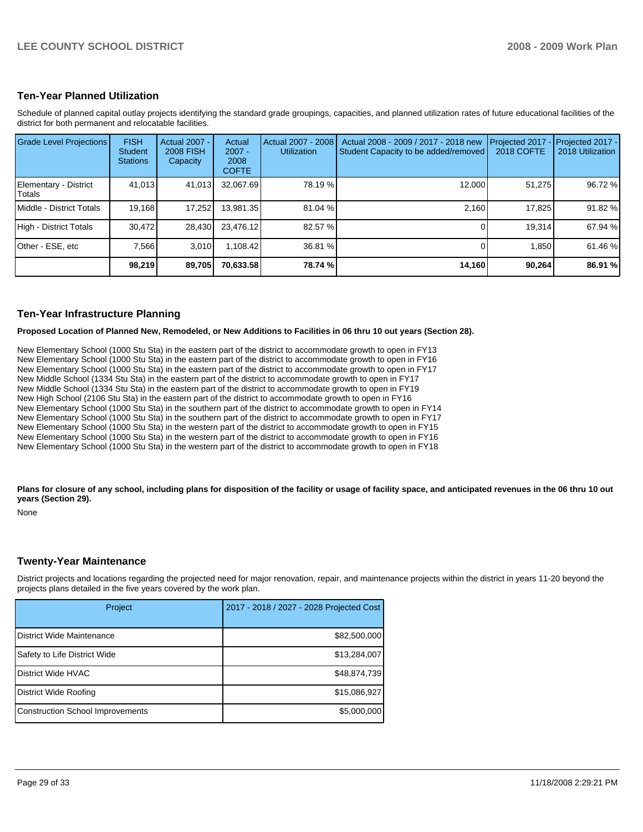#### **Ten-Year Planned Utilization**

Schedule of planned capital outlay projects identifying the standard grade groupings, capacities, and planned utilization rates of future educational facilities of the district for both permanent and relocatable facilities.

| Grade Level Projections         | <b>FISH</b><br><b>Student</b><br><b>Stations</b> | Actual 2007 -<br><b>2008 FISH</b><br>Capacity | Actual<br>$2007 -$<br>2008<br><b>COFTE</b> | Actual 2007 - 2008<br><b>Utilization</b> | Actual 2008 - 2009 / 2017 - 2018 new<br>Student Capacity to be added/removed | Projected 2017<br>2018 COFTE | $-$ Projected 2017 -<br>2018 Utilization |
|---------------------------------|--------------------------------------------------|-----------------------------------------------|--------------------------------------------|------------------------------------------|------------------------------------------------------------------------------|------------------------------|------------------------------------------|
| Elementary - District<br>Totals | 41.013                                           | 41,013                                        | 32,067.69                                  | 78.19 %                                  | 12,000                                                                       | 51.275                       | 96.72 %                                  |
| Middle - District Totals        | 19,168                                           | 17,252                                        | 13.981.35                                  | 81.04 %                                  | 2.160                                                                        | 17.825                       | 91.82 %                                  |
| High - District Totals          | 30,472                                           | 28.430                                        | 23,476.12                                  | 82.57 %                                  |                                                                              | 19,314                       | 67.94 %                                  |
| Other - ESE, etc                | 7,566                                            | 3.010                                         | 1,108.42                                   | 36.81 %                                  |                                                                              | 1,850                        | 61.46 %                                  |
|                                 | 98,219                                           | 89,705                                        | 70,633.58                                  | 78.74 %                                  | 14,160                                                                       | 90,264                       | 86.91 %                                  |

#### **Ten-Year Infrastructure Planning**

**Proposed Location of Planned New, Remodeled, or New Additions to Facilities in 06 thru 10 out years (Section 28).** 

New Elementary School (1000 Stu Sta) in the eastern part of the district to accommodate growth to open in FY13 New Elementary School (1000 Stu Sta) in the eastern part of the district to accommodate growth to open in FY16 New Elementary School (1000 Stu Sta) in the eastern part of the district to accommodate growth to open in FY17 New Middle School (1334 Stu Sta) in the eastern part of the district to accommodate growth to open in FY17 New Middle School (1334 Stu Sta) in the eastern part of the district to accommodate growth to open in FY19�� New High School (2106 Stu Sta) in the eastern part of the district to accommodate growth to open in FY16 New Elementary School (1000 Stu Sta) in the southern part of the district to accommodate growth to open in FY14�� New Elementary School (1000 Stu Sta) in the southern part of the district to accommodate growth to open in FY17 New Elementary School (1000 Stu Sta) in the western part of the district to accommodate growth to open in FY15 New Elementary School (1000 Stu Sta) in the western part of the district to accommodate growth to open in FY16 New Elementary School (1000 Stu Sta) in the western part of the district to accommodate growth to open in FY18

Plans for closure of any school, including plans for disposition of the facility or usage of facility space, and anticipated revenues in the 06 thru 10 out **years (Section 29).** 

None

#### **Twenty-Year Maintenance**

District projects and locations regarding the projected need for major renovation, repair, and maintenance projects within the district in years 11-20 beyond the projects plans detailed in the five years covered by the work plan.

| Project                                 | 2017 - 2018 / 2027 - 2028 Projected Cost |
|-----------------------------------------|------------------------------------------|
| District Wide Maintenance               | \$82,500,000                             |
| Safety to Life District Wide            | \$13,284,007                             |
| District Wide HVAC                      | \$48,874,739                             |
| District Wide Roofing                   | \$15,086,927                             |
| <b>Construction School Improvements</b> | \$5,000,000                              |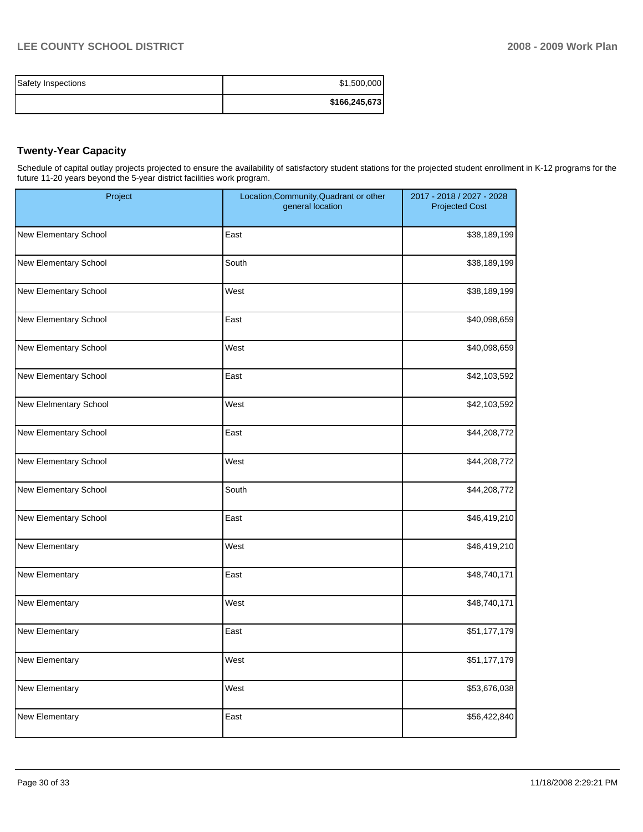| Safety Inspections | \$1,500,000   |
|--------------------|---------------|
|                    | \$166,245,673 |

# **Twenty-Year Capacity**

Schedule of capital outlay projects projected to ensure the availability of satisfactory student stations for the projected student enrollment in K-12 programs for the future 11-20 years beyond the 5-year district facilities work program.

| Project                | Location, Community, Quadrant or other<br>general location | 2017 - 2018 / 2027 - 2028<br><b>Projected Cost</b> |
|------------------------|------------------------------------------------------------|----------------------------------------------------|
| New Elementary School  | East                                                       | \$38,189,199                                       |
| New Elementary School  | South                                                      | \$38,189,199                                       |
| New Elementary School  | West                                                       | \$38,189,199                                       |
| New Elementary School  | East                                                       | \$40,098,659                                       |
| New Elementary School  | West                                                       | \$40,098,659                                       |
| New Elementary School  | East                                                       | \$42,103,592                                       |
| New Elelmentary School | West                                                       | \$42,103,592                                       |
| New Elementary School  | East                                                       | \$44,208,772                                       |
| New Elementary School  | West                                                       | \$44,208,772                                       |
| New Elementary School  | South                                                      | \$44,208,772                                       |
| New Elementary School  | East                                                       | \$46,419,210                                       |
| New Elementary         | West                                                       | \$46,419,210                                       |
| New Elementary         | East                                                       | \$48,740,171                                       |
| New Elementary         | West                                                       | \$48,740,171                                       |
| New Elementary         | East                                                       | \$51,177,179                                       |
| New Elementary         | West                                                       | \$51,177,179                                       |
| New Elementary         | West                                                       | \$53,676,038                                       |
| New Elementary         | East                                                       | \$56,422,840                                       |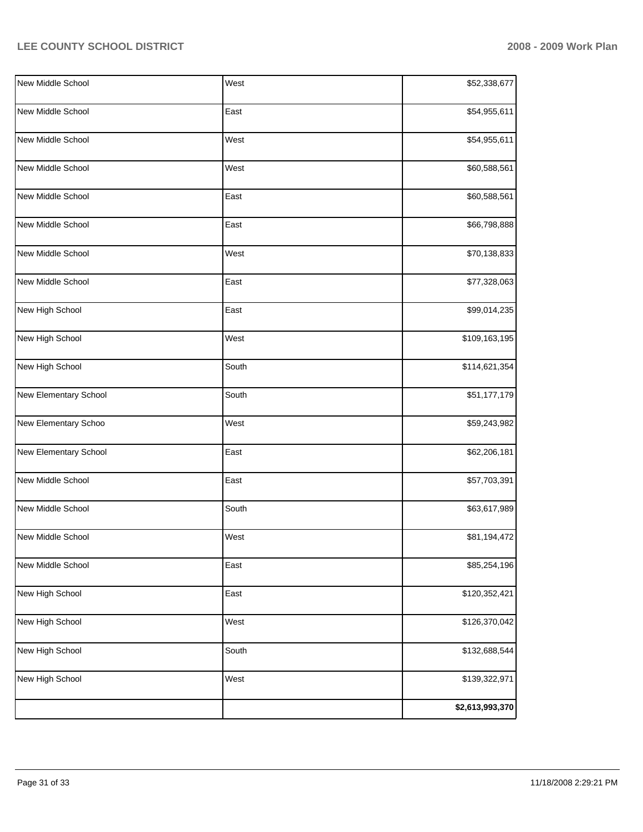| New Middle School            | West  | \$52,338,677    |
|------------------------------|-------|-----------------|
| <b>New Middle School</b>     | East  | \$54,955,611    |
| New Middle School            | West  | \$54,955,611    |
| New Middle School            | West  | \$60,588,561    |
| New Middle School            | East  | \$60,588,561    |
| New Middle School            | East  | \$66,798,888    |
| New Middle School            | West  | \$70,138,833    |
| New Middle School            | East  | \$77,328,063    |
| New High School              | East  | \$99,014,235    |
| New High School              | West  | \$109,163,195   |
| New High School              | South | \$114,621,354   |
| <b>New Elementary School</b> | South | \$51,177,179    |
| New Elementary Schoo         | West  | \$59,243,982    |
| New Elementary School        | East  | \$62,206,181    |
| New Middle School            | East  | \$57,703,391    |
| New Middle School            | South | \$63,617,989    |
| New Middle School            | West  | \$81,194,472    |
| New Middle School            | East  | \$85,254,196    |
| New High School              | East  | \$120,352,421   |
| New High School              | West  | \$126,370,042   |
| New High School              | South | \$132,688,544   |
| New High School              | West  | \$139,322,971   |
|                              |       | \$2,613,993,370 |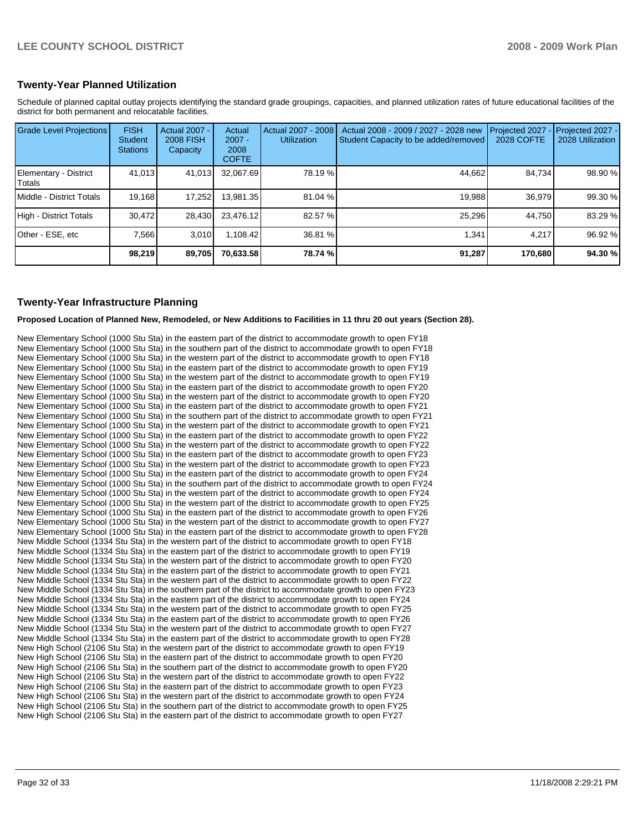### **Twenty-Year Planned Utilization**

Schedule of planned capital outlay projects identifying the standard grade groupings, capacities, and planned utilization rates of future educational facilities of the district for both permanent and relocatable facilities.

| Grade Level Projections         | <b>FISH</b><br><b>Student</b><br><b>Stations</b> | <b>Actual 2007 -</b><br><b>2008 FISH</b><br>Capacity | Actual<br>$2007 -$<br>2008<br><b>COFTE</b> | Actual 2007 - 2008<br><b>Utilization</b> | Actual 2008 - 2009 / 2027 - 2028 new<br>Student Capacity to be added/removed | Projected 2027<br>2028 COFTE | $-$ Projected 2027 -<br>2028 Utilization |
|---------------------------------|--------------------------------------------------|------------------------------------------------------|--------------------------------------------|------------------------------------------|------------------------------------------------------------------------------|------------------------------|------------------------------------------|
| Elementary - District<br>Totals | 41,013                                           | 41,013                                               | 32.067.69                                  | 78.19 %                                  | 44,662                                                                       | 84.734                       | 98.90 %                                  |
| Middle - District Totals        | 19.168                                           | 17.252                                               | 13.981.35                                  | 81.04 %                                  | 19.988                                                                       | 36.979                       | 99.30 %                                  |
| High - District Totals          | 30.472                                           | 28.430                                               | 23.476.12                                  | 82.57 %                                  | 25.296                                                                       | 44.750                       | 83.29 %                                  |
| Other - ESE, etc                | 7.566                                            | 3.010                                                | 1.108.42                                   | 36.81 %                                  | 1.341                                                                        | 4.217                        | 96.92 %                                  |
|                                 | 98,219                                           | 89,705                                               | 70,633.58                                  | 78.74 %                                  | 91,287                                                                       | 170.680                      | 94.30 %                                  |

#### **Twenty-Year Infrastructure Planning**

**Proposed Location of Planned New, Remodeled, or New Additions to Facilities in 11 thru 20 out years (Section 28).** 

New Elementary School (1000 Stu Sta) in the eastern part of the district to accommodate growth to open FY18 New Elementary School (1000 Stu Sta) in the southern part of the district to accommodate growth to open FY18 New Elementary School (1000 Stu Sta) in the western part of the district to accommodate growth to open FY18 New Elementary School (1000 Stu Sta) in the eastern part of the district to accommodate growth to open FY19 New Elementary School (1000 Stu Sta) in the western part of the district to accommodate growth to open FY19 New Elementary School (1000 Stu Sta) in the eastern part of the district to accommodate growth to open FY20 New Elementary School (1000 Stu Sta) in the western part of the district to accommodate growth to open FY20�� New Elementary School (1000 Stu Sta) in the eastern part of the district to accommodate growth to open FY21 New Elementary School (1000 Stu Sta) in the southern part of the district to accommodate growth to open FY21 New Elementary School (1000 Stu Sta) in the western part of the district to accommodate growth to open FY21 New Elementary School (1000 Stu Sta) in the eastern part of the district to accommodate growth to open FY22 New Elementary School (1000 Stu Sta) in the western part of the district to accommodate growth to open FY22 New Elementary School (1000 Stu Sta) in the eastern part of the district to accommodate growth to open FY23 New Elementary School (1000 Stu Sta) in the western part of the district to accommodate growth to open FY23 New Elementary School (1000 Stu Sta) in the eastern part of the district to accommodate growth to open FY24 New Elementary School (1000 Stu Sta) in the southern part of the district to accommodate growth to open FY24�� New Elementary School (1000 Stu Sta) in the western part of the district to accommodate growth to open FY24 New Elementary School (1000 Stu Sta) in the western part of the district to accommodate growth to open FY25 New Elementary School (1000 Stu Sta) in the eastern part of the district to accommodate growth to open FY26 New Elementary School (1000 Stu Sta) in the western part of the district to accommodate growth to open FY27 New Elementary School (1000 Stu Sta) in the eastern part of the district to accommodate growth to open FY28 New Middle School (1334 Stu Sta) in the western part of the district to accommodate growth to open FY18 New Middle School (1334 Stu Sta) in the eastern part of the district to accommodate growth to open FY19 New Middle School (1334 Stu Sta) in the western part of the district to accommodate growth to open FY20�� New Middle School (1334 Stu Sta) in the eastern part of the district to accommodate growth to open FY21 New Middle School (1334 Stu Sta) in the western part of the district to accommodate growth to open FY22 New Middle School (1334 Stu Sta) in the southern part of the district to accommodate growth to open FY23 New Middle School (1334 Stu Sta) in the eastern part of the district to accommodate growth to open FY24 New Middle School (1334 Stu Sta) in the western part of the district to accommodate growth to open FY25�� New Middle School (1334 Stu Sta) in the eastern part of the district to accommodate growth to open FY26 New Middle School (1334 Stu Sta) in the western part of the district to accommodate growth to open FY27 New Middle School (1334 Stu Sta) in the eastern part of the district to accommodate growth to open FY28 New High School (2106 Stu Sta) in the western part of the district to accommodate growth to open FY19 New High School (2106 Stu Sta) in the eastern part of the district to accommodate growth to open FY20 New High School (2106 Stu Sta) in the southern part of the district to accommodate growth to open FY20 New High School (2106 Stu Sta) in the western part of the district to accommodate growth to open FY22 New High School (2106 Stu Sta) in the eastern part of the district to accommodate growth to open FY23 New High School (2106 Stu Sta) in the western part of the district to accommodate growth to open FY24 New High School (2106 Stu Sta) in the southern part of the district to accommodate growth to open FY25�� New High School (2106 Stu Sta) in the eastern part of the district to accommodate growth to open FY27